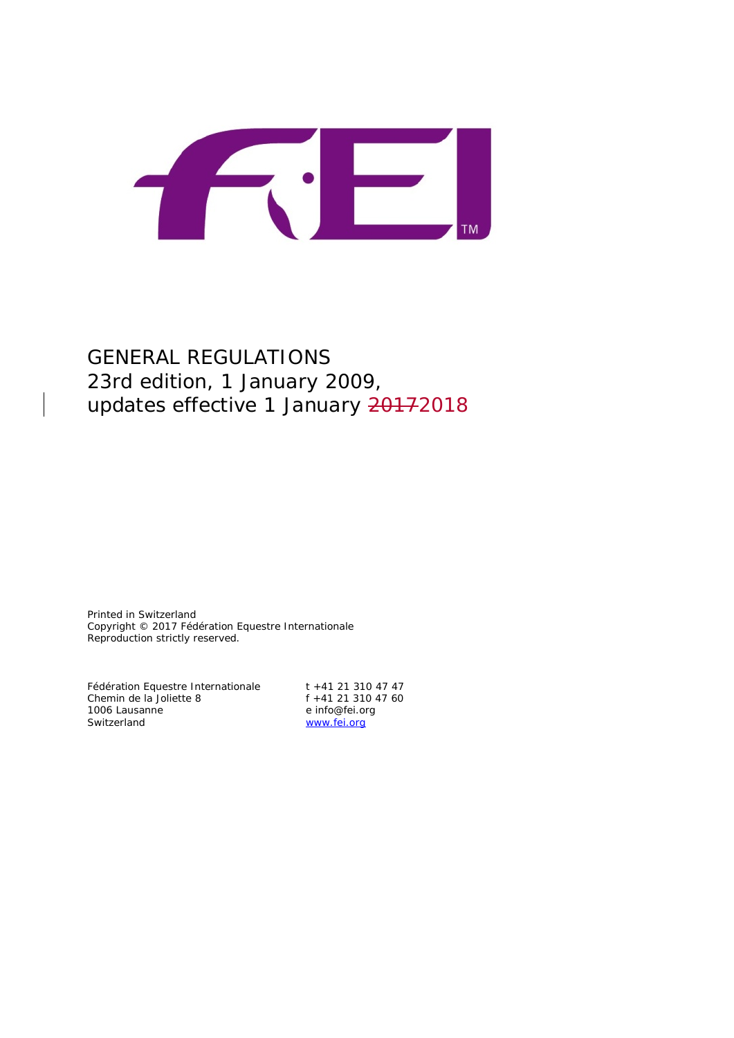

# GENERAL REGULATIONS 23rd edition, 1 January 2009, updates effective 1 January 20172018

Printed in Switzerland Copyright © 2017 Fédération Equestre Internationale Reproduction strictly reserved.

Fédération Equestre Internationale t +41 21 310 47 47 Chemin de la Joliette 8 f +41 21 310 47 60<br>1006 Lausanne e info@fei.org 1006 Lausanne e info@fei.org<br>
Switzerland e info@fei.org<br>
Www.fei.org

[www.fei.org](http://www.fei.org/)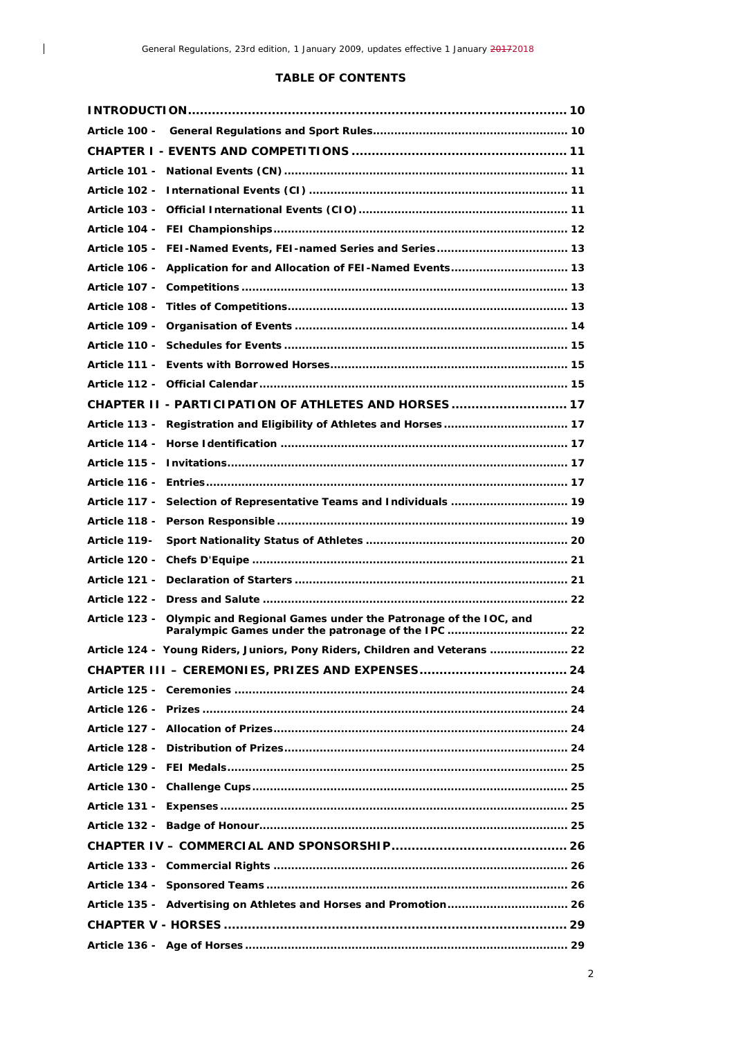$\overline{\phantom{a}}$ 

## **TABLE OF CONTENTS**

| Article 106 - Application for and Allocation of FEI-Named Events 13                                                                           |  |
|-----------------------------------------------------------------------------------------------------------------------------------------------|--|
|                                                                                                                                               |  |
|                                                                                                                                               |  |
|                                                                                                                                               |  |
|                                                                                                                                               |  |
|                                                                                                                                               |  |
|                                                                                                                                               |  |
| CHAPTER II - PARTICIPATION OF ATHLETES AND HORSES 17                                                                                          |  |
| Article 113 - Registration and Eligibility of Athletes and Horses 17                                                                          |  |
|                                                                                                                                               |  |
|                                                                                                                                               |  |
|                                                                                                                                               |  |
| Article 117 - Selection of Representative Teams and Individuals  19                                                                           |  |
|                                                                                                                                               |  |
| <b>Article 119-</b>                                                                                                                           |  |
|                                                                                                                                               |  |
|                                                                                                                                               |  |
|                                                                                                                                               |  |
| Olympic and Regional Games under the Patronage of the IOC, and<br><b>Article 123 -</b><br>Paralympic Games under the patronage of the IPC  22 |  |
| Article 124 - Young Riders, Juniors, Pony Riders, Children and Veterans  22                                                                   |  |
|                                                                                                                                               |  |
|                                                                                                                                               |  |
|                                                                                                                                               |  |
|                                                                                                                                               |  |
|                                                                                                                                               |  |
|                                                                                                                                               |  |
|                                                                                                                                               |  |
|                                                                                                                                               |  |
|                                                                                                                                               |  |
|                                                                                                                                               |  |
|                                                                                                                                               |  |
|                                                                                                                                               |  |
| Article 135 - Advertising on Athletes and Horses and Promotion 26                                                                             |  |
|                                                                                                                                               |  |
|                                                                                                                                               |  |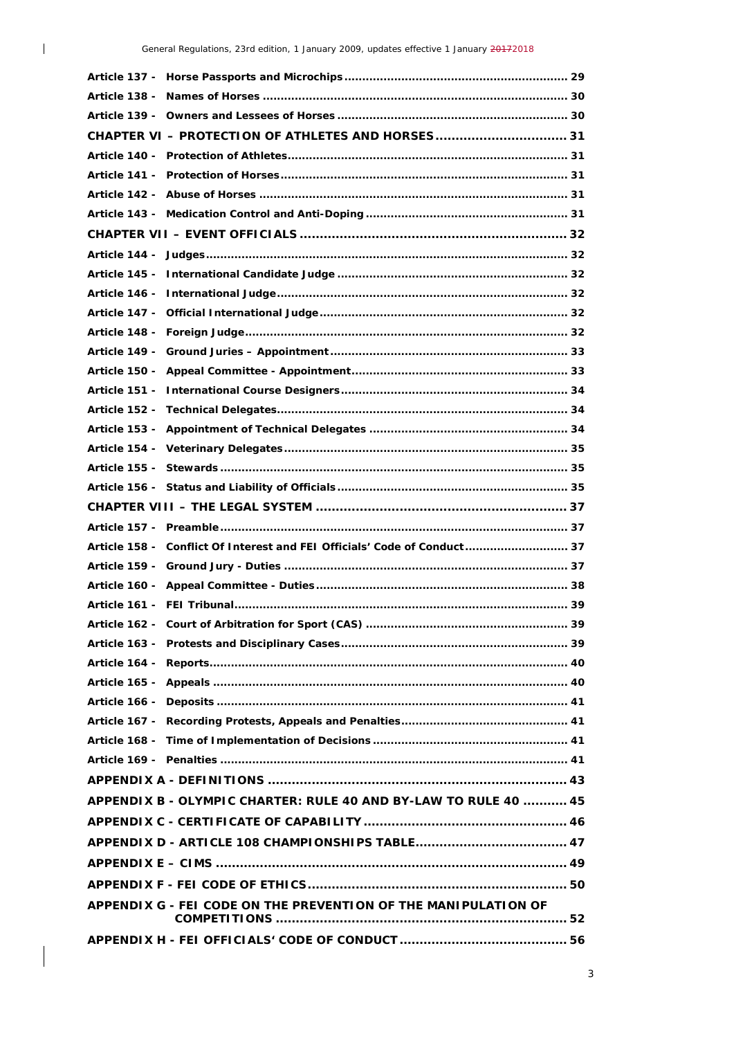$\begin{array}{c} \hline \end{array}$ 

| CHAPTER VI - PROTECTION OF ATHLETES AND HORSES 31                        |  |
|--------------------------------------------------------------------------|--|
|                                                                          |  |
|                                                                          |  |
|                                                                          |  |
|                                                                          |  |
|                                                                          |  |
|                                                                          |  |
|                                                                          |  |
|                                                                          |  |
|                                                                          |  |
|                                                                          |  |
|                                                                          |  |
|                                                                          |  |
|                                                                          |  |
|                                                                          |  |
|                                                                          |  |
|                                                                          |  |
|                                                                          |  |
|                                                                          |  |
|                                                                          |  |
|                                                                          |  |
| Article 158 - Conflict Of Interest and FEI Officials' Code of Conduct 37 |  |
|                                                                          |  |
|                                                                          |  |
|                                                                          |  |
|                                                                          |  |
|                                                                          |  |
|                                                                          |  |
|                                                                          |  |
|                                                                          |  |
|                                                                          |  |
|                                                                          |  |
|                                                                          |  |
|                                                                          |  |
| APPENDIX B - OLYMPIC CHARTER: RULE 40 AND BY-LAW TO RULE 40  45          |  |
|                                                                          |  |
|                                                                          |  |
|                                                                          |  |
|                                                                          |  |
| APPENDIX G - FEI CODE ON THE PREVENTION OF THE MANIPULATION OF           |  |
|                                                                          |  |
|                                                                          |  |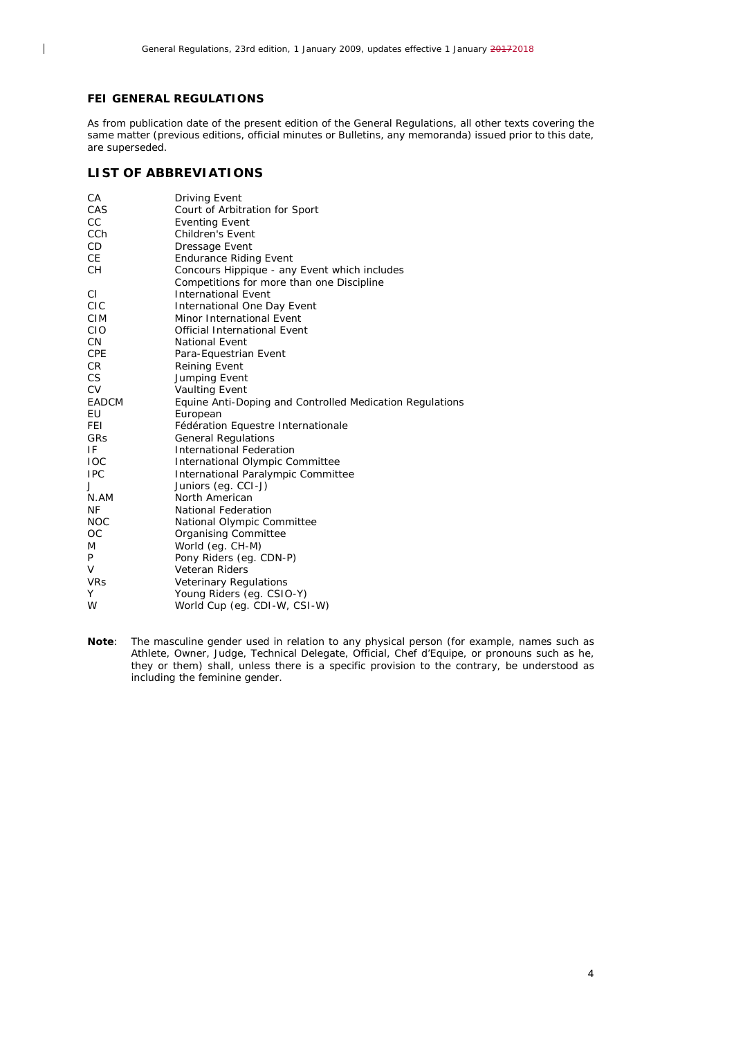#### **FEI GENERAL REGULATIONS**

 $\overline{\phantom{a}}$ 

As from publication date of the present edition of the General Regulations, all other texts covering the same matter (previous editions, official minutes or Bulletins, any memoranda) issued prior to this date, are superseded.

## **LIST OF ABBREVIATIONS**

| СA              | Driving Event                                            |
|-----------------|----------------------------------------------------------|
| CAS             | Court of Arbitration for Sport                           |
| CC.             | <b>Eventing Event</b>                                    |
| CC <sub>h</sub> | <b>Children's Event</b>                                  |
| <b>CD</b>       | Dressage Event                                           |
| <b>CE</b>       | <b>Endurance Riding Event</b>                            |
| <b>CH</b>       | Concours Hippique - any Event which includes             |
|                 | Competitions for more than one Discipline                |
| CI.             | <b>International Event</b>                               |
| <b>CIC</b>      | International One Day Event                              |
| <b>CIM</b>      | Minor International Event                                |
| <b>CIO</b>      | <b>Official International Event</b>                      |
| CN.             | <b>National Event</b>                                    |
| <b>CPE</b>      | Para-Equestrian Event                                    |
| CR.             | <b>Reining Event</b>                                     |
| CS.             | Jumping Event                                            |
| <b>CV</b>       | <b>Vaulting Event</b>                                    |
| EADCM           | Equine Anti-Doping and Controlled Medication Regulations |
| EU              | European                                                 |
| FEI.            | Fédération Equestre Internationale                       |
| <b>GRS</b>      | <b>General Regulations</b>                               |
| IF              | <b>International Federation</b>                          |
| <b>IOC</b>      | International Olympic Committee                          |
| <b>IPC</b>      | International Paralympic Committee                       |
| J               | Juniors (eq. CCI-J)                                      |
| N.AM            | North American                                           |
| <b>NF</b>       | <b>National Federation</b>                               |
| <b>NOC</b>      | National Olympic Committee                               |
| OC              | Organising Committee                                     |
| M               | World (eg. CH-M)                                         |
| P               | Pony Riders (eg. CDN-P)                                  |
| V               | <b>Veteran Riders</b>                                    |
| <b>VRs</b>      | Veterinary Regulations                                   |
| Υ               | Young Riders (eg. CSIO-Y)                                |
| W               | World Cup (eq. CDI-W, CSI-W)                             |

**Note**: The masculine gender used in relation to any physical person (for example, names such as Athlete, Owner, Judge, Technical Delegate, Official, Chef d'Equipe, or pronouns such as he, they or them) shall, unless there is a specific provision to the contrary, be understood as including the feminine gender.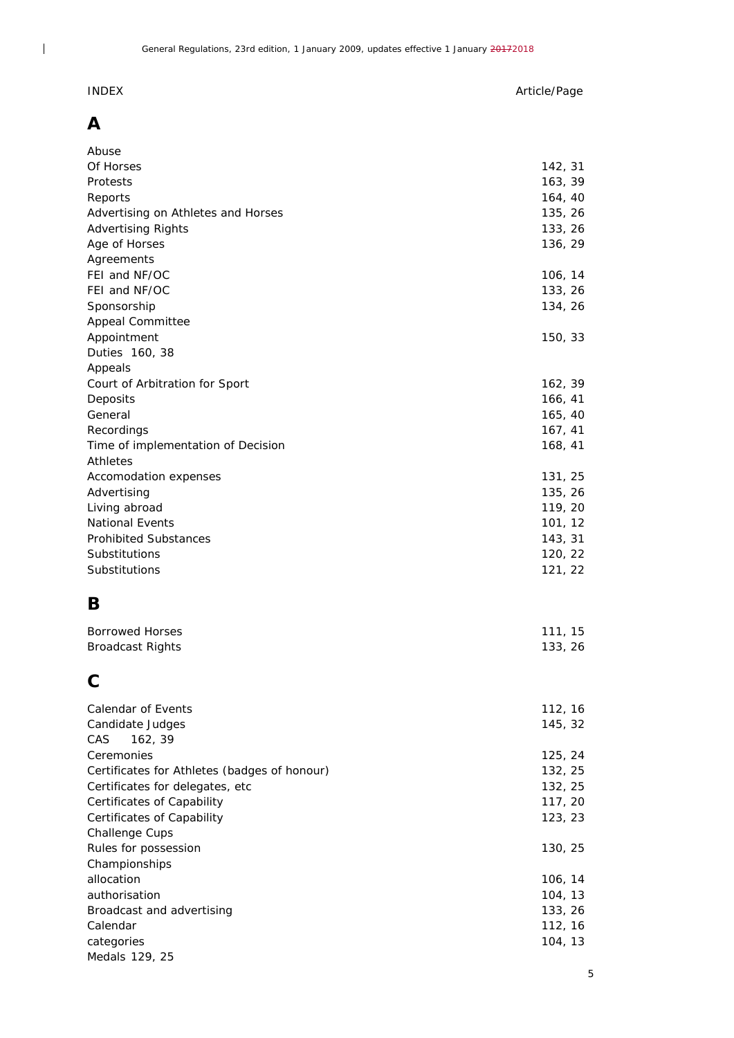## INDEX Article/Page

# **A**

 $\begin{array}{c} \begin{array}{c} \end{array} \end{array}$ 

| Abuse                                        |         |
|----------------------------------------------|---------|
| Of Horses                                    | 142, 31 |
| Protests                                     | 163, 39 |
| Reports                                      | 164, 40 |
| Advertising on Athletes and Horses           | 135, 26 |
| <b>Advertising Rights</b>                    | 133, 26 |
| Age of Horses                                | 136, 29 |
| Agreements                                   |         |
| FEI and NF/OC                                | 106, 14 |
| FEI and NF/OC                                | 133, 26 |
| Sponsorship                                  | 134, 26 |
| <b>Appeal Committee</b>                      |         |
| Appointment                                  | 150, 33 |
| Duties 160, 38                               |         |
| Appeals                                      |         |
| Court of Arbitration for Sport               | 162, 39 |
| Deposits                                     | 166, 41 |
| General                                      | 165, 40 |
| Recordings                                   | 167, 41 |
| Time of implementation of Decision           | 168, 41 |
| Athletes                                     |         |
| Accomodation expenses                        | 131, 25 |
| Advertising                                  | 135, 26 |
| Living abroad                                | 119, 20 |
| National Events                              | 101, 12 |
| <b>Prohibited Substances</b>                 | 143, 31 |
| Substitutions                                | 120, 22 |
| Substitutions                                | 121, 22 |
| Β                                            |         |
|                                              |         |
| <b>Borrowed Horses</b>                       | 111, 15 |
| <b>Broadcast Rights</b>                      | 133, 26 |
| C                                            |         |
| Calendar of Events                           | 112, 16 |
| Candidate Judges                             | 145, 32 |
| CAS<br>162, 39                               |         |
| Ceremonies                                   | 125, 24 |
| Certificates for Athletes (badges of honour) | 132, 25 |
| Certificates for delegates, etc              | 132, 25 |
| Certificates of Capability                   | 117, 20 |
| Certificates of Capability                   | 123, 23 |
| Challenge Cups                               |         |
| Rules for possession                         | 130, 25 |
| Championships                                |         |
| allocation                                   | 106, 14 |
| authorisation                                | 104, 13 |
| Broadcast and advertising                    | 133, 26 |
| Calendar                                     | 112, 16 |
| categories                                   | 104, 13 |

Medals 129, 25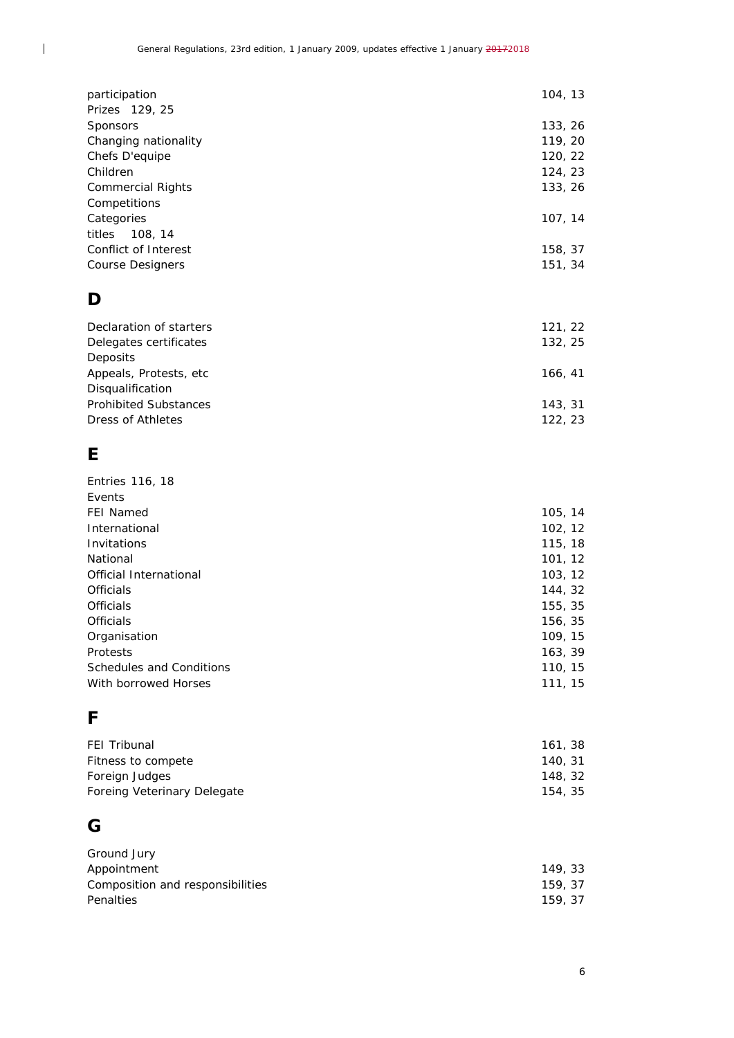| participation                                                                                                                | 104, 13                                             |
|------------------------------------------------------------------------------------------------------------------------------|-----------------------------------------------------|
| Prizes 129, 25<br>Sponsors<br>Changing nationality<br>Chefs D'equipe<br>Children<br><b>Commercial Rights</b><br>Competitions | 133, 26<br>119, 20<br>120, 22<br>124, 23<br>133, 26 |
| Categories<br>titles<br>108, 14                                                                                              | 107, 14                                             |
| Conflict of Interest<br><b>Course Designers</b>                                                                              | 158, 37<br>151, 34                                  |
| D                                                                                                                            |                                                     |
| Declaration of starters<br>Delegates certificates<br>Deposits                                                                | 121, 22<br>132, 25                                  |
| Appeals, Protests, etc<br>Disqualification                                                                                   | 166, 41                                             |
| <b>Prohibited Substances</b><br>Dress of Athletes                                                                            | 143, 31<br>122, 23                                  |
| Е                                                                                                                            |                                                     |
| Entries 116, 18<br>Events                                                                                                    |                                                     |
| <b>FEI Named</b><br>International                                                                                            | 105, 14<br>102, 12                                  |
| Invitations                                                                                                                  | 115, 18                                             |
| National                                                                                                                     | 101, 12                                             |
| Official International<br>Officials                                                                                          | 103, 12<br>144, 32                                  |
| Officials                                                                                                                    | 155, 35                                             |
|                                                                                                                              |                                                     |

| UTICIAIS                 | 155, 35 |
|--------------------------|---------|
| <b>Officials</b>         | 156, 35 |
| Organisation             | 109, 15 |
| Protests                 | 163, 39 |
| Schedules and Conditions | 110, 15 |
| With borrowed Horses     | 111.15  |
|                          |         |

# **F**

 $\overline{\phantom{a}}$ 

| <b>FEI Tribunal</b>         | 161, 38 |
|-----------------------------|---------|
| Fitness to compete          | 140, 31 |
| Foreign Judges              | 148, 32 |
| Foreing Veterinary Delegate | 154.35  |

# **G**

| Ground Jury                      |         |
|----------------------------------|---------|
| Appointment                      | 149, 33 |
| Composition and responsibilities | 159.37  |
| Penalties                        | 159.37  |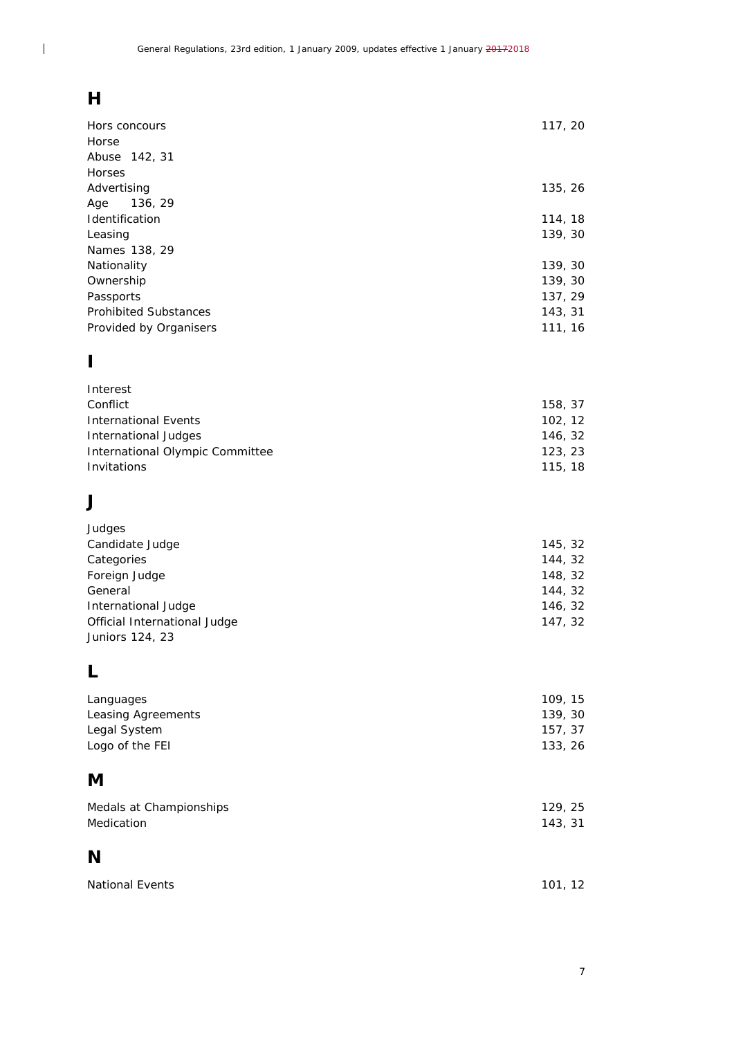# **H**

 $\overline{\phantom{a}}$ 

| Hors concours                    | 117, 20 |
|----------------------------------|---------|
| Horse                            |         |
| Abuse 142, 31                    |         |
| Horses                           |         |
| Advertising                      | 135, 26 |
| 136, 29<br>Age<br>Identification | 114, 18 |
| Leasing                          | 139, 30 |
| Names 138, 29                    |         |
| Nationality                      | 139, 30 |
| Ownership                        | 139, 30 |
| Passports                        | 137, 29 |
| <b>Prohibited Substances</b>     | 143, 31 |
| Provided by Organisers           | 111, 16 |
| I                                |         |
| Interest                         |         |
| Conflict                         | 158, 37 |
| <b>International Events</b>      | 102, 12 |
| <b>International Judges</b>      | 146, 32 |
| International Olympic Committee  | 123, 23 |
| Invitations                      | 115, 18 |
| J                                |         |
| Judges                           |         |
| Candidate Judge                  | 145, 32 |
| Categories                       | 144, 32 |
| Foreign Judge                    | 148, 32 |
| General                          | 144, 32 |
| International Judge              | 146, 32 |
| Official International Judge     | 147, 32 |
| Juniors 124, 23                  |         |
| L                                |         |
| Languages                        | 109, 15 |
| Leasing Agreements               | 139, 30 |
| Legal System                     | 157, 37 |
| Logo of the FEI                  | 133, 26 |
| M                                |         |
| Medals at Championships          | 129, 25 |
| Medication                       | 143, 31 |
| N                                |         |
|                                  |         |
| National Events                  | 101, 12 |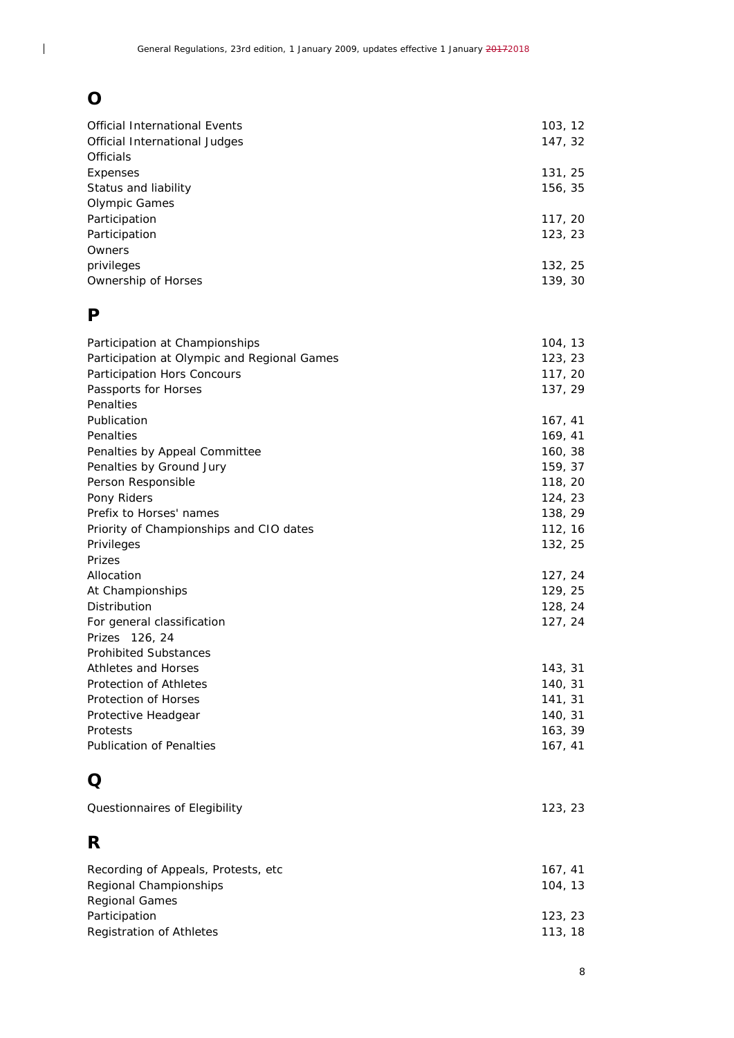# **O**

 $\overline{\phantom{a}}$ 

| <b>Official International Events</b><br>Official International Judges<br>Officials                                                                | 103, 12<br>147, 32                                  |
|---------------------------------------------------------------------------------------------------------------------------------------------------|-----------------------------------------------------|
| Expenses<br>Status and liability                                                                                                                  | 131, 25<br>156, 35                                  |
| <b>Olympic Games</b><br>Participation<br>Participation                                                                                            | 117, 20<br>123, 23                                  |
| Owners<br>privileges<br>Ownership of Horses                                                                                                       | 132, 25<br>139, 30                                  |
| P                                                                                                                                                 |                                                     |
| Participation at Championships<br>Participation at Olympic and Regional Games<br>Participation Hors Concours<br>Passports for Horses<br>Penalties | 104, 13<br>123, 23<br>117, 20<br>137, 29            |
| Publication<br>Penalties<br>Penalties by Appeal Committee<br>Penalties by Ground Jury                                                             | 167, 41<br>169, 41<br>160, 38<br>159, 37            |
| Person Responsible<br>Pony Riders<br>Prefix to Horses' names<br>Priority of Championships and CIO dates<br>Privileges                             | 118, 20<br>124, 23<br>138, 29<br>112, 16<br>132, 25 |
| Prizes<br>Allocation                                                                                                                              | 127, 24                                             |
| At Championships<br>Distribution<br>For general classification<br>Prizes 126, 24                                                                  | 129, 25<br>128, 24<br>127, 24                       |
| <b>Prohibited Substances</b><br>Athletes and Horses<br>Protection of Athletes<br>Protection of Horses                                             | 143, 31<br>140, 31<br>141, 31                       |
| Protective Headgear<br>Protests<br><b>Publication of Penalties</b>                                                                                | 140, 31<br>163, 39<br>167, 41                       |
| Q                                                                                                                                                 |                                                     |
| Questionnaires of Elegibility                                                                                                                     | 123, 23                                             |
| R                                                                                                                                                 |                                                     |
| Recording of Appeals, Protests, etc<br>Regional Championships<br><b>Regional Games</b>                                                            | 167, 41<br>104, 13                                  |
| Participation<br><b>Registration of Athletes</b>                                                                                                  | 123, 23<br>113, 18                                  |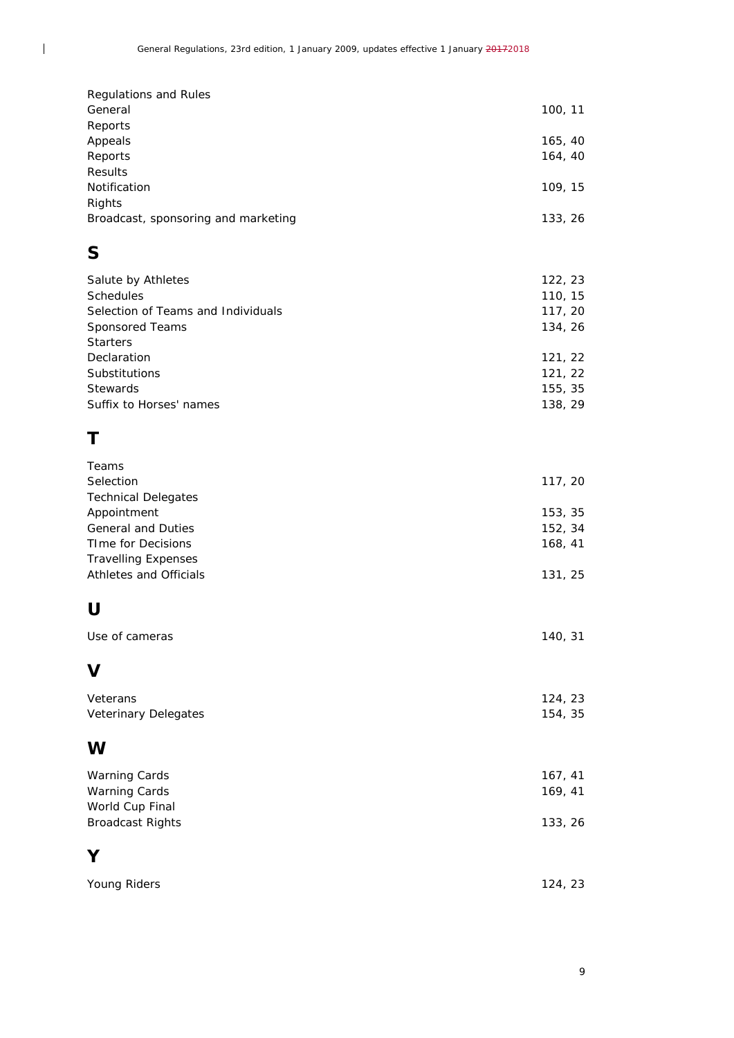| Regulations and Rules               |         |
|-------------------------------------|---------|
| General                             | 100, 11 |
| Reports                             |         |
| Appeals                             | 165, 40 |
| Reports                             | 164, 40 |
| <b>Results</b>                      |         |
| Notification                        | 109, 15 |
| Rights                              |         |
| Broadcast, sponsoring and marketing | 133, 26 |
|                                     |         |

# **S**

 $\overline{\phantom{a}}$ 

| 122, 23 |
|---------|
| 110, 15 |
| 117, 20 |
| 134, 26 |
|         |
| 121, 22 |
| 121, 22 |
| 155, 35 |
| 138, 29 |
|         |

# **T**

| Teams                      |         |
|----------------------------|---------|
| Selection                  | 117, 20 |
| <b>Technical Delegates</b> |         |
| Appointment                | 153, 35 |
| <b>General and Duties</b>  | 152, 34 |
| <b>TIme for Decisions</b>  | 168, 41 |
| <b>Travelling Expenses</b> |         |
| Athletes and Officials     | 131, 25 |
|                            |         |
| U                          |         |
| Use of cameras             | 140, 31 |
| V                          |         |
| Veterans                   | 124, 23 |
| Veterinary Delegates       | 154, 35 |
| W                          |         |
| <b>Warning Cards</b>       | 167, 41 |
| <b>Warning Cards</b>       | 169, 41 |
| World Cup Final            |         |
| <b>Broadcast Rights</b>    | 133, 26 |
| Υ                          |         |
| Young Riders               | 124, 23 |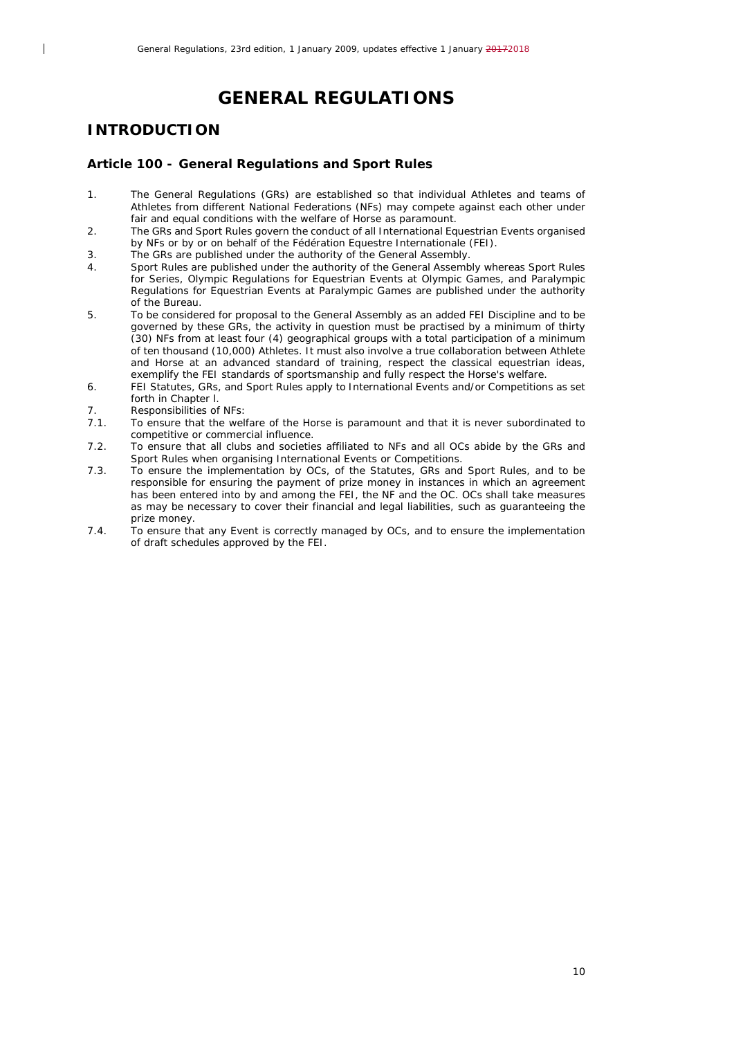## **GENERAL REGULATIONS**

## <span id="page-9-0"></span>*INTRODUCTION*

 $\overline{\phantom{a}}$ 

#### <span id="page-9-1"></span>**Article 100 - General Regulations and Sport Rules**

- 1. The General Regulations (GRs) are established so that individual Athletes and teams of Athletes from different National Federations (NFs) may compete against each other under fair and equal conditions with the welfare of Horse as paramount.
- 2. The GRs and Sport Rules govern the conduct of all International Equestrian Events organised by NFs or by or on behalf of the Fédération Equestre Internationale (FEI).
- 3. The GRs are published under the authority of the General Assembly.<br>4. Sport Rules are published under the authority of the General Assemble
- 4. Sport Rules are published under the authority of the General Assembly whereas Sport Rules for Series, Olympic Regulations for Equestrian Events at Olympic Games, and Paralympic Regulations for Equestrian Events at Paralympic Games are published under the authority of the Bureau.
- 5. To be considered for proposal to the General Assembly as an added FEI Discipline and to be governed by these GRs, the activity in question must be practised by a minimum of thirty (30) NFs from at least four (4) geographical groups with a total participation of a minimum of ten thousand (10,000) Athletes. It must also involve a true collaboration between Athlete and Horse at an advanced standard of training, respect the classical equestrian ideas, exemplify the FEI standards of sportsmanship and fully respect the Horse's welfare.
- 6. FEI Statutes, GRs, and Sport Rules apply to International Events and/or Competitions as set forth in Chapter l.
- 7. Responsibilities of NFs:<br>7.1. To ensure that the well
- 7.1. To ensure that the welfare of the Horse is paramount and that it is never subordinated to competitive or commercial influence.
- 7.2. To ensure that all clubs and societies affiliated to NFs and all OCs abide by the GRs and Sport Rules when organising International Events or Competitions.
- 7.3. To ensure the implementation by OCs, of the Statutes, GRs and Sport Rules, and to be responsible for ensuring the payment of prize money in instances in which an agreement has been entered into by and among the FEI, the NF and the OC. OCs shall take measures as may be necessary to cover their financial and legal liabilities, such as guaranteeing the prize money.
- 7.4. To ensure that any Event is correctly managed by OCs, and to ensure the implementation of draft schedules approved by the FEI.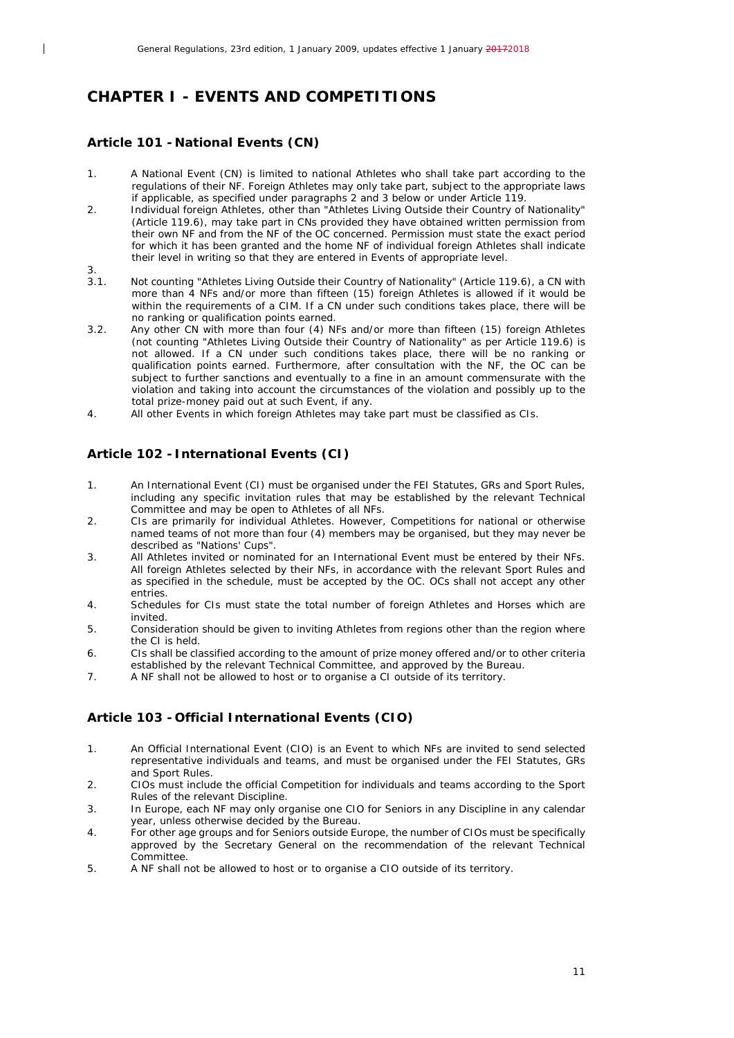## <span id="page-10-0"></span>*CHAPTER I - EVENTS AND COMPETITIONS*

## <span id="page-10-1"></span>**Article 101 - National Events (CN)**

- 1. A National Event (CN) is limited to national Athletes who shall take part according to the regulations of their NF. Foreign Athletes may only take part, subject to the appropriate laws if applicable, as specified under paragraphs 2 and 3 below or under Article 119.
- 2. Individual foreign Athletes, other than "Athletes Living Outside their Country of Nationality" (Article 119.6), may take part in CNs provided they have obtained written permission from their own NF and from the NF of the OC concerned. Permission must state the exact period for which it has been granted and the home NF of individual foreign Athletes shall indicate their level in writing so that they are entered in Events of appropriate level.
- $\frac{3}{3}$

 $\overline{\phantom{a}}$ 

- Not counting "Athletes Living Outside their Country of Nationality" (Article 119.6), a CN with more than 4 NFs and/or more than fifteen (15) foreign Athletes is allowed if it would be within the requirements of a CIM. If a CN under such conditions takes place, there will be no ranking or qualification points earned.
- 3.2. Any other CN with more than four (4) NFs and/or more than fifteen (15) foreign Athletes (not counting "Athletes Living Outside their Country of Nationality" as per Article 119.6) is not allowed. If a CN under such conditions takes place, there will be no ranking or qualification points earned. Furthermore, after consultation with the NF, the OC can be subject to further sanctions and eventually to a fine in an amount commensurate with the violation and taking into account the circumstances of the violation and possibly up to the total prize-money paid out at such Event, if any.
- 4. All other Events in which foreign Athletes may take part must be classified as CIs.

## <span id="page-10-2"></span>**Article 102 - International Events (CI)**

- 1. An International Event (CI) must be organised under the FEI Statutes, GRs and Sport Rules, including any specific invitation rules that may be established by the relevant Technical Committee and may be open to Athletes of all NFs.
- 2. CIs are primarily for individual Athletes. However, Competitions for national or otherwise named teams of not more than four (4) members may be organised, but they may never be described as "Nations' Cups".
- 3. All Athletes invited or nominated for an International Event must be entered by their NFs. All foreign Athletes selected by their NFs, in accordance with the relevant Sport Rules and as specified in the schedule, must be accepted by the OC. OCs shall not accept any other entries.
- 4. Schedules for CIs must state the total number of foreign Athletes and Horses which are invited.
- 5. Consideration should be given to inviting Athletes from regions other than the region where the CI is held.
- 6. CIs shall be classified according to the amount of prize money offered and/or to other criteria established by the relevant Technical Committee, and approved by the Bureau.
- 7. A NF shall not be allowed to host or to organise a CI outside of its territory.

## <span id="page-10-3"></span>**Article 103 - Official International Events (CIO)**

- 1. An Official International Event (CIO) is an Event to which NFs are invited to send selected representative individuals and teams, and must be organised under the FEI Statutes, GRs and Sport Rules.
- 2. CIOs must include the official Competition for individuals and teams according to the Sport Rules of the relevant Discipline.
- 3. In Europe, each NF may only organise one CIO for Seniors in any Discipline in any calendar year, unless otherwise decided by the Bureau.
- 4. For other age groups and for Seniors outside Europe, the number of CIOs must be specifically approved by the Secretary General on the recommendation of the relevant Technical Committee.
- 5. A NF shall not be allowed to host or to organise a CIO outside of its territory.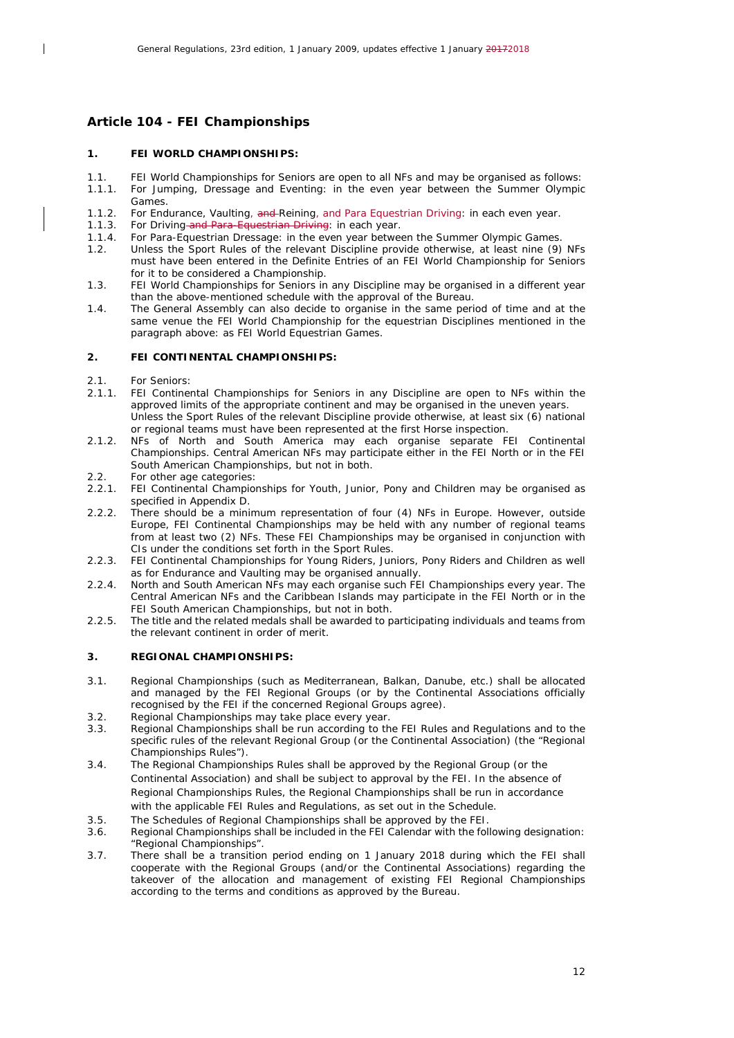## <span id="page-11-0"></span>**Article 104 - FEI Championships**

#### **1. FEI WORLD CHAMPIONSHIPS:**

- 1.1. FEI World Championships for Seniors are open to all NFs and may be organised as follows:
- 1.1.1. For Jumping, Dressage and Eventing: in the even year between the Summer Olympic Games.
- 1.1.2. For Endurance, Vaulting, and Reining, and Para Equestrian Driving: in each even year.<br>1.1.3. For Driving-and Para-Equestrian Driving: in each year.
- For Driving and Para-Equestrian Driving: in each year.
- 1.1.4. For Para-Equestrian Dressage: in the even year between the Summer Olympic Games.<br>1.2. Unless the Sport Rules of the relevant Discipline provide otherwise, at least nine (9)
- Unless the Sport Rules of the relevant Discipline provide otherwise, at least nine (9) NFs must have been entered in the Definite Entries of an FEI World Championship for Seniors for it to be considered a Championship.
- 1.3. FEI World Championships for Seniors in any Discipline may be organised in a different year than the above-mentioned schedule with the approval of the Bureau.
- 1.4. The General Assembly can also decide to organise in the same period of time and at the same venue the FEI World Championship for the equestrian Disciplines mentioned in the paragraph above: as FEI World Equestrian Games.

#### **2. FEI CONTINENTAL CHAMPIONSHIPS:**

2.1. For Seniors:

 $\overline{\phantom{a}}$ 

- 2.1.1. FEI Continental Championships for Seniors in any Discipline are open to NFs within the approved limits of the appropriate continent and may be organised in the uneven years. Unless the Sport Rules of the relevant Discipline provide otherwise, at least six (6) national or regional teams must have been represented at the first Horse inspection.
- 2.1.2. NFs of North and South America may each organise separate FEI Continental Championships. Central American NFs may participate either in the FEI North or in the FEI South American Championships, but not in both.
- 2.2. For other age categories:<br>2.2.1. FEI Continental Champio
- FEI Continental Championships for Youth, Junior, Pony and Children may be organised as specified in Appendix D.
- 2.2.2. There should be a minimum representation of four (4) NFs in Europe. However, outside Europe, FEI Continental Championships may be held with any number of regional teams from at least two (2) NFs. These FEI Championships may be organised in conjunction with CIs under the conditions set forth in the Sport Rules.
- 2.2.3. FEI Continental Championships for Young Riders, Juniors, Pony Riders and Children as well as for Endurance and Vaulting may be organised annually.
- 2.2.4. North and South American NFs may each organise such FEI Championships every year. The Central American NFs and the Caribbean Islands may participate in the FEI North or in the FEI South American Championships, but not in both.
- 2.2.5. The title and the related medals shall be awarded to participating individuals and teams from the relevant continent in order of merit.

#### **3. REGIONAL CHAMPIONSHIPS:**

- 3.1. Regional Championships (such as Mediterranean, Balkan, Danube, etc.) shall be allocated and managed by the FEI Regional Groups (or by the Continental Associations officially recognised by the FEI if the concerned Regional Groups agree).
- 3.2. Regional Championships may take place every year.
- 3.3. Regional Championships shall be run according to the FEI Rules and Regulations and to the specific rules of the relevant Regional Group (or the Continental Association) (the "Regional Championships Rules").
- 3.4. The Regional Championships Rules shall be approved by the Regional Group (or the Continental Association) and shall be subject to approval by the FEI. In the absence of Regional Championships Rules, the Regional Championships shall be run in accordance with the applicable FEI Rules and Regulations, as set out in the Schedule.
- 3.5. The Schedules of Regional Championships shall be approved by the FEI.
- 3.6. Regional Championships shall be included in the FEI Calendar with the following designation: "Regional Championships".
- 3.7. There shall be a transition period ending on 1 January 2018 during which the FEI shall cooperate with the Regional Groups (and/or the Continental Associations) regarding the takeover of the allocation and management of existing FEI Regional Championships according to the terms and conditions as approved by the Bureau.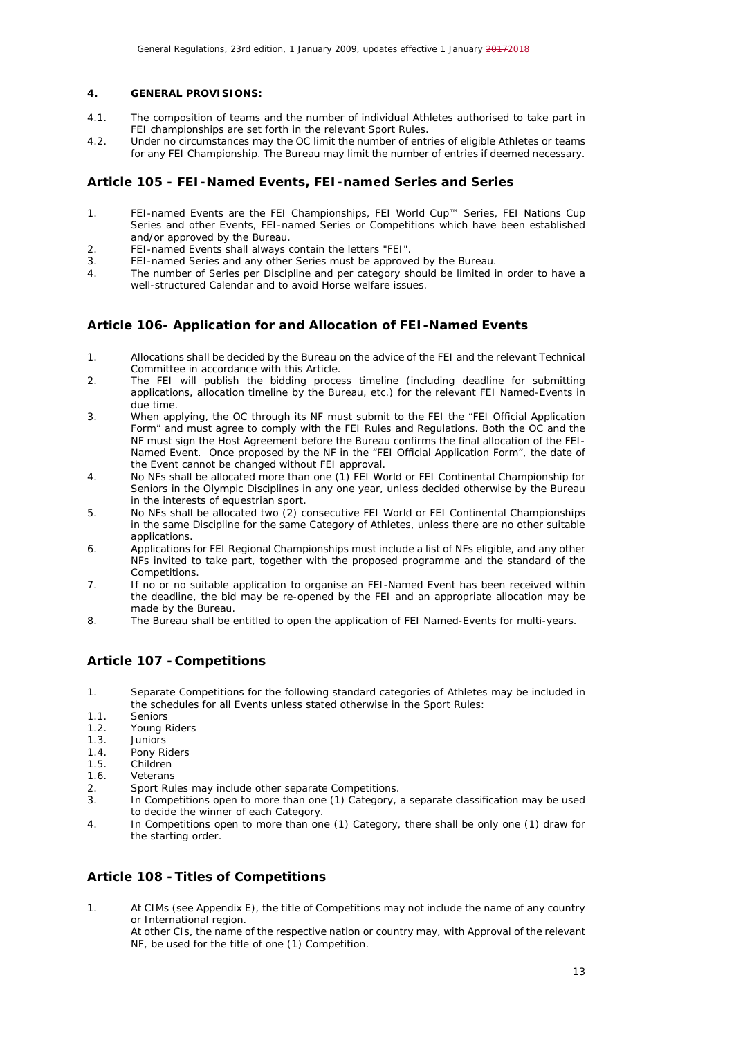#### **4. GENERAL PROVISIONS:**

 $\overline{\phantom{a}}$ 

- 4.1. The composition of teams and the number of individual Athletes authorised to take part in FEI championships are set forth in the relevant Sport Rules.
- 4.2. Under no circumstances may the OC limit the number of entries of eligible Athletes or teams for any FEI Championship. The Bureau may limit the number of entries if deemed necessary.

#### <span id="page-12-0"></span>**Article 105 - FEI-Named Events, FEI-named Series and Series**

- 1. FEI-named Events are the FEI Championships, FEI World Cup™ Series, FEI Nations Cup Series and other Events, FEI-named Series or Competitions which have been established and/or approved by the Bureau.
- 2. FEI-named Events shall always contain the letters "FEI".
- 3. FEI-named Series and any other Series must be approved by the Bureau.
- 4. The number of Series per Discipline and per category should be limited in order to have a well-structured Calendar and to avoid Horse welfare issues.

#### <span id="page-12-1"></span>**Article 106- Application for and Allocation of FEI-Named Events**

- 1. Allocations shall be decided by the Bureau on the advice of the FEI and the relevant Technical Committee in accordance with this Article.
- 2. The FEI will publish the bidding process timeline (including deadline for submitting applications, allocation timeline by the Bureau, etc.) for the relevant FEI Named-Events in due time.
- 3. When applying, the OC through its NF must submit to the FEI the "FEI Official Application Form" and must agree to comply with the FEI Rules and Regulations. Both the OC and the NF must sign the Host Agreement before the Bureau confirms the final allocation of the FEI-Named Event. Once proposed by the NF in the "FEI Official Application Form", the date of the Event cannot be changed without FEI approval.
- 4. No NFs shall be allocated more than one (1) FEI World or FEI Continental Championship for Seniors in the Olympic Disciplines in any one year, unless decided otherwise by the Bureau in the interests of equestrian sport.
- 5. No NFs shall be allocated two (2) consecutive FEI World or FEI Continental Championships in the same Discipline for the same Category of Athletes, unless there are no other suitable applications.
- 6. Applications for FEI Regional Championships must include a list of NFs eligible, and any other NFs invited to take part, together with the proposed programme and the standard of the Competitions.
- 7. If no or no suitable application to organise an FEI-Named Event has been received within the deadline, the bid may be re-opened by the FEI and an appropriate allocation may be made by the Bureau.
- 8. The Bureau shall be entitled to open the application of FEI Named-Events for multi-years.

## <span id="page-12-2"></span>**Article 107 - Competitions**

- 1. Separate Competitions for the following standard categories of Athletes may be included in the schedules for all Events unless stated otherwise in the Sport Rules:
- 1.1. Seniors
- 1.2. Young Riders<br>1.3. Juniors
- 1.3. Juniors<br>1.4. Pony Ri
- 1.4. Pony Riders<br>1.5. Children
- **Children**
- 1.6. Veterans
- 2. Sport Rules may include other separate Competitions.<br>3. In Competitions open to more than one (1) Category.
- In Competitions open to more than one (1) Category, a separate classification may be used to decide the winner of each Category.
- 4. In Competitions open to more than one (1) Category, there shall be only one (1) draw for the starting order.

## <span id="page-12-3"></span>**Article 108 -Titles of Competitions**

1. At CIMs (see Appendix E), the title of Competitions may not include the name of any country or International region.

At other CIs, the name of the respective nation or country may, with Approval of the relevant NF, be used for the title of one (1) Competition.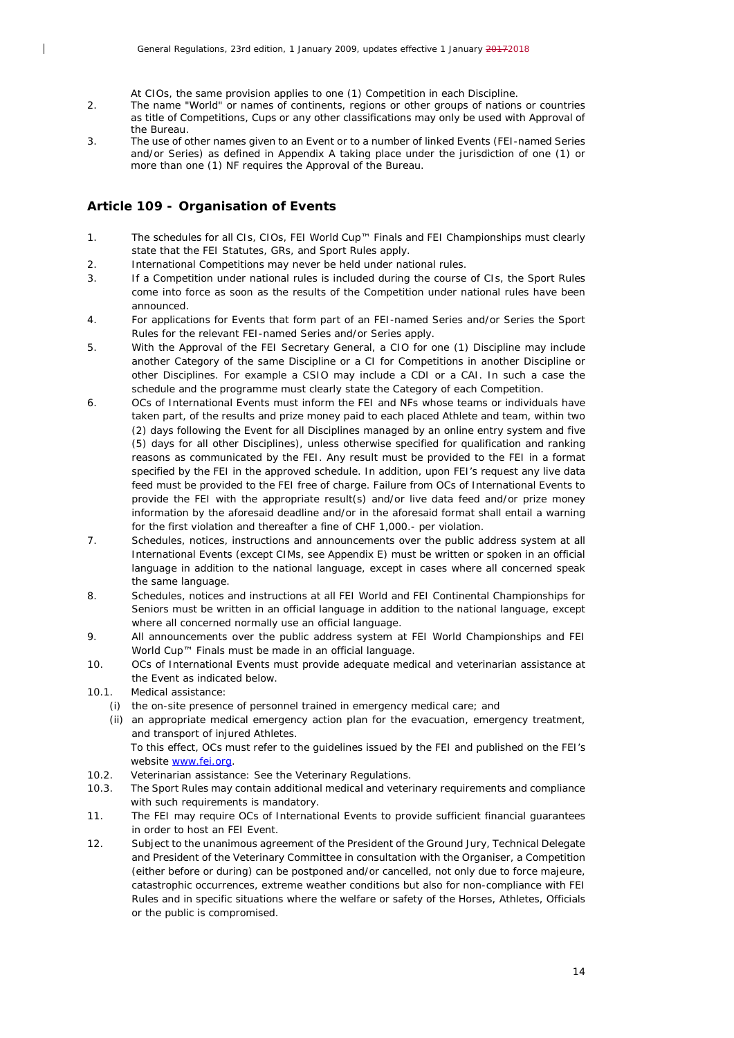At CIOs, the same provision applies to one (1) Competition in each Discipline.

- 2. The name "World" or names of continents, regions or other groups of nations or countries as title of Competitions, Cups or any other classifications may only be used with Approval of the Bureau.
- 3. The use of other names given to an Event or to a number of linked Events (FEI-named Series and/or Series) as defined in Appendix A taking place under the jurisdiction of one (1) or more than one (1) NF requires the Approval of the Bureau.

## <span id="page-13-0"></span>**Article 109 - Organisation of Events**

 $\overline{\phantom{a}}$ 

- 1. The schedules for all CIs, CIOs, FEI World Cup™ Finals and FEI Championships must clearly state that the FEI Statutes, GRs, and Sport Rules apply.
- 2. International Competitions may never be held under national rules.
- 3. If a Competition under national rules is included during the course of CIs, the Sport Rules come into force as soon as the results of the Competition under national rules have been announced.
- 4. For applications for Events that form part of an FEI-named Series and/or Series the Sport Rules for the relevant FEI-named Series and/or Series apply.
- 5. With the Approval of the FEI Secretary General, a CIO for one (1) Discipline may include another Category of the same Discipline or a CI for Competitions in another Discipline or other Disciplines. For example a CSIO may include a CDI or a CAI. In such a case the schedule and the programme must clearly state the Category of each Competition.
- 6. OCs of International Events must inform the FEI and NFs whose teams or individuals have taken part, of the results and prize money paid to each placed Athlete and team, within two (2) days following the Event for all Disciplines managed by an online entry system and five (5) days for all other Disciplines), unless otherwise specified for qualification and ranking reasons as communicated by the FEI. Any result must be provided to the FEI in a format specified by the FEI in the approved schedule. In addition, upon FEI's request any live data feed must be provided to the FEI free of charge. Failure from OCs of International Events to provide the FEI with the appropriate result(s) and/or live data feed and/or prize money information by the aforesaid deadline and/or in the aforesaid format shall entail a warning for the first violation and thereafter a fine of CHF 1,000.- per violation.
- 7. Schedules, notices, instructions and announcements over the public address system at all International Events (except CIMs, see Appendix E) must be written or spoken in an official language in addition to the national language, except in cases where all concerned speak the same language.
- 8. Schedules, notices and instructions at all FEI World and FEI Continental Championships for Seniors must be written in an official language in addition to the national language, except where all concerned normally use an official language.
- 9. All announcements over the public address system at FEI World Championships and FEI World Cup™ Finals must be made in an official language.
- 10. OCs of International Events must provide adequate medical and veterinarian assistance at the Event as indicated below.
- 10.1. Medical assistance:
	- *(i)* the on-site presence of personnel trained in emergency medical care; and
	- *(ii)* an appropriate medical emergency action plan for the evacuation, emergency treatment, and transport of injured Athletes.

To this effect, OCs must refer to the guidelines issued by the FEI and published on the FEI's website [www.fei.org.](http://www.fei.org/)

- 10.2. Veterinarian assistance: See the Veterinary Regulations.
- 10.3. The Sport Rules may contain additional medical and veterinary requirements and compliance with such requirements is mandatory.
- 11. The FEI may require OCs of International Events to provide sufficient financial guarantees in order to host an FEI Event.
- 12. Subject to the unanimous agreement of the President of the Ground Jury, Technical Delegate and President of the Veterinary Committee in consultation with the Organiser, a Competition (either before or during) can be postponed and/or cancelled, not only due to force majeure, catastrophic occurrences, extreme weather conditions but also for non-compliance with FEI Rules and in specific situations where the welfare or safety of the Horses, Athletes, Officials or the public is compromised.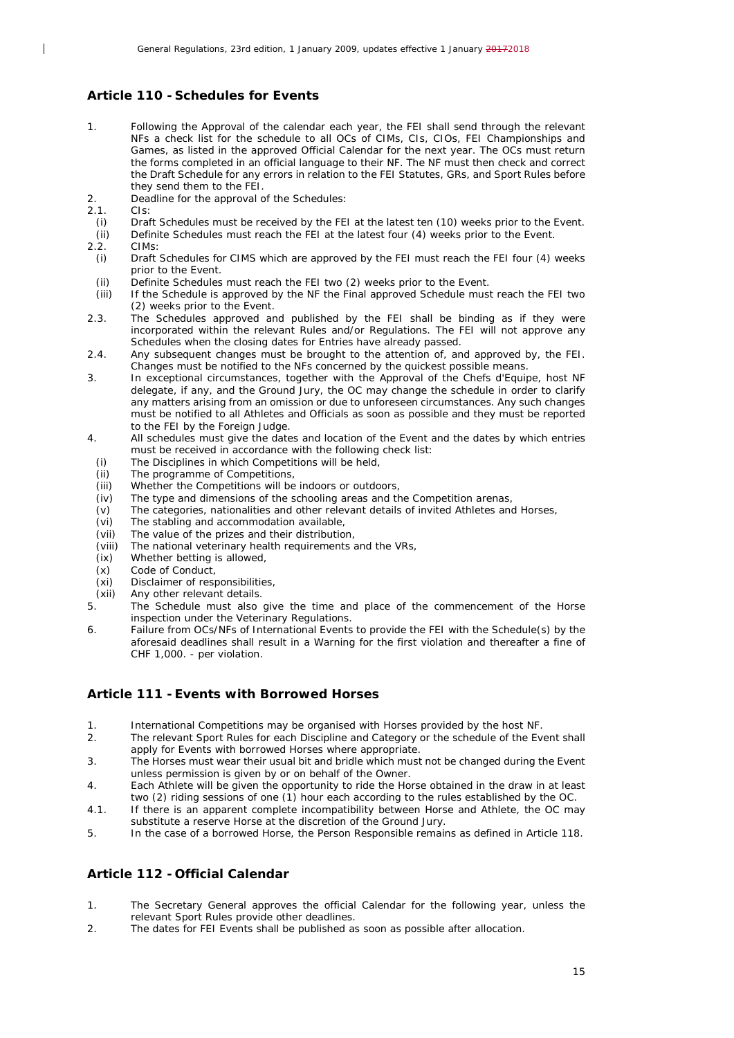#### <span id="page-14-0"></span>**Article 110 - Schedules for Events**

- 1. Following the Approval of the calendar each year, the FEI shall send through the relevant NFs a check list for the schedule to all OCs of CIMs, CIs, CIOs, FEI Championships and Games, as listed in the approved Official Calendar for the next year. The OCs must return the forms completed in an official language to their NF. The NF must then check and correct the Draft Schedule for any errors in relation to the FEI Statutes, GRs, and Sport Rules before they send them to the FEI.
- 2. Deadline for the approval of the Schedules:
- 2.1. CIs:

 $\overline{\phantom{a}}$ 

- *(i)* Draft Schedules must be received by the FEI at the latest ten (10) weeks prior to the Event.
- *(ii)* Definite Schedules must reach the FEI at the latest four (4) weeks prior to the Event.<br>2.2. CIMs:
- CIMs:
- *(i)* Draft Schedules for CIMS which are approved by the FEI must reach the FEI four (4) weeks prior to the Event.
- *(ii)* Definite Schedules must reach the FEI two (2) weeks prior to the Event.
- *(iii)* If the Schedule is approved by the NF the Final approved Schedule must reach the FEI two (2) weeks prior to the Event.
- 2.3. The Schedules approved and published by the FEI shall be binding as if they were incorporated within the relevant Rules and/or Regulations. The FEI will not approve any Schedules when the closing dates for Entries have already passed.
- 2.4. Any subsequent changes must be brought to the attention of, and approved by, the FEI. Changes must be notified to the NFs concerned by the quickest possible means.
- 3. In exceptional circumstances, together with the Approval of the Chefs d'Equipe, host NF delegate, if any, and the Ground Jury, the OC may change the schedule in order to clarify any matters arising from an omission or due to unforeseen circumstances. Any such changes must be notified to all Athletes and Officials as soon as possible and they must be reported to the FEI by the Foreign Judge.
- 4. All schedules must give the dates and location of the Event and the dates by which entries must be received in accordance with the following check list:
	- *(i)* The Disciplines in which Competitions will be held,
	- *(ii)* The programme of Competitions,<br>*(iii)* Whether the Competitions will be
	- Whether the Competitions will be indoors or outdoors,
	- *(iv)* The type and dimensions of the schooling areas and the Competition arenas,
	- *(v)* The categories, nationalities and other relevant details of invited Athletes and Horses,
	- *(vi)* The stabling and accommodation available, *(vii)* The value of the prizes and their distribution
	- *(vii)* The value of the prizes and their distribution,
	- The national veterinary health requirements and the VRs,
	- *(ix)* Whether betting is allowed,
	- *(x)* Code of Conduct,
	- *(xi)* Disclaimer of responsibilities,
- *(xii)* Any other relevant details.
- The Schedule must also give the time and place of the commencement of the Horse inspection under the Veterinary Regulations.
- 6. Failure from OCs/NFs of International Events to provide the FEI with the Schedule(s) by the aforesaid deadlines shall result in a Warning for the first violation and thereafter a fine of CHF 1,000. - per violation.

## <span id="page-14-1"></span>**Article 111 -Events with Borrowed Horses**

- 1. International Competitions may be organised with Horses provided by the host NF.<br>2. The relevant Sport Rules for each Discipline and Category or the schedule of the Ev
- 2. The relevant Sport Rules for each Discipline and Category or the schedule of the Event shall apply for Events with borrowed Horses where appropriate.
- 3. The Horses must wear their usual bit and bridle which must not be changed during the Event unless permission is given by or on behalf of the Owner.
- 4. Each Athlete will be given the opportunity to ride the Horse obtained in the draw in at least two (2) riding sessions of one (1) hour each according to the rules established by the OC.
- 4.1. If there is an apparent complete incompatibility between Horse and Athlete, the OC may substitute a reserve Horse at the discretion of the Ground Jury.
- 5. In the case of a borrowed Horse, the Person Responsible remains as defined in Article 118.

## <span id="page-14-2"></span>**Article 112 - Official Calendar**

- 1. The Secretary General approves the official Calendar for the following year, unless the relevant Sport Rules provide other deadlines.
- 2. The dates for FEI Events shall be published as soon as possible after allocation.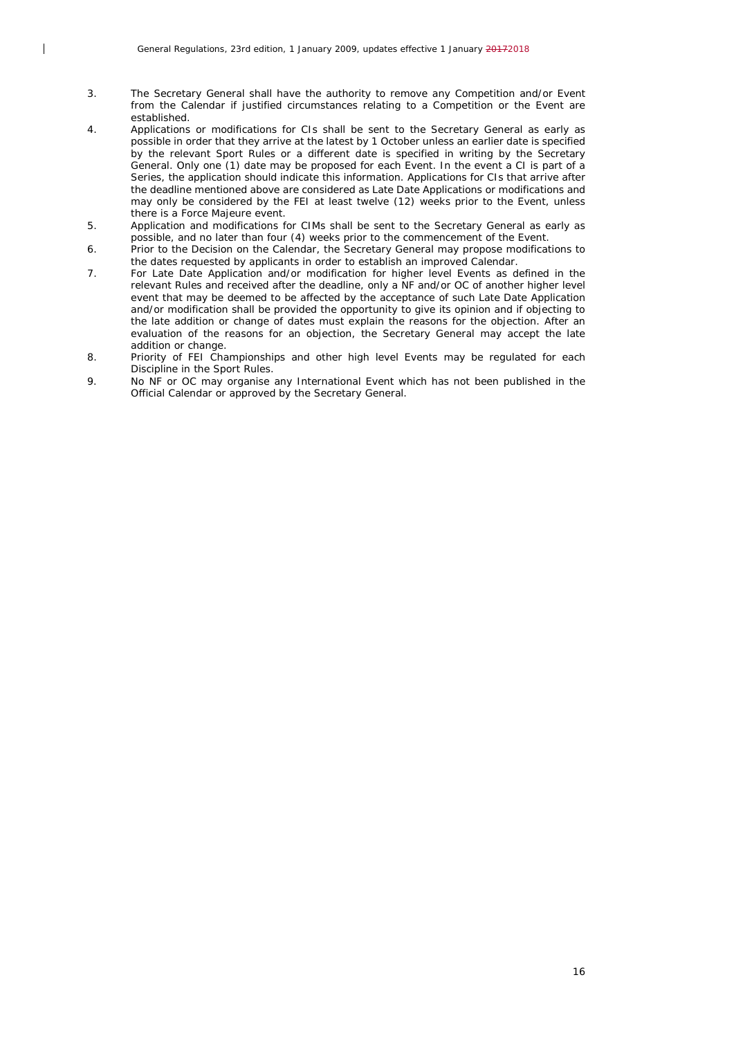$\overline{\phantom{a}}$ 

- 3. The Secretary General shall have the authority to remove any Competition and/or Event from the Calendar if justified circumstances relating to a Competition or the Event are established.
- 4. Applications or modifications for CIs shall be sent to the Secretary General as early as possible in order that they arrive at the latest by 1 October unless an earlier date is specified by the relevant Sport Rules or a different date is specified in writing by the Secretary General. Only one (1) date may be proposed for each Event. In the event a CI is part of a Series, the application should indicate this information. Applications for CIs that arrive after the deadline mentioned above are considered as Late Date Applications or modifications and may only be considered by the FEI at least twelve (12) weeks prior to the Event, unless there is a Force Majeure event.
- 5. Application and modifications for CIMs shall be sent to the Secretary General as early as possible, and no later than four (4) weeks prior to the commencement of the Event.
- 6. Prior to the Decision on the Calendar, the Secretary General may propose modifications to the dates requested by applicants in order to establish an improved Calendar.
- 7. For Late Date Application and/or modification for higher level Events as defined in the relevant Rules and received after the deadline, only a NF and/or OC of another higher level event that may be deemed to be affected by the acceptance of such Late Date Application and/or modification shall be provided the opportunity to give its opinion and if objecting to the late addition or change of dates must explain the reasons for the objection. After an evaluation of the reasons for an objection, the Secretary General may accept the late addition or change.
- 8. Priority of FEI Championships and other high level Events may be regulated for each Discipline in the Sport Rules.
- 9. No NF or OC may organise any International Event which has not been published in the Official Calendar or approved by the Secretary General.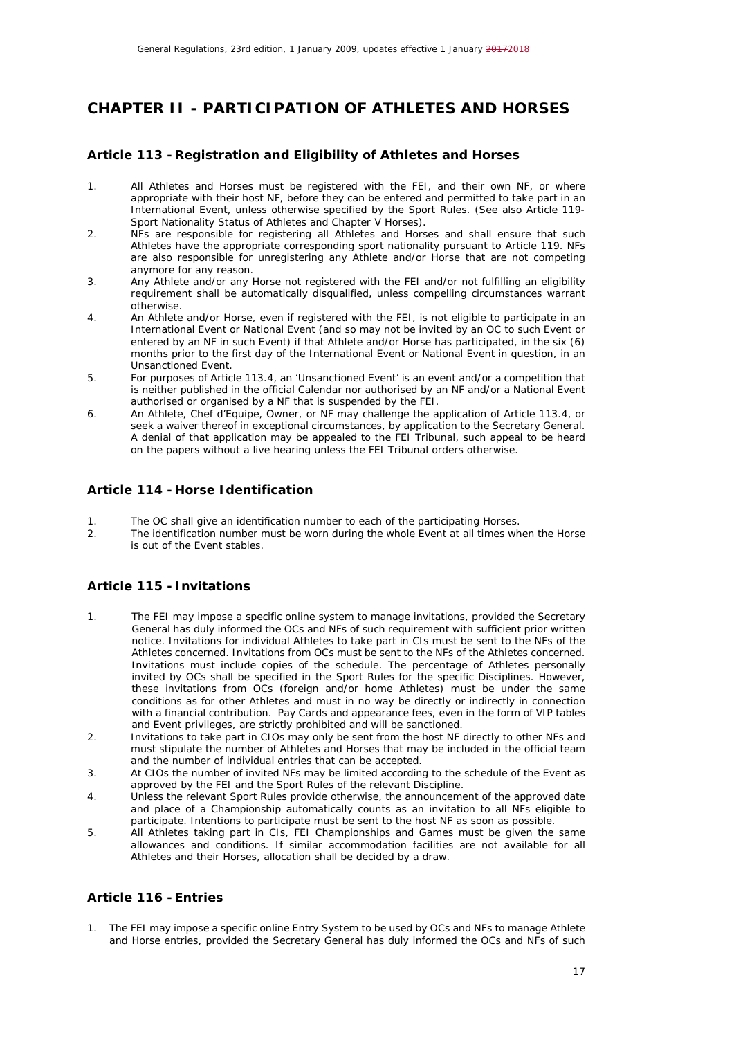## <span id="page-16-0"></span>*CHAPTER II - PARTICIPATION OF ATHLETES AND HORSES*

## <span id="page-16-1"></span>**Article 113 -Registration and Eligibility of Athletes and Horses**

- 1. All Athletes and Horses must be registered with the FEI, and their own NF, or where appropriate with their host NF, before they can be entered and permitted to take part in an International Event, unless otherwise specified by the Sport Rules. (See also Article 119- Sport Nationality Status of Athletes and Chapter V Horses).
- 2. NFs are responsible for registering all Athletes and Horses and shall ensure that such Athletes have the appropriate corresponding sport nationality pursuant to Article 119. NFs are also responsible for unregistering any Athlete and/or Horse that are not competing anymore for any reason.
- 3. Any Athlete and/or any Horse not registered with the FEI and/or not fulfilling an eligibility requirement shall be automatically disqualified, unless compelling circumstances warrant otherwise.
- 4. An Athlete and/or Horse, even if registered with the FEI, is not eligible to participate in an International Event or National Event (and so may not be invited by an OC to such Event or entered by an NF in such Event) if that Athlete and/or Horse has participated, in the six (6) months prior to the first day of the International Event or National Event in question, in an Unsanctioned Event.
- 5. For purposes of Article 113.4, an 'Unsanctioned Event' is an event and/or a competition that is neither published in the official Calendar nor authorised by an NF and/or a National Event authorised or organised by a NF that is suspended by the FEI.
- 6. An Athlete, Chef d'Equipe, Owner, or NF may challenge the application of Article 113.4, or seek a waiver thereof in exceptional circumstances, by application to the Secretary General. A denial of that application may be appealed to the FEI Tribunal, such appeal to be heard on the papers without a live hearing unless the FEI Tribunal orders otherwise.

#### <span id="page-16-2"></span>**Article 114 - Horse Identification**

- 1. The OC shall give an identification number to each of the participating Horses.<br>2. The identification number must be worn during the whole Event at all times wh
- The identification number must be worn during the whole Event at all times when the Horse is out of the Event stables.

## <span id="page-16-3"></span>**Article 115 - Invitations**

 $\overline{1}$ 

- 1. The FEI may impose a specific online system to manage invitations, provided the Secretary General has duly informed the OCs and NFs of such requirement with sufficient prior written notice. Invitations for individual Athletes to take part in CIs must be sent to the NFs of the Athletes concerned. Invitations from OCs must be sent to the NFs of the Athletes concerned. Invitations must include copies of the schedule. The percentage of Athletes personally invited by OCs shall be specified in the Sport Rules for the specific Disciplines. However, these invitations from OCs (foreign and/or home Athletes) must be under the same conditions as for other Athletes and must in no way be directly or indirectly in connection with a financial contribution. Pay Cards and appearance fees, even in the form of VIP tables and Event privileges, are strictly prohibited and will be sanctioned.
- 2. Invitations to take part in CIOs may only be sent from the host NF directly to other NFs and must stipulate the number of Athletes and Horses that may be included in the official team and the number of individual entries that can be accepted.
- 3. At CIOs the number of invited NFs may be limited according to the schedule of the Event as approved by the FEI and the Sport Rules of the relevant Discipline.
- 4. Unless the relevant Sport Rules provide otherwise, the announcement of the approved date and place of a Championship automatically counts as an invitation to all NFs eligible to participate. Intentions to participate must be sent to the host NF as soon as possible.
- 5. All Athletes taking part in CIs, FEI Championships and Games must be given the same allowances and conditions. If similar accommodation facilities are not available for all Athletes and their Horses, allocation shall be decided by a draw.

## <span id="page-16-4"></span>**Article 116 -Entries**

1. The FEI may impose a specific online Entry System to be used by OCs and NFs to manage Athlete and Horse entries, provided the Secretary General has duly informed the OCs and NFs of such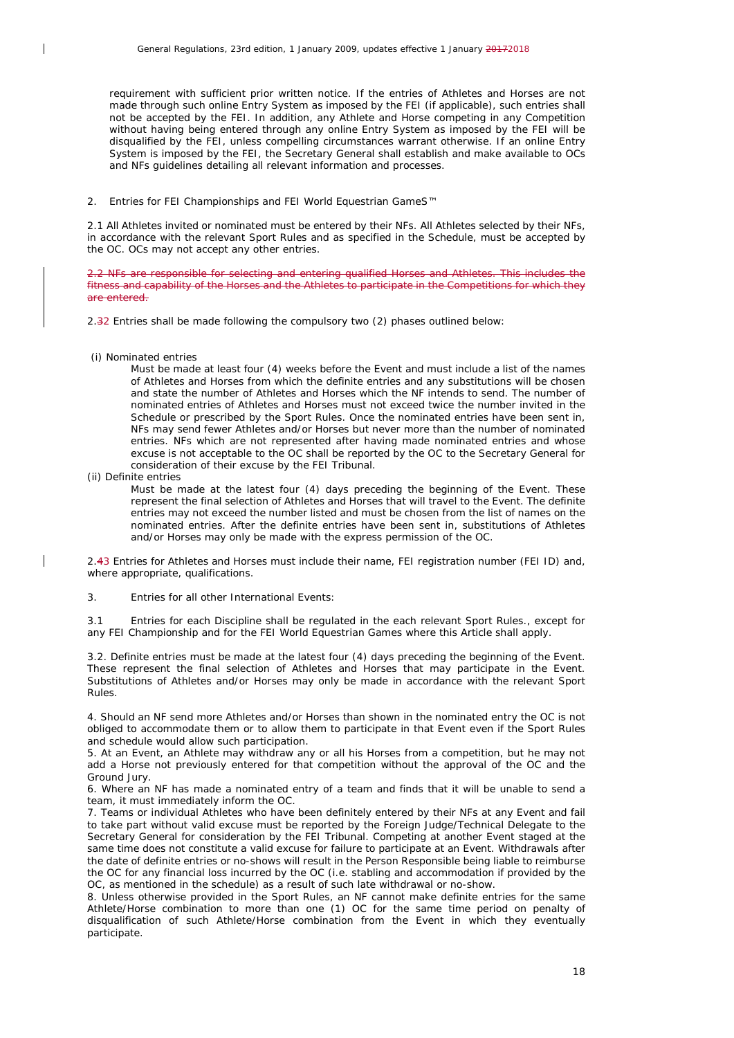requirement with sufficient prior written notice. If the entries of Athletes and Horses are not made through such online Entry System as imposed by the FEI (if applicable), such entries shall not be accepted by the FEI. In addition, any Athlete and Horse competing in any Competition without having being entered through any online Entry System as imposed by the FEI will be disqualified by the FEI, unless compelling circumstances warrant otherwise. If an online Entry System is imposed by the FEI, the Secretary General shall establish and make available to OCs and NFs guidelines detailing all relevant information and processes.

2. Entries for FEI Championships and FEI World Equestrian GameS<sup>™</sup>

2.1 All Athletes invited or nominated must be entered by their NFs. All Athletes selected by their NFs, in accordance with the relevant Sport Rules and as specified in the Schedule, must be accepted by the OC. OCs may not accept any other entries.

2.2 NFs are responsible for selecting and entering qualified Horses and Athletes. This includes the fitness and capability of the Horses and the Athletes to participate in the Competitions for which they are entered.

2.32 Entries shall be made following the compulsory two (2) phases outlined below:

(i) Nominated entries

 $\overline{\phantom{a}}$ 

Must be made at least four (4) weeks before the Event and must include a list of the names of Athletes and Horses from which the definite entries and any substitutions will be chosen and state the number of Athletes and Horses which the NF intends to send. The number of nominated entries of Athletes and Horses must not exceed twice the number invited in the Schedule or prescribed by the Sport Rules. Once the nominated entries have been sent in, NFs may send fewer Athletes and/or Horses but never more than the number of nominated entries. NFs which are not represented after having made nominated entries and whose excuse is not acceptable to the OC shall be reported by the OC to the Secretary General for consideration of their excuse by the FEI Tribunal.

(ii) Definite entries

Must be made at the latest four (4) days preceding the beginning of the Event. These represent the final selection of Athletes and Horses that will travel to the Event. The definite entries may not exceed the number listed and must be chosen from the list of names on the nominated entries. After the definite entries have been sent in, substitutions of Athletes and/or Horses may only be made with the express permission of the OC.

2.43 Entries for Athletes and Horses must include their name, FEI registration number (FEI ID) and, where appropriate, qualifications.

3. Entries for all other International Events:

3.1 Entries for each Discipline shall be regulated in the each relevant Sport Rules., except for any FEI Championship and for the FEI World Equestrian Games where this Article shall apply.

3.2. Definite entries must be made at the latest four (4) days preceding the beginning of the Event. These represent the final selection of Athletes and Horses that may participate in the Event. Substitutions of Athletes and/or Horses may only be made in accordance with the relevant Sport Rules.

4. Should an NF send more Athletes and/or Horses than shown in the nominated entry the OC is not obliged to accommodate them or to allow them to participate in that Event even if the Sport Rules and schedule would allow such participation.

5. At an Event, an Athlete may withdraw any or all his Horses from a competition, but he may not add a Horse not previously entered for that competition without the approval of the OC and the Ground Jury.

6. Where an NF has made a nominated entry of a team and finds that it will be unable to send a team, it must immediately inform the OC.

7. Teams or individual Athletes who have been definitely entered by their NFs at any Event and fail to take part without valid excuse must be reported by the Foreign Judge/Technical Delegate to the Secretary General for consideration by the FEI Tribunal. Competing at another Event staged at the same time does not constitute a valid excuse for failure to participate at an Event. Withdrawals after the date of definite entries or no-shows will result in the Person Responsible being liable to reimburse the OC for any financial loss incurred by the OC (i.e. stabling and accommodation if provided by the OC, as mentioned in the schedule) as a result of such late withdrawal or no-show.

8. Unless otherwise provided in the Sport Rules, an NF cannot make definite entries for the same Athlete/Horse combination to more than one (1) OC for the same time period on penalty of disqualification of such Athlete/Horse combination from the Event in which they eventually participate.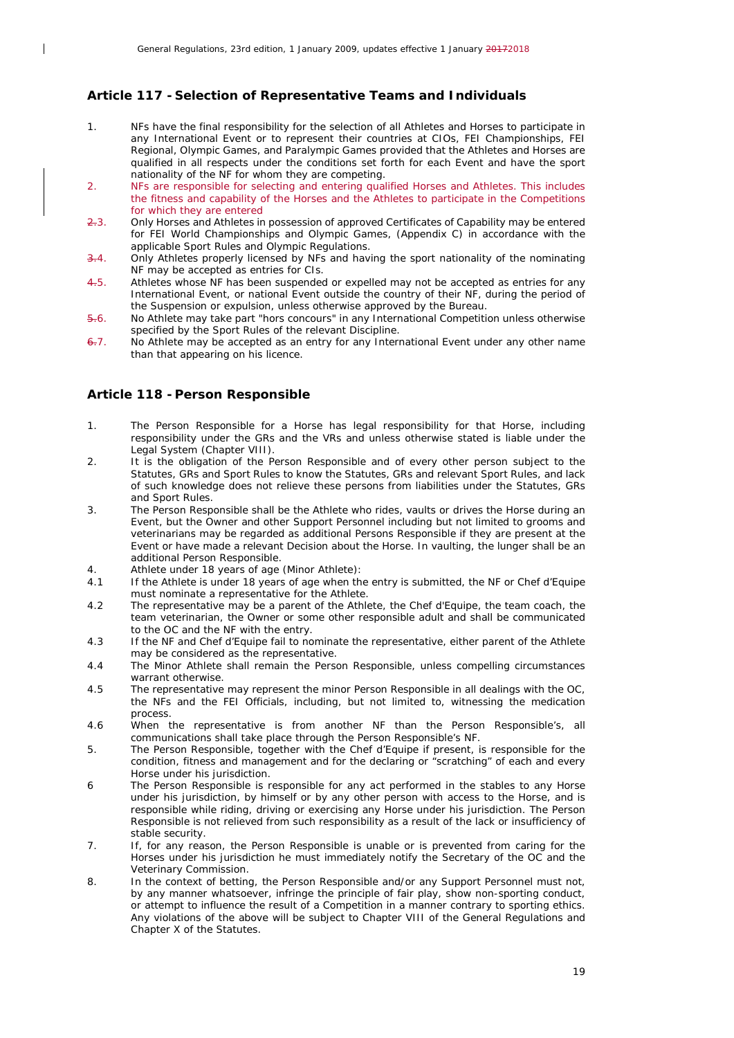## <span id="page-18-0"></span>**Article 117 - Selection of Representative Teams and Individuals**

- 1. NFs have the final responsibility for the selection of all Athletes and Horses to participate in any International Event or to represent their countries at CIOs, FEI Championships, FEI Regional, Olympic Games, and Paralympic Games provided that the Athletes and Horses are qualified in all respects under the conditions set forth for each Event and have the sport nationality of the NF for whom they are competing.
- 2. NFs are responsible for selecting and entering qualified Horses and Athletes. This includes the fitness and capability of the Horses and the Athletes to participate in the Competitions for which they are entered
- 2.3. Only Horses and Athletes in possession of approved Certificates of Capability may be entered for FEI World Championships and Olympic Games, (Appendix C) in accordance with the applicable Sport Rules and Olympic Regulations.
- 3.4. Only Athletes properly licensed by NFs and having the sport nationality of the nominating NF may be accepted as entries for CIs.
- 4.5. Athletes whose NF has been suspended or expelled may not be accepted as entries for any International Event, or national Event outside the country of their NF, during the period of the Suspension or expulsion, unless otherwise approved by the Bureau.
- 5.6. No Athlete may take part "hors concours" in any International Competition unless otherwise specified by the Sport Rules of the relevant Discipline.
- $6.7$ . No Athlete may be accepted as an entry for any International Event under any other name than that appearing on his licence.

#### <span id="page-18-1"></span>**Article 118 - Person Responsible**

 $\overline{\phantom{a}}$ 

- 1. The Person Responsible for a Horse has legal responsibility for that Horse, including responsibility under the GRs and the VRs and unless otherwise stated is liable under the Legal System (Chapter VIII).
- 2. It is the obligation of the Person Responsible and of every other person subject to the Statutes, GRs and Sport Rules to know the Statutes, GRs and relevant Sport Rules, and lack of such knowledge does not relieve these persons from liabilities under the Statutes, GRs and Sport Rules.
- 3. The Person Responsible shall be the Athlete who rides, vaults or drives the Horse during an Event, but the Owner and other Support Personnel including but not limited to grooms and veterinarians may be regarded as additional Persons Responsible if they are present at the Event or have made a relevant Decision about the Horse. In vaulting, the lunger shall be an additional Person Responsible.
- 4. Athlete under 18 years of age (Minor Athlete):<br>4.1 If the Athlete is under 18 years of age when the
- 4.1 If the Athlete is under 18 years of age when the entry is submitted, the NF or Chef d'Equipe must nominate a representative for the Athlete.
- 4.2 The representative may be a parent of the Athlete, the Chef d'Equipe, the team coach, the team veterinarian, the Owner or some other responsible adult and shall be communicated to the OC and the NF with the entry.
- 4.3 If the NF and Chef d'Equipe fail to nominate the representative, either parent of the Athlete may be considered as the representative.
- 4.4 The Minor Athlete shall remain the Person Responsible, unless compelling circumstances warrant otherwise.
- 4.5 The representative may represent the minor Person Responsible in all dealings with the OC, the NFs and the FEI Officials, including, but not limited to, witnessing the medication process.
- 4.6 When the representative is from another NF than the Person Responsible's, all communications shall take place through the Person Responsible's NF.
- 5. The Person Responsible, together with the Chef d'Equipe if present, is responsible for the condition, fitness and management and for the declaring or "scratching" of each and every Horse under his jurisdiction.
- 6 The Person Responsible is responsible for any act performed in the stables to any Horse under his jurisdiction, by himself or by any other person with access to the Horse, and is responsible while riding, driving or exercising any Horse under his jurisdiction. The Person Responsible is not relieved from such responsibility as a result of the lack or insufficiency of stable security.
- 7. If, for any reason, the Person Responsible is unable or is prevented from caring for the Horses under his jurisdiction he must immediately notify the Secretary of the OC and the Veterinary Commission.
- 8. In the context of betting, the Person Responsible and/or any Support Personnel must not, by any manner whatsoever, infringe the principle of fair play, show non-sporting conduct, or attempt to influence the result of a Competition in a manner contrary to sporting ethics. Any violations of the above will be subject to Chapter VIII of the General Regulations and Chapter X of the Statutes.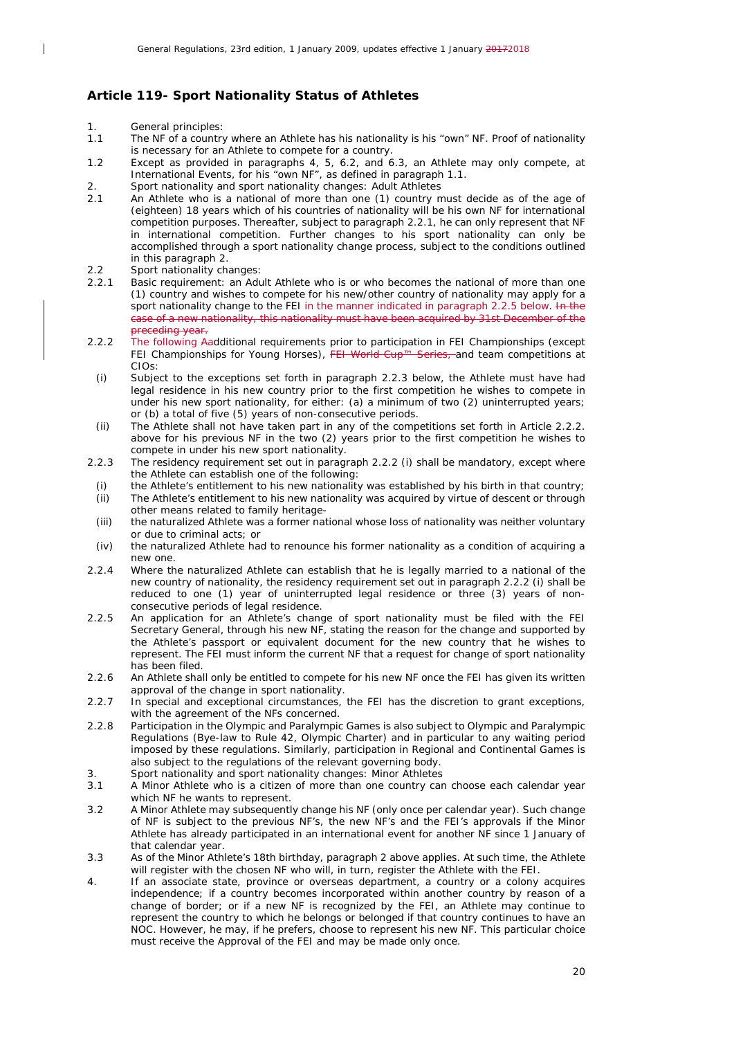## <span id="page-19-0"></span>**Article 119- Sport Nationality Status of Athletes**

1. General principles:

 $\overline{\phantom{a}}$ 

- 1.1 The NF of a country where an Athlete has his nationality is his "own" NF. Proof of nationality is necessary for an Athlete to compete for a country.
- 1.2 Except as provided in paragraphs 4, 5, 6.2, and 6.3, an Athlete may only compete, at International Events, for his "own NF", as defined in paragraph 1.1.
- 2. Sport nationality and sport nationality changes: Adult Athletes<br>2.1 An Athlete who is a national of more than one (1) country n
- 2.1 An Athlete who is a national of more than one (1) country must decide as of the age of (eighteen) 18 years which of his countries of nationality will be his own NF for international competition purposes. Thereafter, subject to paragraph 2.2.1, he can only represent that NF in international competition. Further changes to his sport nationality can only be accomplished through a sport nationality change process, subject to the conditions outlined in this paragraph 2.
- 2.2 Sport nationality changes:<br>2.2.1 Basic requirement: an Adu
- Basic requirement: an Adult Athlete who is or who becomes the national of more than one (1) country and wishes to compete for his new/other country of nationality may apply for a sport nationality change to the FEI in the manner indicated in paragraph 2.2.5 below. In the case of a new nationality, this nationality must have been acquired by 31st December of the preceding year.
- 2.2.2 The following Aadditional requirements prior to participation in FEI Championships (except FEI Championships for Young Horses), FEI World Cup™ Series, and team competitions at FEI Championships for Young Horses), FEI World Cup<sup>™</sup> CIOs:
	- *(i)* Subject to the exceptions set forth in paragraph 2.2.3 below, the Athlete must have had legal residence in his new country prior to the first competition he wishes to compete in under his new sport nationality, for either: (a) a minimum of two (2) uninterrupted years; or (b) a total of five (5) years of non-consecutive periods.
- *(ii)* The Athlete shall not have taken part in any of the competitions set forth in Article 2.2.2. above for his previous NF in the two (2) years prior to the first competition he wishes to compete in under his new sport nationality.
- 2.2.3 The residency requirement set out in paragraph 2.2.2 (i) shall be mandatory, except where the Athlete can establish one of the following:
	- *(i)* the Athlete's entitlement to his new nationality was established by his birth in that country;
	- *(ii)* The Athlete's entitlement to his new nationality was acquired by virtue of descent or through other means related to family heritage-
	- *(iii)* the naturalized Athlete was a former national whose loss of nationality was neither voluntary or due to criminal acts; or
	- *(iv)* the naturalized Athlete had to renounce his former nationality as a condition of acquiring a new one.
- 2.2.4 Where the naturalized Athlete can establish that he is legally married to a national of the new country of nationality, the residency requirement set out in paragraph 2.2.2 (i) shall be reduced to one (1) year of uninterrupted legal residence or three (3) years of nonconsecutive periods of legal residence.
- 2.2.5 An application for an Athlete's change of sport nationality must be filed with the FEI Secretary General, through his new NF, stating the reason for the change and supported by the Athlete's passport or equivalent document for the new country that he wishes to represent. The FEI must inform the current NF that a request for change of sport nationality has been filed.
- 2.2.6 An Athlete shall only be entitled to compete for his new NF once the FEI has given its written approval of the change in sport nationality.
- 2.2.7 In special and exceptional circumstances, the FEI has the discretion to grant exceptions, with the agreement of the NFs concerned.
- 2.2.8 Participation in the Olympic and Paralympic Games is also subject to Olympic and Paralympic Regulations (Bye-law to Rule 42, Olympic Charter) and in particular to any waiting period imposed by these regulations. Similarly, participation in Regional and Continental Games is also subject to the regulations of the relevant governing body.
- 3. Sport nationality and sport nationality changes: Minor Athletes
- 3.1 A Minor Athlete who is a citizen of more than one country can choose each calendar year which NF he wants to represent.
- 3.2 A Minor Athlete may subsequently change his NF (only once per calendar year). Such change of NF is subject to the previous NF's, the new NF's and the FEI's approvals if the Minor Athlete has already participated in an international event for another NF since 1 January of that calendar year.
- 3.3 As of the Minor Athlete's 18th birthday, paragraph 2 above applies. At such time, the Athlete will register with the chosen NF who will, in turn, register the Athlete with the FEI.
- 4. If an associate state, province or overseas department, a country or a colony acquires independence; if a country becomes incorporated within another country by reason of a change of border; or if a new NF is recognized by the FEI, an Athlete may continue to represent the country to which he belongs or belonged if that country continues to have an NOC. However, he may, if he prefers, choose to represent his new NF. This particular choice must receive the Approval of the FEI and may be made only once.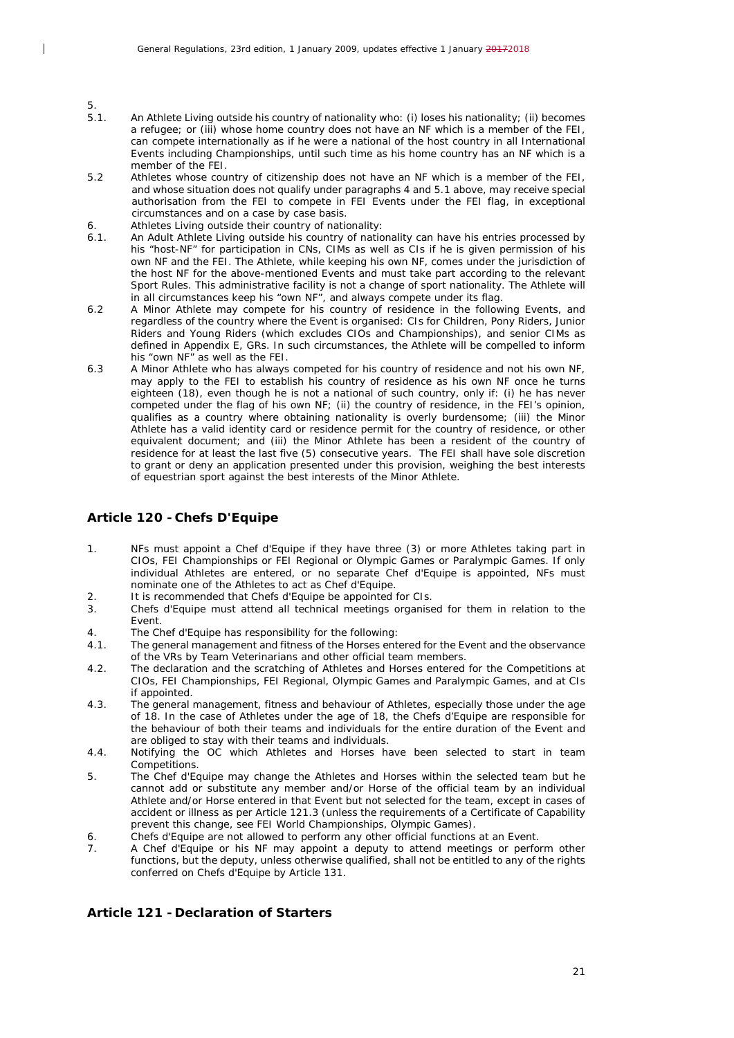- $5.1.5$ 5.1. An Athlete Living outside his country of nationality who: (i) loses his nationality; (ii) becomes a refugee; or (iii) whose home country does not have an NF which is a member of the FEI, can compete internationally as if he were a national of the host country in all International Events including Championships, until such time as his home country has an NF which is a member of the FEI.
- 5.2 Athletes whose country of citizenship does not have an NF which is a member of the FEI, and whose situation does not qualify under paragraphs 4 and 5.1 above, may receive special authorisation from the FEI to compete in FEI Events under the FEI flag, in exceptional circumstances and on a case by case basis.
- 6. Athletes Living outside their country of nationality:

 $\overline{\phantom{a}}$ 

- 6.1. An Adult Athlete Living outside his country of nationality can have his entries processed by his "host-NF" for participation in CNs, CIMs as well as CIs if he is given permission of his own NF and the FEI. The Athlete, while keeping his own NF, comes under the jurisdiction of the host NF for the above-mentioned Events and must take part according to the relevant Sport Rules. This administrative facility is not a change of sport nationality. The Athlete will in all circumstances keep his "own NF", and always compete under its flag.
- 6.2 A Minor Athlete may compete for his country of residence in the following Events, and regardless of the country where the Event is organised: CIs for Children, Pony Riders, Junior Riders and Young Riders (which excludes CIOs and Championships), and senior CIMs as defined in Appendix E, GRs. In such circumstances, the Athlete will be compelled to inform his "own NF" as well as the FEI.
- 6.3 A Minor Athlete who has always competed for his country of residence and not his own NF, may apply to the FEI to establish his country of residence as his own NF once he turns eighteen (18), even though he is not a national of such country, only if: (i) he has never competed under the flag of his own NF; (ii) the country of residence, in the FEI's opinion, qualifies as a country where obtaining nationality is overly burdensome; (iii) the Minor Athlete has a valid identity card or residence permit for the country of residence, or other equivalent document; and (iii) the Minor Athlete has been a resident of the country of residence for at least the last five (5) consecutive years. The FEI shall have sole discretion to grant or deny an application presented under this provision, weighing the best interests of equestrian sport against the best interests of the Minor Athlete.

#### <span id="page-20-0"></span>**Article 120 - Chefs D'Equipe**

- 1. NFs must appoint a Chef d'Equipe if they have three (3) or more Athletes taking part in CIOs, FEI Championships or FEI Regional or Olympic Games or Paralympic Games. If only individual Athletes are entered, or no separate Chef d'Equipe is appointed, NFs must nominate one of the Athletes to act as Chef d'Equipe.
- 2. It is recommended that Chefs d'Equipe be appointed for CIs.<br>3. Chefs d'Equipe must attend all technical meetings organise
- 3. Chefs d'Equipe must attend all technical meetings organised for them in relation to the Event.
- 4. The Chef d'Equipe has responsibility for the following:
- 4.1. The general management and fitness of the Horses entered for the Event and the observance of the VRs by Team Veterinarians and other official team members.
- 4.2. The declaration and the scratching of Athletes and Horses entered for the Competitions at CIOs, FEI Championships, FEI Regional, Olympic Games and Paralympic Games, and at CIs if appointed.
- 4.3. The general management, fitness and behaviour of Athletes, especially those under the age of 18. In the case of Athletes under the age of 18, the Chefs d'Equipe are responsible for the behaviour of both their teams and individuals for the entire duration of the Event and are obliged to stay with their teams and individuals.
- 4.4. Notifying the OC which Athletes and Horses have been selected to start in team Competitions.
- 5. The Chef d'Equipe may change the Athletes and Horses within the selected team but he cannot add or substitute any member and/or Horse of the official team by an individual Athlete and/or Horse entered in that Event but not selected for the team, except in cases of accident or illness as per Article 121.3 (unless the requirements of a Certificate of Capability prevent this change, see FEI World Championships, Olympic Games).
- 6. Chefs d'Equipe are not allowed to perform any other official functions at an Event.<br> $\frac{1}{2}$  A Chef d'Equipe or his NE may annoint a deputy to attend meetings or performed
- 7. A Chef d'Equipe or his NF may appoint a deputy to attend meetings or perform other functions, but the deputy, unless otherwise qualified, shall not be entitled to any of the rights conferred on Chefs d'Equipe by Article 131.

#### <span id="page-20-1"></span>**Article 121 - Declaration of Starters**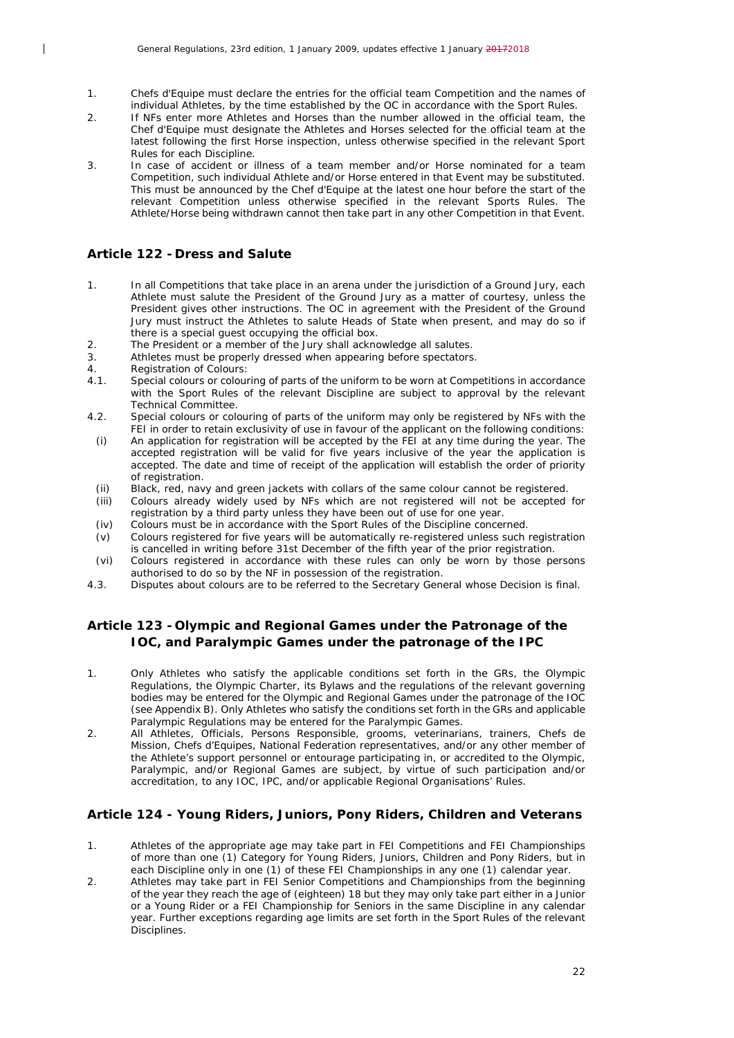- 1. Chefs d'Equipe must declare the entries for the official team Competition and the names of individual Athletes, by the time established by the OC in accordance with the Sport Rules.
- 2. If NFs enter more Athletes and Horses than the number allowed in the official team, the Chef d'Equipe must designate the Athletes and Horses selected for the official team at the latest following the first Horse inspection, unless otherwise specified in the relevant Sport Rules for each Discipline.
- 3. In case of accident or illness of a team member and/or Horse nominated for a team Competition, such individual Athlete and/or Horse entered in that Event may be substituted. This must be announced by the Chef d'Equipe at the latest one hour before the start of the relevant Competition unless otherwise specified in the relevant Sports Rules. The Athlete/Horse being withdrawn cannot then take part in any other Competition in that Event.

## <span id="page-21-0"></span>**Article 122 - Dress and Salute**

 $\overline{\phantom{a}}$ 

- 1. In all Competitions that take place in an arena under the jurisdiction of a Ground Jury, each Athlete must salute the President of the Ground Jury as a matter of courtesy, unless the President gives other instructions. The OC in agreement with the President of the Ground Jury must instruct the Athletes to salute Heads of State when present, and may do so if there is a special guest occupying the official box.
- 2. The President or a member of the Jury shall acknowledge all salutes.<br>3. Athletes must be properly dressed when appearing before spectators
- Athletes must be properly dressed when appearing before spectators.
- 4. Registration of Colours:<br>4.1. Special colours or colour
- Special colours or colouring of parts of the uniform to be worn at Competitions in accordance with the Sport Rules of the relevant Discipline are subject to approval by the relevant Technical Committee.
- 4.2. Special colours or colouring of parts of the uniform may only be registered by NFs with the FEI in order to retain exclusivity of use in favour of the applicant on the following conditions:
	- *(i)* An application for registration will be accepted by the FEI at any time during the year. The accepted registration will be valid for five years inclusive of the year the application is accepted. The date and time of receipt of the application will establish the order of priority of registration.
- *(ii)* Black, red, navy and green jackets with collars of the same colour cannot be registered.
- *(iii)* Colours already widely used by NFs which are not registered will not be accepted for registration by a third party unless they have been out of use for one year.
- *(iv)* Colours must be in accordance with the Sport Rules of the Discipline concerned.<br>*(v)* Colours registered for five years will be automatically re-registered unless such
- *(v)* Colours registered for five years will be automatically re-registered unless such registration is cancelled in writing before 31st December of the fifth year of the prior registration.
- *(vi)* Colours registered in accordance with these rules can only be worn by those persons authorised to do so by the NF in possession of the registration.
- 4.3. Disputes about colours are to be referred to the Secretary General whose Decision is final.

## <span id="page-21-1"></span>**Article 123 - Olympic and Regional Games under the Patronage of the IOC, and Paralympic Games under the patronage of the IPC**

- 1. Only Athletes who satisfy the applicable conditions set forth in the GRs, the Olympic Regulations, the Olympic Charter, its Bylaws and the regulations of the relevant governing bodies may be entered for the Olympic and Regional Games under the patronage of the IOC (see Appendix B). Only Athletes who satisfy the conditions set forth in the GRs and applicable Paralympic Regulations may be entered for the Paralympic Games.
- 2. All Athletes, Officials, Persons Responsible, grooms, veterinarians, trainers, Chefs de Mission, Chefs d'Equipes, National Federation representatives, and/or any other member of the Athlete's support personnel or entourage participating in, or accredited to the Olympic, Paralympic, and/or Regional Games are subject, by virtue of such participation and/or accreditation, to any IOC, IPC, and/or applicable Regional Organisations' Rules.

## <span id="page-21-2"></span>**Article 124 - Young Riders, Juniors, Pony Riders, Children and Veterans**

- 1. Athletes of the appropriate age may take part in FEI Competitions and FEI Championships of more than one (1) Category for Young Riders, Juniors, Children and Pony Riders, but in each Discipline only in one (1) of these FEI Championships in any one (1) calendar year.
- 2. Athletes may take part in FEI Senior Competitions and Championships from the beginning of the year they reach the age of (eighteen) 18 but they may only take part either in a Junior or a Young Rider or a FEI Championship for Seniors in the same Discipline in any calendar year. Further exceptions regarding age limits are set forth in the Sport Rules of the relevant Disciplines.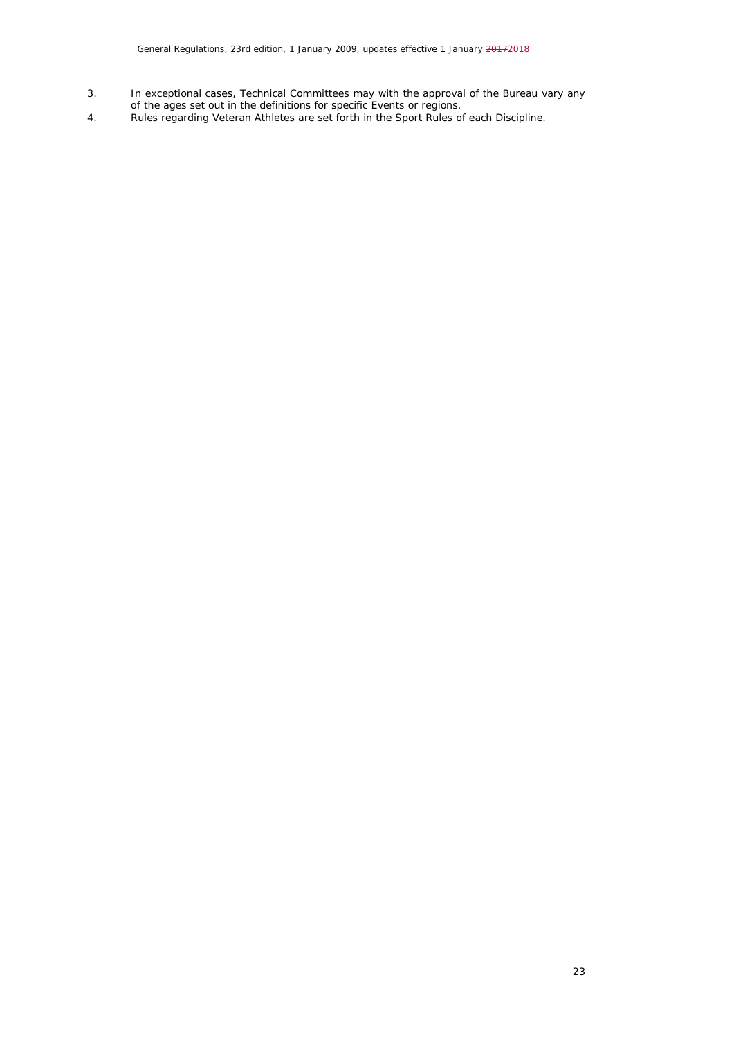- 3. In exceptional cases, Technical Committees may with the approval of the Bureau vary any of the ages set out in the definitions for specific Events or regions.
- 4. Rules regarding Veteran Athletes are set forth in the Sport Rules of each Discipline.

 $\begin{array}{c} \hline \end{array}$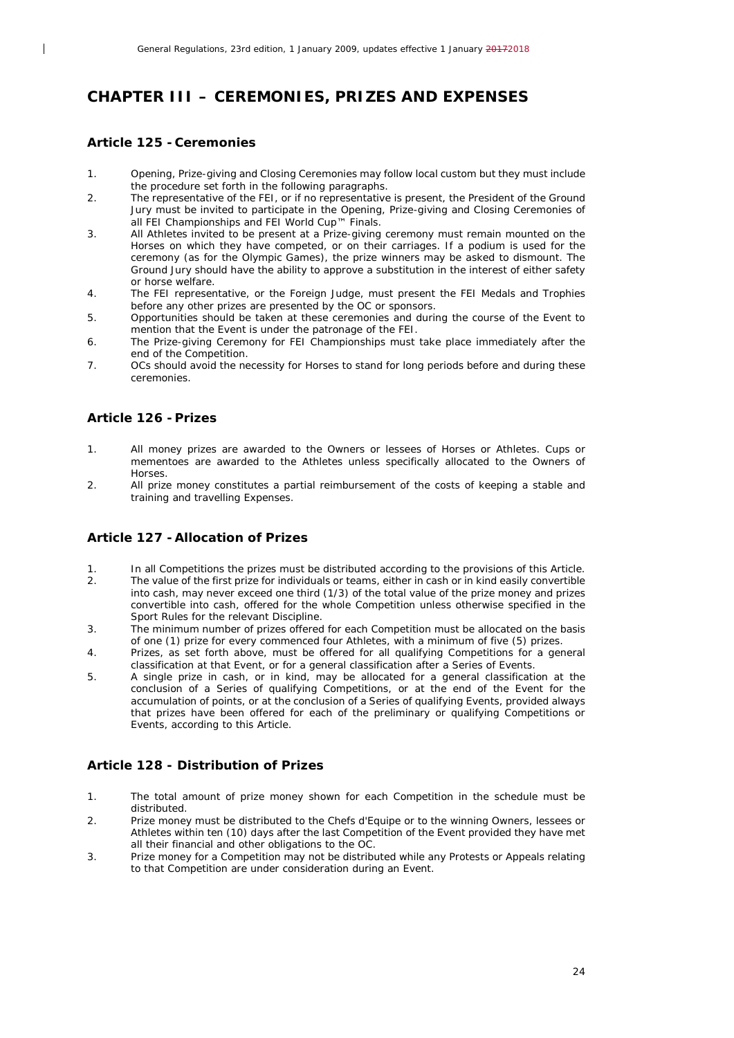## <span id="page-23-0"></span>*CHAPTER III – CEREMONIES, PRIZES AND EXPENSES*

#### <span id="page-23-1"></span>**Article 125 - Ceremonies**

 $\overline{\phantom{a}}$ 

- 1. Opening, Prize-giving and Closing Ceremonies may follow local custom but they must include the procedure set forth in the following paragraphs.
- 2. The representative of the FEI, or if no representative is present, the President of the Ground Jury must be invited to participate in the Opening, Prize-giving and Closing Ceremonies of all FEI Championships and FEI World Cup™ Finals.
- 3. All Athletes invited to be present at a Prize-giving ceremony must remain mounted on the Horses on which they have competed, or on their carriages. If a podium is used for the ceremony (as for the Olympic Games), the prize winners may be asked to dismount. The Ground Jury should have the ability to approve a substitution in the interest of either safety or horse welfare.
- 4. The FEI representative, or the Foreign Judge, must present the FEI Medals and Trophies before any other prizes are presented by the OC or sponsors.
- 5. Opportunities should be taken at these ceremonies and during the course of the Event to mention that the Event is under the patronage of the FEI.
- 6. The Prize-giving Ceremony for FEI Championships must take place immediately after the end of the Competition.
- 7. OCs should avoid the necessity for Horses to stand for long periods before and during these ceremonies.

## <span id="page-23-2"></span>**Article 126 - Prizes**

- 1. All money prizes are awarded to the Owners or lessees of Horses or Athletes. Cups or mementoes are awarded to the Athletes unless specifically allocated to the Owners of Horses.
- 2. All prize money constitutes a partial reimbursement of the costs of keeping a stable and training and travelling Expenses.

## <span id="page-23-3"></span>**Article 127 -Allocation of Prizes**

- 1. In all Competitions the prizes must be distributed according to the provisions of this Article. 2. The value of the first prize for individuals or teams, either in cash or in kind easily convertible into cash, may never exceed one third (1/3) of the total value of the prize money and prizes convertible into cash, offered for the whole Competition unless otherwise specified in the Sport Rules for the relevant Discipline.
- 3. The minimum number of prizes offered for each Competition must be allocated on the basis of one (1) prize for every commenced four Athletes, with a minimum of five (5) prizes.
- 4. Prizes, as set forth above, must be offered for all qualifying Competitions for a general classification at that Event, or for a general classification after a Series of Events.
- 5. A single prize in cash, or in kind, may be allocated for a general classification at the conclusion of a Series of qualifying Competitions, or at the end of the Event for the accumulation of points, or at the conclusion of a Series of qualifying Events, provided always that prizes have been offered for each of the preliminary or qualifying Competitions or Events, according to this Article.

## <span id="page-23-4"></span>**Article 128 - Distribution of Prizes**

- 1. The total amount of prize money shown for each Competition in the schedule must be distributed.
- 2. Prize money must be distributed to the Chefs d'Equipe or to the winning Owners, lessees or Athletes within ten (10) days after the last Competition of the Event provided they have met all their financial and other obligations to the OC.
- 3. Prize money for a Competition may not be distributed while any Protests or Appeals relating to that Competition are under consideration during an Event.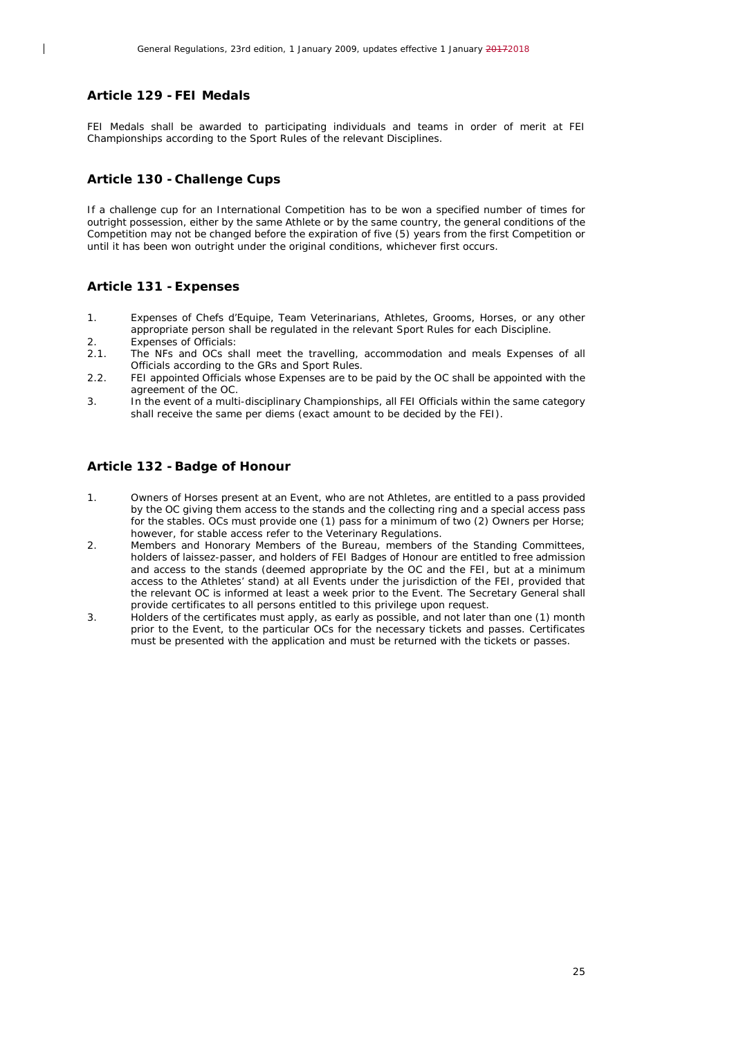## <span id="page-24-0"></span>**Article 129 -FEI Medals**

 $\overline{\phantom{a}}$ 

FEI Medals shall be awarded to participating individuals and teams in order of merit at FEI Championships according to the Sport Rules of the relevant Disciplines.

#### <span id="page-24-1"></span>**Article 130 - Challenge Cups**

If a challenge cup for an International Competition has to be won a specified number of times for outright possession, either by the same Athlete or by the same country, the general conditions of the Competition may not be changed before the expiration of five (5) years from the first Competition or until it has been won outright under the original conditions, whichever first occurs.

#### <span id="page-24-2"></span>**Article 131 -Expenses**

- 1. Expenses of Chefs d'Equipe, Team Veterinarians, Athletes, Grooms, Horses, or any other appropriate person shall be regulated in the relevant Sport Rules for each Discipline. 2. Expenses of Officials:
- 2.1. The NFs and OCs shall meet the travelling, accommodation and meals Expenses of all Officials according to the GRs and Sport Rules.
- 2.2. FEI appointed Officials whose Expenses are to be paid by the OC shall be appointed with the agreement of the OC.
- 3. In the event of a multi-disciplinary Championships, all FEI Officials within the same category shall receive the same per diems (exact amount to be decided by the FEI).

#### <span id="page-24-3"></span>**Article 132 -Badge of Honour**

- 1. Owners of Horses present at an Event, who are not Athletes, are entitled to a pass provided by the OC giving them access to the stands and the collecting ring and a special access pass for the stables. OCs must provide one (1) pass for a minimum of two (2) Owners per Horse; however, for stable access refer to the Veterinary Regulations.
- 2. Members and Honorary Members of the Bureau, members of the Standing Committees, holders of laissez-passer, and holders of FEI Badges of Honour are entitled to free admission and access to the stands (deemed appropriate by the OC and the FEI, but at a minimum access to the Athletes' stand) at all Events under the jurisdiction of the FEI, provided that the relevant OC is informed at least a week prior to the Event. The Secretary General shall provide certificates to all persons entitled to this privilege upon request.
- 3. Holders of the certificates must apply, as early as possible, and not later than one (1) month prior to the Event, to the particular OCs for the necessary tickets and passes. Certificates must be presented with the application and must be returned with the tickets or passes.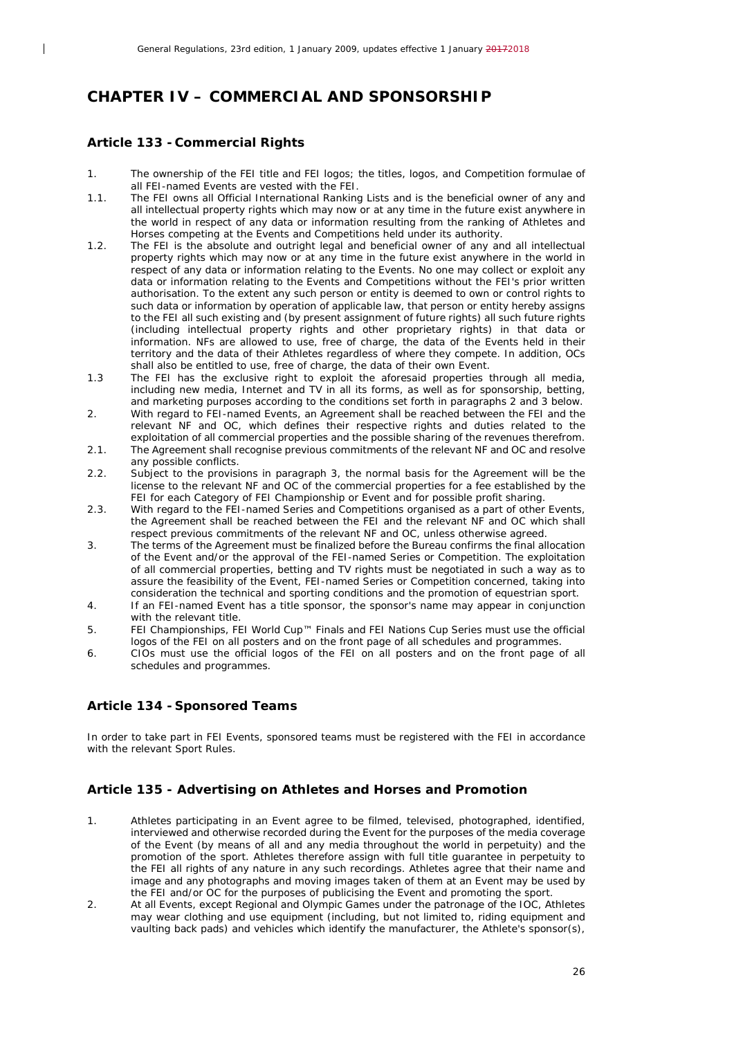## <span id="page-25-0"></span>*CHAPTER IV – COMMERCIAL AND SPONSORSHIP*

#### <span id="page-25-1"></span>**Article 133 - Commercial Rights**

 $\overline{\phantom{a}}$ 

- 1. The ownership of the FEI title and FEI logos; the titles, logos, and Competition formulae of all FEI-named Events are vested with the FEI.
- 1.1. The FEI owns all Official International Ranking Lists and is the beneficial owner of any and all intellectual property rights which may now or at any time in the future exist anywhere in the world in respect of any data or information resulting from the ranking of Athletes and Horses competing at the Events and Competitions held under its authority.
- 1.2. The FEI is the absolute and outright legal and beneficial owner of any and all intellectual property rights which may now or at any time in the future exist anywhere in the world in respect of any data or information relating to the Events. No one may collect or exploit any data or information relating to the Events and Competitions without the FEI's prior written authorisation. To the extent any such person or entity is deemed to own or control rights to such data or information by operation of applicable law, that person or entity hereby assigns to the FEI all such existing and (by present assignment of future rights) all such future rights (including intellectual property rights and other proprietary rights) in that data or information. NFs are allowed to use, free of charge, the data of the Events held in their territory and the data of their Athletes regardless of where they compete. In addition, OCs shall also be entitled to use, free of charge, the data of their own Event.
- 1.3 The FEI has the exclusive right to exploit the aforesaid properties through all media, including new media, Internet and TV in all its forms, as well as for sponsorship, betting, and marketing purposes according to the conditions set forth in paragraphs 2 and 3 below.
- 2. With regard to FEI-named Events, an Agreement shall be reached between the FEI and the relevant NF and OC, which defines their respective rights and duties related to the exploitation of all commercial properties and the possible sharing of the revenues therefrom.
- 2.1. The Agreement shall recognise previous commitments of the relevant NF and OC and resolve any possible conflicts.
- 2.2. Subject to the provisions in paragraph 3, the normal basis for the Agreement will be the license to the relevant NF and OC of the commercial properties for a fee established by the FEI for each Category of FEI Championship or Event and for possible profit sharing.
- 2.3. With regard to the FEI-named Series and Competitions organised as a part of other Events, the Agreement shall be reached between the FEI and the relevant NF and OC which shall respect previous commitments of the relevant NF and OC, unless otherwise agreed.
- 3. The terms of the Agreement must be finalized before the Bureau confirms the final allocation of the Event and/or the approval of the FEI-named Series or Competition. The exploitation of all commercial properties, betting and TV rights must be negotiated in such a way as to assure the feasibility of the Event, FEI-named Series or Competition concerned, taking into consideration the technical and sporting conditions and the promotion of equestrian sport.
- 4. If an FEI-named Event has a title sponsor, the sponsor's name may appear in conjunction with the relevant title.
- 5. FEI Championships, FEI World Cup™ Finals and FEI Nations Cup Series must use the official logos of the FEI on all posters and on the front page of all schedules and programmes.
- 6. CIOs must use the official logos of the FEI on all posters and on the front page of all schedules and programmes.

## <span id="page-25-2"></span>**Article 134 - Sponsored Teams**

In order to take part in FEI Events, sponsored teams must be registered with the FEI in accordance with the relevant Sport Rules.

## <span id="page-25-3"></span>**Article 135 - Advertising on Athletes and Horses and Promotion**

- 1. Athletes participating in an Event agree to be filmed, televised, photographed, identified, interviewed and otherwise recorded during the Event for the purposes of the media coverage of the Event (by means of all and any media throughout the world in perpetuity) and the promotion of the sport. Athletes therefore assign with full title guarantee in perpetuity to the FEI all rights of any nature in any such recordings. Athletes agree that their name and image and any photographs and moving images taken of them at an Event may be used by the FEI and/or OC for the purposes of publicising the Event and promoting the sport.
- 2. At all Events, except Regional and Olympic Games under the patronage of the IOC, Athletes may wear clothing and use equipment (including, but not limited to, riding equipment and vaulting back pads) and vehicles which identify the manufacturer, the Athlete's sponsor(s),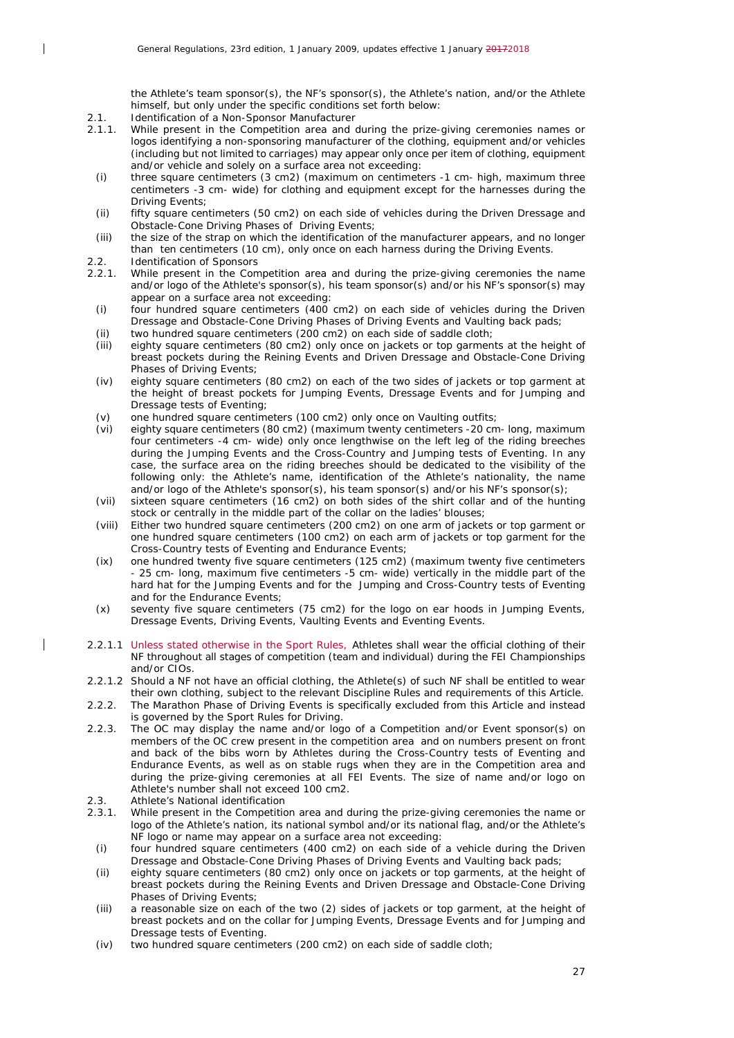the Athlete's team sponsor(s), the NF's sponsor(s), the Athlete's nation, and/or the Athlete himself, but only under the specific conditions set forth below:

- 2.1. Identification of a Non-Sponsor Manufacturer<br>2.1.1. While present in the Competition area and o
- While present in the Competition area and during the prize-giving ceremonies names or logos identifying a non-sponsoring manufacturer of the clothing, equipment and/or vehicles (including but not limited to carriages) may appear only once per item of clothing, equipment and/or vehicle and solely on a surface area not exceeding:
- *(i)* three square centimeters (3 cm2) (maximum on centimeters -1 cm- high, maximum three centimeters -3 cm- wide) for clothing and equipment except for the harnesses during the Driving Events;
- *(ii)* fifty square centimeters (50 cm2) on each side of vehicles during the Driven Dressage and Obstacle-Cone Driving Phases of Driving Events;
- *(iii)* the size of the strap on which the identification of the manufacturer appears, and no longer than ten centimeters (10 cm), only once on each harness during the Driving Events.
- 2.2. Identification of Sponsors

 $\overline{\phantom{a}}$ 

- 2.2.1. While present in the Competition area and during the prize-giving ceremonies the name and/or logo of the Athlete's sponsor(s), his team sponsor(s) and/or his NF's sponsor(s) may appear on a surface area not exceeding:
	- *(i)* four hundred square centimeters (400 cm2) on each side of vehicles during the Driven Dressage and Obstacle-Cone Driving Phases of Driving Events and Vaulting back pads;
	- *(ii)* two hundred square centimeters (200 cm2) on each side of saddle cloth;
	- *(iii)* eighty square centimeters (80 cm2) only once on jackets or top garments at the height of breast pockets during the Reining Events and Driven Dressage and Obstacle-Cone Driving Phases of Driving Events;
	- *(iv)* eighty square centimeters (80 cm2) on each of the two sides of jackets or top garment at the height of breast pockets for Jumping Events, Dressage Events and for Jumping and Dressage tests of Eventing;
	- *(v)* one hundred square centimeters (100 cm2) only once on Vaulting outfits;
	- *(vi)* eighty square centimeters (80 cm2) (maximum twenty centimeters -20 cm- long, maximum four centimeters -4 cm- wide) only once lengthwise on the left leg of the riding breeches during the Jumping Events and the Cross-Country and Jumping tests of Eventing. In any case, the surface area on the riding breeches should be dedicated to the visibility of the following only: the Athlete's name, identification of the Athlete's nationality, the name and/or logo of the Athlete's sponsor(s), his team sponsor(s) and/or his NF's sponsor(s);
	- *(vii)* sixteen square centimeters (16 cm2) on both sides of the shirt collar and of the hunting stock or centrally in the middle part of the collar on the ladies' blouses;
	- *(viii)* Either two hundred square centimeters (200 cm2) on one arm of jackets or top garment or one hundred square centimeters (100 cm2) on each arm of jackets or top garment for the Cross-Country tests of Eventing and Endurance Events;
	- *(ix)* one hundred twenty five square centimeters (125 cm2) (maximum twenty five centimeters - 25 cm- long, maximum five centimeters -5 cm- wide) vertically in the middle part of the hard hat for the Jumping Events and for the Jumping and Cross-Country tests of Eventing and for the Endurance Events;
	- *(x)* seventy five square centimeters (75 cm2) for the logo on ear hoods in Jumping Events, Dressage Events, Driving Events, Vaulting Events and Eventing Events.
- 2.2.1.1 Unless stated otherwise in the Sport Rules, Athletes shall wear the official clothing of their NF throughout all stages of competition (team and individual) during the FEI Championships and/or CIOs.
- 2.2.1.2 Should a NF not have an official clothing, the Athlete(s) of such NF shall be entitled to wear their own clothing, subject to the relevant Discipline Rules and requirements of this Article.
- 2.2.2. The Marathon Phase of Driving Events is specifically excluded from this Article and instead is governed by the Sport Rules for Driving.
- 2.2.3. The OC may display the name and/or logo of a Competition and/or Event sponsor(s) on members of the OC crew present in the competition area and on numbers present on front and back of the bibs worn by Athletes during the Cross-Country tests of Eventing and Endurance Events, as well as on stable rugs when they are in the Competition area and during the prize-giving ceremonies at all FEI Events. The size of name and/or logo on Athlete's number shall not exceed 100 cm2.
- 2.3. Athlete's National identification
- 2.3.1. While present in the Competition area and during the prize-giving ceremonies the name or logo of the Athlete's nation, its national symbol and/or its national flag, and/or the Athlete's NF logo or name may appear on a surface area not exceeding:
- *(i)* four hundred square centimeters (400 cm2) on each side of a vehicle during the Driven Dressage and Obstacle-Cone Driving Phases of Driving Events and Vaulting back pads;
- *(ii)* eighty square centimeters (80 cm2) only once on jackets or top garments, at the height of breast pockets during the Reining Events and Driven Dressage and Obstacle-Cone Driving Phases of Driving Events;
- *(iii)* a reasonable size on each of the two (2) sides of jackets or top garment, at the height of breast pockets and on the collar for Jumping Events, Dressage Events and for Jumping and Dressage tests of Eventing.
- *(iv)* two hundred square centimeters (200 cm2) on each side of saddle cloth;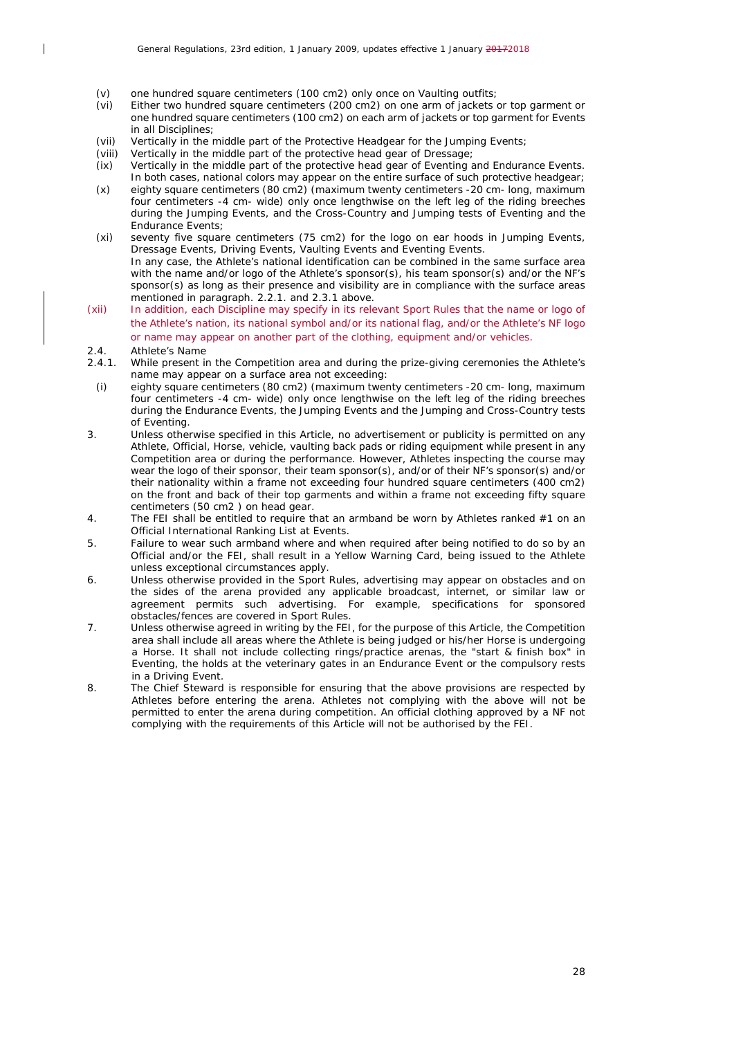- *(v)* one hundred square centimeters (100 cm2) only once on Vaulting outfits;
- *(vi)* Either two hundred square centimeters (200 cm2) on one arm of jackets or top garment or one hundred square centimeters (100 cm2) on each arm of jackets or top garment for Events in all Disciplines;
- *(vii)* Vertically in the middle part of the Protective Headgear for the Jumping Events;
- Vertically in the middle part of the protective head gear of Dressage;
- *(ix)* Vertically in the middle part of the protective head gear of Eventing and Endurance Events. In both cases, national colors may appear on the entire surface of such protective headgear;
- *(x)* eighty square centimeters (80 cm2) (maximum twenty centimeters -20 cm- long, maximum four centimeters -4 cm- wide) only once lengthwise on the left leg of the riding breeches during the Jumping Events, and the Cross-Country and Jumping tests of Eventing and the Endurance Events:
- *(xi)* seventy five square centimeters (75 cm2) for the logo on ear hoods in Jumping Events, Dressage Events, Driving Events, Vaulting Events and Eventing Events. In any case, the Athlete's national identification can be combined in the same surface area with the name and/or logo of the Athlete's sponsor(s), his team sponsor(s) and/or the NF's sponsor(s) as long as their presence and visibility are in compliance with the surface areas mentioned in paragraph. 2.2.1. and 2.3.1 above.
- (xii) In addition, each Discipline may specify in its relevant Sport Rules that the name or logo of the Athlete's nation, its national symbol and/or its national flag, and/or the Athlete's NF logo or name may appear on another part of the clothing, equipment and/or vehicles.
- 2.4. Athlete's Name

 $\overline{\phantom{a}}$ 

- 2.4.1. While present in the Competition area and during the prize-giving ceremonies the Athlete's name may appear on a surface area not exceeding:
- *(i)* eighty square centimeters (80 cm2) (maximum twenty centimeters -20 cm- long, maximum four centimeters -4 cm- wide) only once lengthwise on the left leg of the riding breeches during the Endurance Events, the Jumping Events and the Jumping and Cross-Country tests of Eventing.
- 3. Unless otherwise specified in this Article, no advertisement or publicity is permitted on any Athlete, Official, Horse, vehicle, vaulting back pads or riding equipment while present in any Competition area or during the performance. However, Athletes inspecting the course may wear the logo of their sponsor, their team sponsor(s), and/or of their NF's sponsor(s) and/or their nationality within a frame not exceeding four hundred square centimeters (400 cm2) on the front and back of their top garments and within a frame not exceeding fifty square centimeters (50 cm2 ) on head gear.
- 4. The FEI shall be entitled to require that an armband be worn by Athletes ranked #1 on an Official International Ranking List at Events.
- 5. Failure to wear such armband where and when required after being notified to do so by an Official and/or the FEI, shall result in a Yellow Warning Card, being issued to the Athlete unless exceptional circumstances apply.
- 6. Unless otherwise provided in the Sport Rules, advertising may appear on obstacles and on the sides of the arena provided any applicable broadcast, internet, or similar law or agreement permits such advertising. For example, specifications for sponsored obstacles/fences are covered in Sport Rules.
- 7. Unless otherwise agreed in writing by the FEI, for the purpose of this Article, the Competition area shall include all areas where the Athlete is being judged or his/her Horse is undergoing a Horse. It shall not include collecting rings/practice arenas, the "start & finish box" in Eventing, the holds at the veterinary gates in an Endurance Event or the compulsory rests in a Driving Event.
- 8. The Chief Steward is responsible for ensuring that the above provisions are respected by Athletes before entering the arena. Athletes not complying with the above will not be permitted to enter the arena during competition. An official clothing approved by a NF not complying with the requirements of this Article will not be authorised by the FEI.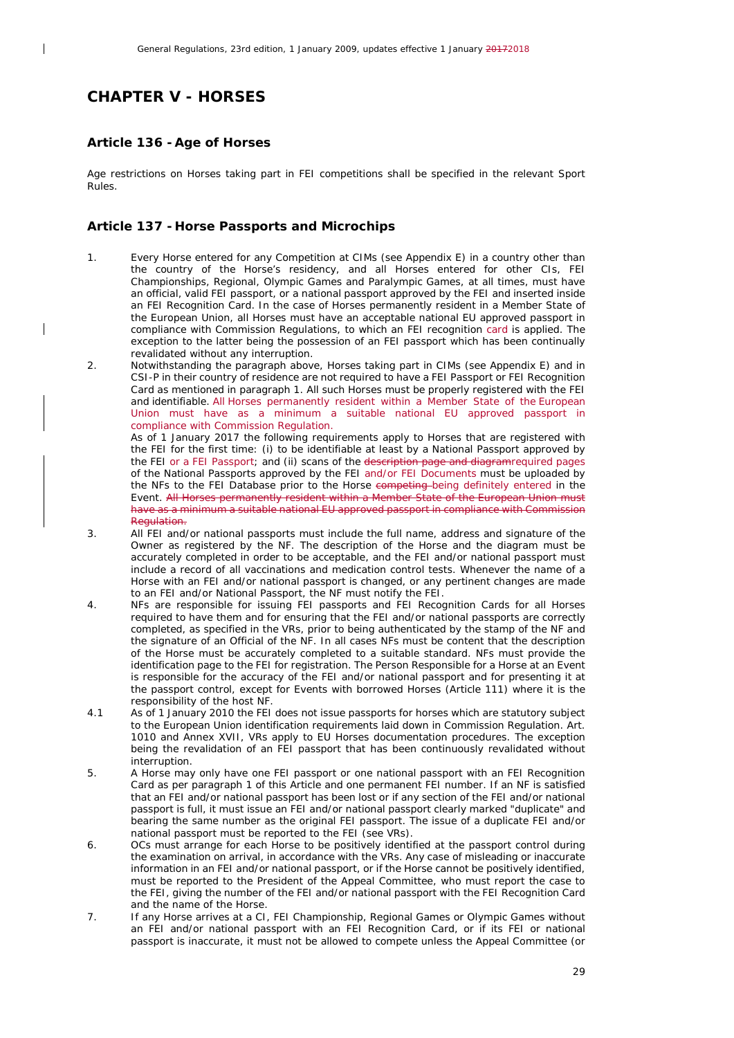## <span id="page-28-0"></span>*CHAPTER V - HORSES*

 $\overline{\phantom{a}}$ 

#### <span id="page-28-1"></span>**Article 136 -Age of Horses**

Age restrictions on Horses taking part in FEI competitions shall be specified in the relevant Sport Rules.

#### <span id="page-28-2"></span>**Article 137 - Horse Passports and Microchips**

- 1. Every Horse entered for any Competition at CIMs (see Appendix E) in a country other than the country of the Horse's residency, and all Horses entered for other CIs, FEI Championships, Regional, Olympic Games and Paralympic Games, at all times, must have an official, valid FEI passport, or a national passport approved by the FEI and inserted inside an FEI Recognition Card. In the case of Horses permanently resident in a Member State of the European Union, all Horses must have an acceptable national EU approved passport in compliance with Commission Regulations, to which an FEI recognition card is applied. The exception to the latter being the possession of an FEI passport which has been continually revalidated without any interruption.
- 2. Notwithstanding the paragraph above, Horses taking part in CIMs (see Appendix E) and in CSI-P in their country of residence are not required to have a FEI Passport or FEI Recognition Card as mentioned in paragraph 1. All such Horses must be properly registered with the FEI and identifiable. All Horses permanently resident within a Member State of the European Union must have as a minimum a suitable national EU approved passport in compliance with Commission Regulation.

As of 1 January 2017 the following requirements apply to Horses that are registered with the FEI for the first time: (i) to be identifiable at least by a National Passport approved by the FEI or a FEI Passport; and (ii) scans of the description page and diagram required pages of the National Passports approved by the FEI and/or FEI Documents must be uploaded by the NFs to the FEI Database prior to the Horse competing being definitely entered in the Event. All Horses permanently resident within a Member State of the European Union must have as a minimum a suitable national EU approved passport in compliance with Commission Regulation.

- 3. All FEI and/or national passports must include the full name, address and signature of the Owner as registered by the NF. The description of the Horse and the diagram must be accurately completed in order to be acceptable, and the FEI and/or national passport must include a record of all vaccinations and medication control tests. Whenever the name of a Horse with an FEI and/or national passport is changed, or any pertinent changes are made to an FEI and/or National Passport, the NF must notify the FEI.
- 4. NFs are responsible for issuing FEI passports and FEI Recognition Cards for all Horses required to have them and for ensuring that the FEI and/or national passports are correctly completed, as specified in the VRs, prior to being authenticated by the stamp of the NF and the signature of an Official of the NF. In all cases NFs must be content that the description of the Horse must be accurately completed to a suitable standard. NFs must provide the identification page to the FEI for registration. The Person Responsible for a Horse at an Event is responsible for the accuracy of the FEI and/or national passport and for presenting it at the passport control, except for Events with borrowed Horses (Article 111) where it is the responsibility of the host NF.
- 4.1 As of 1 January 2010 the FEI does not issue passports for horses which are statutory subject to the European Union identification requirements laid down in Commission Regulation. Art. 1010 and Annex XVII, VRs apply to EU Horses documentation procedures. The exception being the revalidation of an FEI passport that has been continuously revalidated without interruption.
- 5. A Horse may only have one FEI passport or one national passport with an FEI Recognition Card as per paragraph 1 of this Article and one permanent FEI number. If an NF is satisfied that an FEI and/or national passport has been lost or if any section of the FEI and/or national passport is full, it must issue an FEI and/or national passport clearly marked "duplicate" and bearing the same number as the original FEI passport. The issue of a duplicate FEI and/or national passport must be reported to the FEI (see VRs).
- 6. OCs must arrange for each Horse to be positively identified at the passport control during the examination on arrival, in accordance with the VRs. Any case of misleading or inaccurate information in an FEI and/or national passport, or if the Horse cannot be positively identified, must be reported to the President of the Appeal Committee, who must report the case to the FEI, giving the number of the FEI and/or national passport with the FEI Recognition Card and the name of the Horse.
- 7. If any Horse arrives at a CI, FEI Championship, Regional Games or Olympic Games without an FEI and/or national passport with an FEI Recognition Card, or if its FEI or national passport is inaccurate, it must not be allowed to compete unless the Appeal Committee (or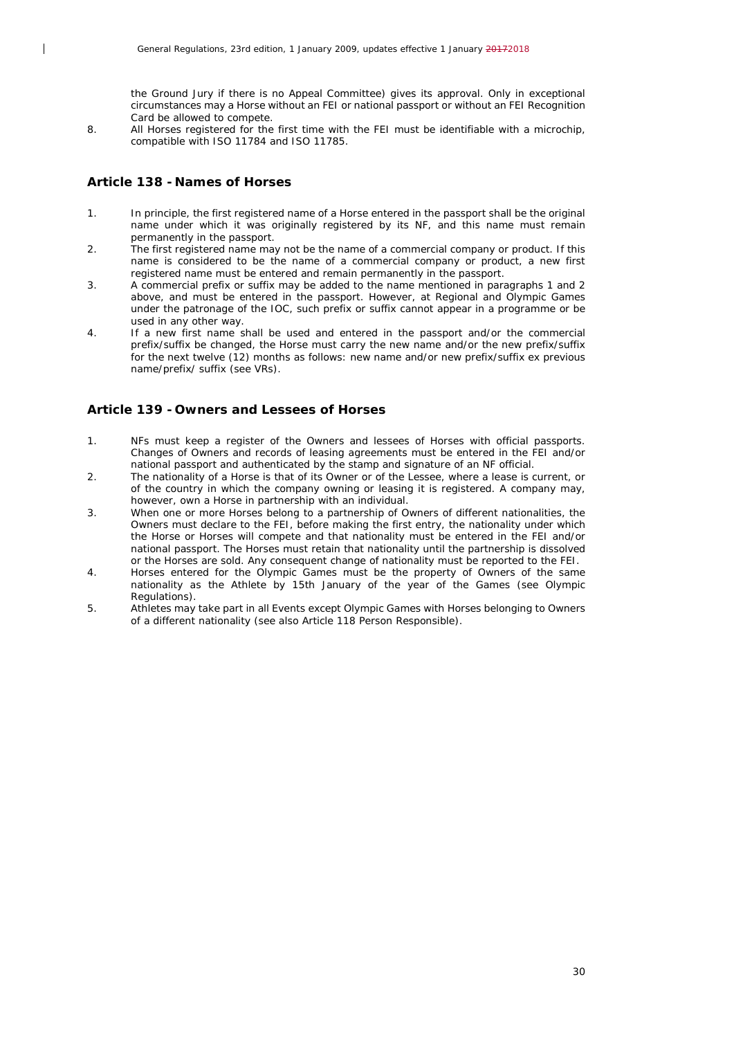the Ground Jury if there is no Appeal Committee) gives its approval. Only in exceptional circumstances may a Horse without an FEI or national passport or without an FEI Recognition Card be allowed to compete.

8. All Horses registered for the first time with the FEI must be identifiable with a microchip, compatible with ISO 11784 and ISO 11785.

#### <span id="page-29-0"></span>**Article 138 - Names of Horses**

 $\overline{\phantom{a}}$ 

- 1. In principle, the first registered name of a Horse entered in the passport shall be the original name under which it was originally registered by its NF, and this name must remain permanently in the passport.
- 2. The first registered name may not be the name of a commercial company or product. If this name is considered to be the name of a commercial company or product, a new first registered name must be entered and remain permanently in the passport.
- 3. A commercial prefix or suffix may be added to the name mentioned in paragraphs 1 and 2 above, and must be entered in the passport. However, at Regional and Olympic Games under the patronage of the IOC, such prefix or suffix cannot appear in a programme or be used in any other way.
- 4. If a new first name shall be used and entered in the passport and/or the commercial prefix/suffix be changed, the Horse must carry the new name and/or the new prefix/suffix for the next twelve (12) months as follows: new name and/or new prefix/suffix ex previous name/prefix/ suffix (see VRs).

#### <span id="page-29-1"></span>**Article 139 - Owners and Lessees of Horses**

- 1. NFs must keep a register of the Owners and lessees of Horses with official passports. Changes of Owners and records of leasing agreements must be entered in the FEI and/or national passport and authenticated by the stamp and signature of an NF official.
- 2. The nationality of a Horse is that of its Owner or of the Lessee, where a lease is current, or of the country in which the company owning or leasing it is registered. A company may, however, own a Horse in partnership with an individual.
- 3. When one or more Horses belong to a partnership of Owners of different nationalities, the Owners must declare to the FEI, before making the first entry, the nationality under which the Horse or Horses will compete and that nationality must be entered in the FEI and/or national passport. The Horses must retain that nationality until the partnership is dissolved or the Horses are sold. Any consequent change of nationality must be reported to the FEI.
- 4. Horses entered for the Olympic Games must be the property of Owners of the same nationality as the Athlete by 15th January of the year of the Games (see Olympic Regulations).
- 5. Athletes may take part in all Events except Olympic Games with Horses belonging to Owners of a different nationality (see also Article 118 Person Responsible).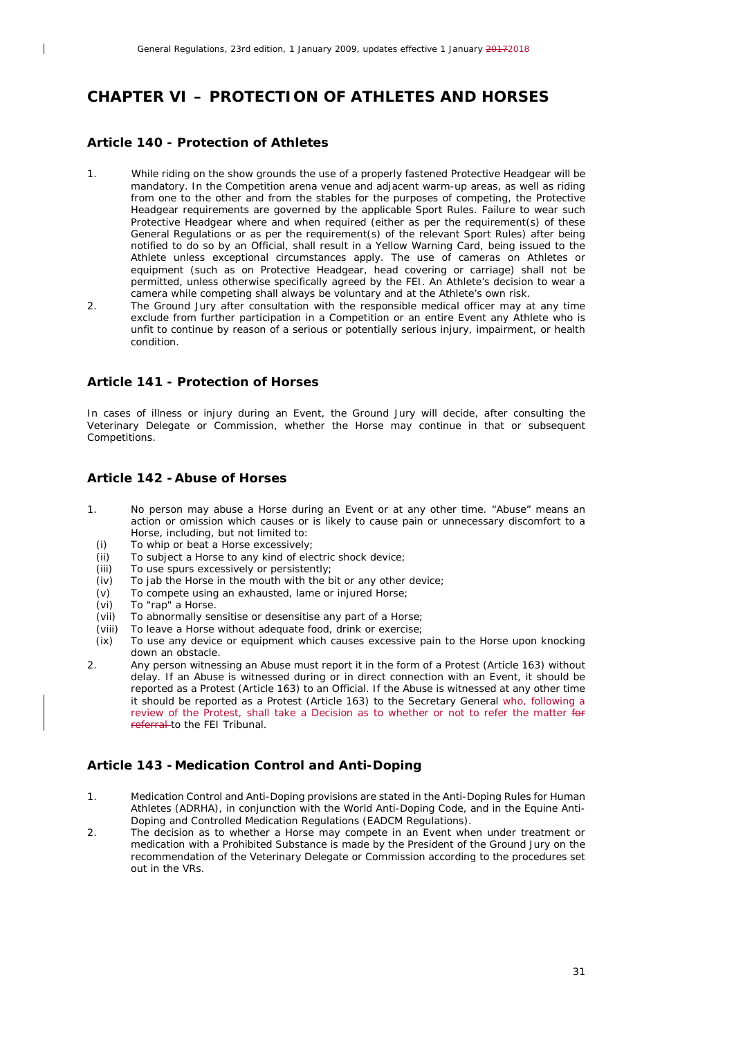## <span id="page-30-0"></span>*CHAPTER VI – PROTECTION OF ATHLETES AND HORSES*

#### <span id="page-30-1"></span>**Article 140 - Protection of Athletes**

 $\overline{\phantom{a}}$ 

- 1. While riding on the show grounds the use of a properly fastened Protective Headgear will be mandatory. In the Competition arena venue and adjacent warm-up areas, as well as riding from one to the other and from the stables for the purposes of competing, the Protective Headgear requirements are governed by the applicable Sport Rules. Failure to wear such Protective Headgear where and when required (either as per the requirement(s) of these General Regulations or as per the requirement(s) of the relevant Sport Rules) after being notified to do so by an Official, shall result in a Yellow Warning Card, being issued to the Athlete unless exceptional circumstances apply. The use of cameras on Athletes or equipment (such as on Protective Headgear, head covering or carriage) shall not be permitted, unless otherwise specifically agreed by the FEI. An Athlete's decision to wear a camera while competing shall always be voluntary and at the Athlete's own risk.
- 2. The Ground Jury after consultation with the responsible medical officer may at any time exclude from further participation in a Competition or an entire Event any Athlete who is unfit to continue by reason of a serious or potentially serious injury, impairment, or health condition.

#### <span id="page-30-2"></span>**Article 141 - Protection of Horses**

In cases of illness or injury during an Event, the Ground Jury will decide, after consulting the Veterinary Delegate or Commission, whether the Horse may continue in that or subsequent Competitions.

#### <span id="page-30-3"></span>**Article 142 -Abuse of Horses**

- 1. No person may abuse a Horse during an Event or at any other time. "Abuse" means an action or omission which causes or is likely to cause pain or unnecessary discomfort to a Horse, including, but not limited to:
	-
	- *(i)* To whip or beat a Horse excessively;<br>*(ii)* To subject a Horse to any kind of ele *(ii)* To subject a Horse to any kind of electric shock device;<br>*(iii)* To use spurs excessively or persistently;
	- To use spurs excessively or persistently;
	- $(iv)$  To jab the Horse in the mouth with the bit or any other device;  $(v)$  To compete using an exhausted, lame or injured Horse;
	- To compete using an exhausted, lame or injured Horse;
	-
	- *(vi)* To "rap" a Horse. To abnormally sensitise or desensitise any part of a Horse;
	- *(viii)* To leave a Horse without adequate food, drink or exercise;
- *(ix)* To use any device or equipment which causes excessive pain to the Horse upon knocking down an obstacle.
- 2. Any person witnessing an Abuse must report it in the form of a Protest (Article 163) without delay. If an Abuse is witnessed during or in direct connection with an Event, it should be reported as a Protest (Article 163) to an Official. If the Abuse is witnessed at any other time it should be reported as a Protest (Article 163) to the Secretary General who, following a review of the Protest, shall take a Decision as to whether or not to refer the matter for referral to the FEI Tribunal.

## <span id="page-30-4"></span>**Article 143 -Medication Control and Anti-Doping**

- 1. Medication Control and Anti-Doping provisions are stated in the Anti-Doping Rules for Human Athletes (ADRHA), in conjunction with the World Anti-Doping Code, and in the Equine Anti-Doping and Controlled Medication Regulations (EADCM Regulations).
- 2. The decision as to whether a Horse may compete in an Event when under treatment or medication with a Prohibited Substance is made by the President of the Ground Jury on the recommendation of the Veterinary Delegate or Commission according to the procedures set out in the VRs.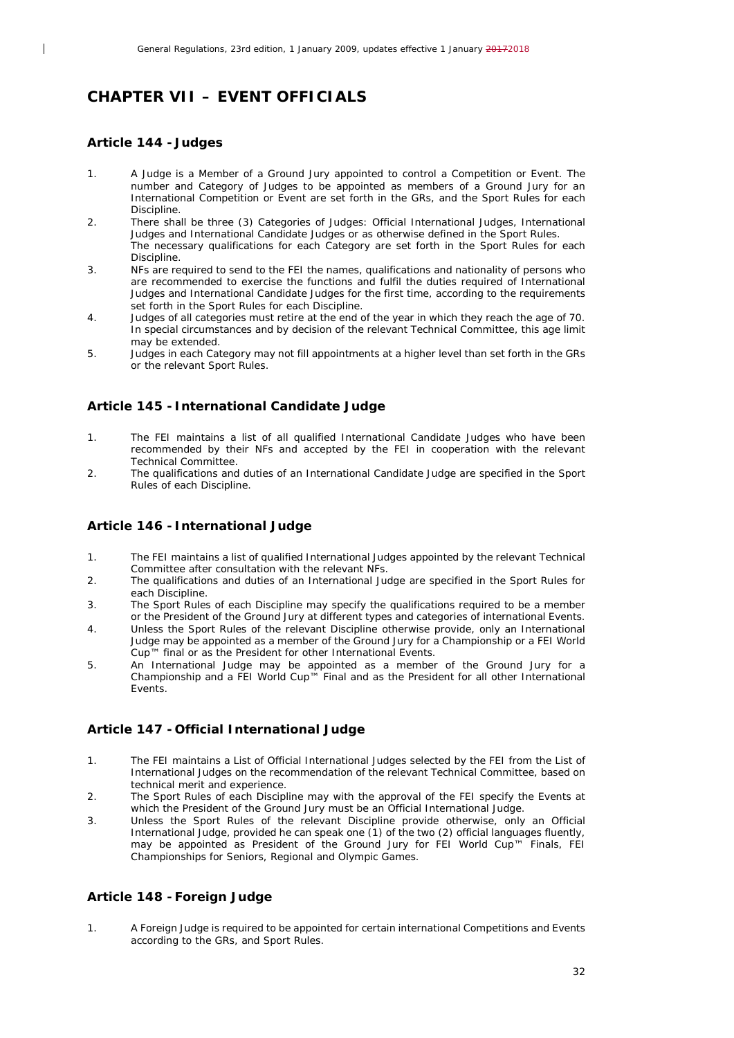## <span id="page-31-0"></span>*CHAPTER VII – EVENT OFFICIALS*

#### <span id="page-31-1"></span>**Article 144 - Judges**

 $\overline{\phantom{a}}$ 

- 1. A Judge is a Member of a Ground Jury appointed to control a Competition or Event. The number and Category of Judges to be appointed as members of a Ground Jury for an International Competition or Event are set forth in the GRs, and the Sport Rules for each Discipline.
- 2. There shall be three (3) Categories of Judges: Official International Judges, International Judges and International Candidate Judges or as otherwise defined in the Sport Rules. The necessary qualifications for each Category are set forth in the Sport Rules for each **Discipline**
- 3. NFs are required to send to the FEI the names, qualifications and nationality of persons who are recommended to exercise the functions and fulfil the duties required of International Judges and International Candidate Judges for the first time, according to the requirements set forth in the Sport Rules for each Discipline.
- 4. Judges of all categories must retire at the end of the year in which they reach the age of 70. In special circumstances and by decision of the relevant Technical Committee, this age limit may be extended.
- 5. Judges in each Category may not fill appointments at a higher level than set forth in the GRs or the relevant Sport Rules.

## <span id="page-31-2"></span>**Article 145 - International Candidate Judge**

- 1. The FEI maintains a list of all qualified International Candidate Judges who have been recommended by their NFs and accepted by the FEI in cooperation with the relevant Technical Committee.
- 2. The qualifications and duties of an International Candidate Judge are specified in the Sport Rules of each Discipline.

#### <span id="page-31-3"></span>**Article 146 - International Judge**

- 1. The FEI maintains a list of qualified International Judges appointed by the relevant Technical Committee after consultation with the relevant NFs.
- 2. The qualifications and duties of an International Judge are specified in the Sport Rules for each Discipline.
- 3. The Sport Rules of each Discipline may specify the qualifications required to be a member or the President of the Ground Jury at different types and categories of international Events.
- 4. Unless the Sport Rules of the relevant Discipline otherwise provide, only an International Judge may be appointed as a member of the Ground Jury for a Championship or a FEI World Cup™ final or as the President for other International Events.
- 5. An International Judge may be appointed as a member of the Ground Jury for a Championship and a FEI World Cup™ Final and as the President for all other International Events.

## <span id="page-31-4"></span>**Article 147 - Official International Judge**

- 1. The FEI maintains a List of Official International Judges selected by the FEI from the List of International Judges on the recommendation of the relevant Technical Committee, based on technical merit and experience.
- 2. The Sport Rules of each Discipline may with the approval of the FEI specify the Events at which the President of the Ground Jury must be an Official International Judge.
- 3. Unless the Sport Rules of the relevant Discipline provide otherwise, only an Official International Judge, provided he can speak one (1) of the two (2) official languages fluently, may be appointed as President of the Ground Jury for FEI World Cup™ Finals, FEI Championships for Seniors, Regional and Olympic Games.

## <span id="page-31-5"></span>**Article 148 -Foreign Judge**

1. A Foreign Judge is required to be appointed for certain international Competitions and Events according to the GRs, and Sport Rules.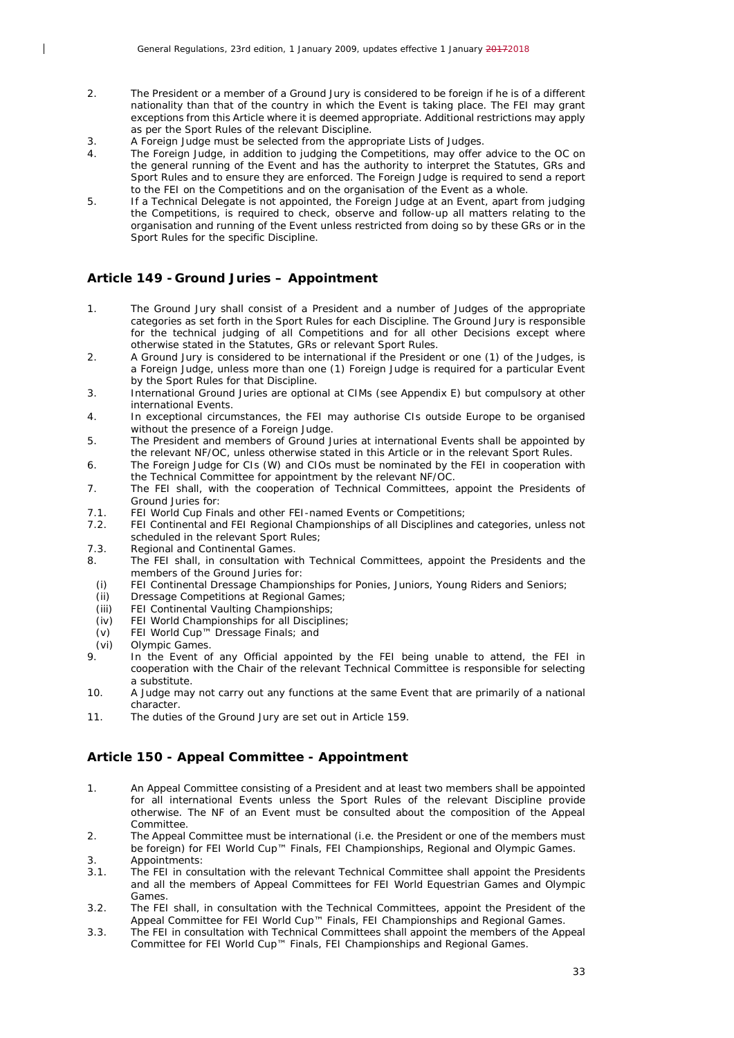- 2. The President or a member of a Ground Jury is considered to be foreign if he is of a different nationality than that of the country in which the Event is taking place. The FEI may grant exceptions from this Article where it is deemed appropriate. Additional restrictions may apply as per the Sport Rules of the relevant Discipline.
- 3. A Foreign Judge must be selected from the appropriate Lists of Judges.
- 4. The Foreign Judge, in addition to judging the Competitions, may offer advice to the OC on the general running of the Event and has the authority to interpret the Statutes, GRs and Sport Rules and to ensure they are enforced. The Foreign Judge is required to send a report to the FEI on the Competitions and on the organisation of the Event as a whole.
- 5. If a Technical Delegate is not appointed, the Foreign Judge at an Event, apart from judging the Competitions, is required to check, observe and follow-up all matters relating to the organisation and running of the Event unless restricted from doing so by these GRs or in the Sport Rules for the specific Discipline.

#### <span id="page-32-0"></span>**Article 149 - Ground Juries – Appointment**

- 1. The Ground Jury shall consist of a President and a number of Judges of the appropriate categories as set forth in the Sport Rules for each Discipline. The Ground Jury is responsible for the technical judging of all Competitions and for all other Decisions except where otherwise stated in the Statutes, GRs or relevant Sport Rules.
- 2. A Ground Jury is considered to be international if the President or one (1) of the Judges, is a Foreign Judge, unless more than one (1) Foreign Judge is required for a particular Event by the Sport Rules for that Discipline.
- 3. International Ground Juries are optional at CIMs (see Appendix E) but compulsory at other international Events.
- 4. In exceptional circumstances, the FEI may authorise CIs outside Europe to be organised without the presence of a Foreign Judge.
- 5. The President and members of Ground Juries at international Events shall be appointed by the relevant NF/OC, unless otherwise stated in this Article or in the relevant Sport Rules.
- 6. The Foreign Judge for CIs (W) and CIOs must be nominated by the FEI in cooperation with the Technical Committee for appointment by the relevant NF/OC.
- 7. The FEI shall, with the cooperation of Technical Committees, appoint the Presidents of Ground Juries for:
- 7.1. FEI World Cup Finals and other FEI-named Events or Competitions;
- 7.2. FEI Continental and FEI Regional Championships of all Disciplines and categories, unless not scheduled in the relevant Sport Rules:
- 7.3. Regional and Continental Games.<br>8. The FEL shall in consultation wi
- The FEI shall, in consultation with Technical Committees, appoint the Presidents and the members of the Ground Juries for:
- *(i)* FEI Continental Dressage Championships for Ponies, Juniors, Young Riders and Seniors;
- *(ii)* Dressage Competitions at Regional Games;
- *(iii)* FEI Continental Vaulting Championships;
- *(iv)* FEI World Championships for all Disciplines;
- *(v)* FEI World Cup™ Dressage Finals; and
- *(vi)* Olympic Games.

 $\overline{\phantom{a}}$ 

- In the Event of any Official appointed by the FEI being unable to attend, the FEI in cooperation with the Chair of the relevant Technical Committee is responsible for selecting a substitute.
- 10. A Judge may not carry out any functions at the same Event that are primarily of a national character.
- 11. The duties of the Ground Jury are set out in Article 159.

## <span id="page-32-1"></span>**Article 150 - Appeal Committee - Appointment**

- 1. An Appeal Committee consisting of a President and at least two members shall be appointed for all international Events unless the Sport Rules of the relevant Discipline provide otherwise. The NF of an Event must be consulted about the composition of the Appeal Committee.
- 2. The Appeal Committee must be international (i.e. the President or one of the members must be foreign) for FEI World Cup™ Finals, FEI Championships, Regional and Olympic Games.
- 3. Appointments:<br>3.1. The FEI in con-
- 3.1. The FEI in consultation with the relevant Technical Committee shall appoint the Presidents and all the members of Appeal Committees for FEI World Equestrian Games and Olympic Games.
- 3.2. The FEI shall, in consultation with the Technical Committees, appoint the President of the Appeal Committee for FEI World Cup™ Finals, FEI Championships and Regional Games.
- 3.3. The FEI in consultation with Technical Committees shall appoint the members of the Appeal Committee for FEI World Cup™ Finals, FEI Championships and Regional Games.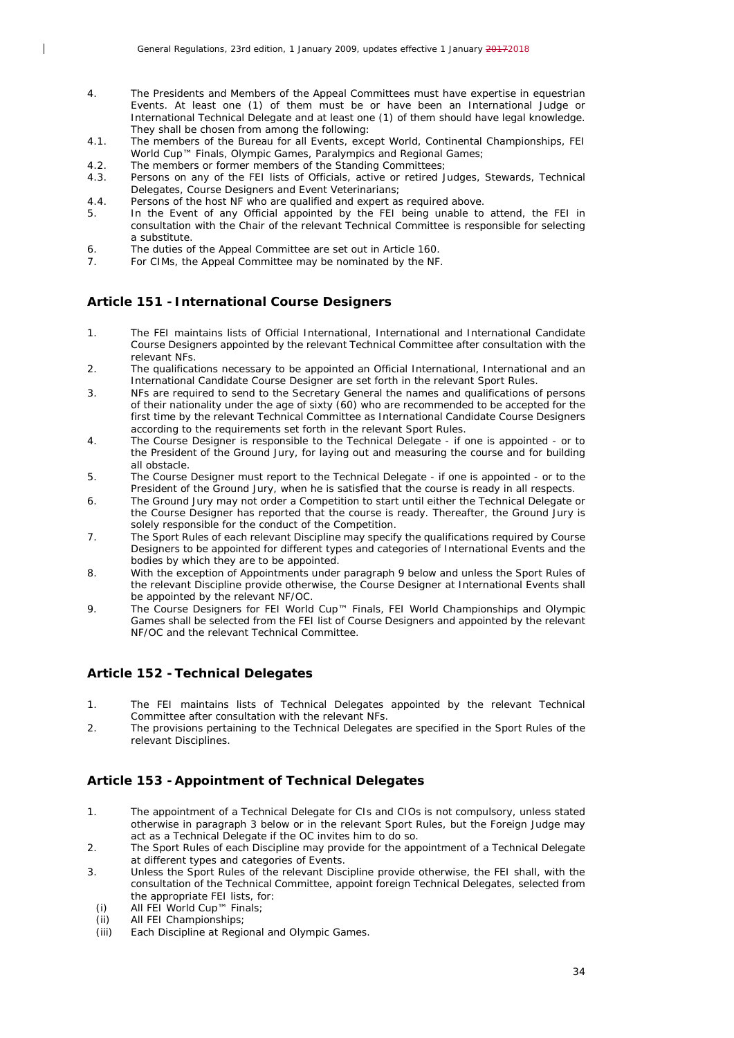- 4. The Presidents and Members of the Appeal Committees must have expertise in equestrian Events. At least one (1) of them must be or have been an International Judge or International Technical Delegate and at least one (1) of them should have legal knowledge. They shall be chosen from among the following:
- 4.1. The members of the Bureau for all Events, except World, Continental Championships, FEI World Cup™ Finals, Olympic Games, Paralympics and Regional Games;
- 4.2. The members or former members of the Standing Committees;<br>4.3. Persons on any of the FEI lists of Officials, active or retired
- 4.3. Persons on any of the FEI lists of Officials, active or retired Judges, Stewards, Technical Delegates, Course Designers and Event Veterinarians;
- 4.4. Persons of the host NF who are qualified and expert as required above.
- 5. In the Event of any Official appointed by the FEI being unable to attend, the FEI in consultation with the Chair of the relevant Technical Committee is responsible for selecting a substitute.
- 6. The duties of the Appeal Committee are set out in Article 160.
- 7. For CIMs, the Appeal Committee may be nominated by the NF.

#### <span id="page-33-0"></span>**Article 151 - International Course Designers**

 $\overline{\phantom{a}}$ 

- 1. The FEI maintains lists of Official International, International and International Candidate Course Designers appointed by the relevant Technical Committee after consultation with the relevant NFs.
- 2. The qualifications necessary to be appointed an Official International, International and an International Candidate Course Designer are set forth in the relevant Sport Rules.
- 3. NFs are required to send to the Secretary General the names and qualifications of persons of their nationality under the age of sixty (60) who are recommended to be accepted for the first time by the relevant Technical Committee as International Candidate Course Designers according to the requirements set forth in the relevant Sport Rules.
- 4. The Course Designer is responsible to the Technical Delegate if one is appointed or to the President of the Ground Jury, for laying out and measuring the course and for building all obstacle.
- 5. The Course Designer must report to the Technical Delegate if one is appointed or to the President of the Ground Jury, when he is satisfied that the course is ready in all respects.
- 6. The Ground Jury may not order a Competition to start until either the Technical Delegate or the Course Designer has reported that the course is ready. Thereafter, the Ground Jury is solely responsible for the conduct of the Competition.
- 7. The Sport Rules of each relevant Discipline may specify the qualifications required by Course Designers to be appointed for different types and categories of International Events and the bodies by which they are to be appointed.
- 8. With the exception of Appointments under paragraph 9 below and unless the Sport Rules of the relevant Discipline provide otherwise, the Course Designer at International Events shall be appointed by the relevant NF/OC.
- 9. The Course Designers for FEI World Cup™ Finals, FEI World Championships and Olympic Games shall be selected from the FEI list of Course Designers and appointed by the relevant NF/OC and the relevant Technical Committee.

## <span id="page-33-1"></span>**Article 152 -Technical Delegates**

- 1. The FEI maintains lists of Technical Delegates appointed by the relevant Technical Committee after consultation with the relevant NFs.
- 2. The provisions pertaining to the Technical Delegates are specified in the Sport Rules of the relevant Disciplines.

## <span id="page-33-2"></span>**Article 153 -Appointment of Technical Delegates**

- 1. The appointment of a Technical Delegate for CIs and CIOs is not compulsory, unless stated otherwise in paragraph 3 below or in the relevant Sport Rules, but the Foreign Judge may act as a Technical Delegate if the OC invites him to do so.
- 2. The Sport Rules of each Discipline may provide for the appointment of a Technical Delegate at different types and categories of Events.
- 3. Unless the Sport Rules of the relevant Discipline provide otherwise, the FEI shall, with the consultation of the Technical Committee, appoint foreign Technical Delegates, selected from the appropriate FEI lists, for:
	- *(i)* All FEI World Cup™ Finals;
	- *(ii)* All FEI Championships;
	- Each Discipline at Regional and Olympic Games.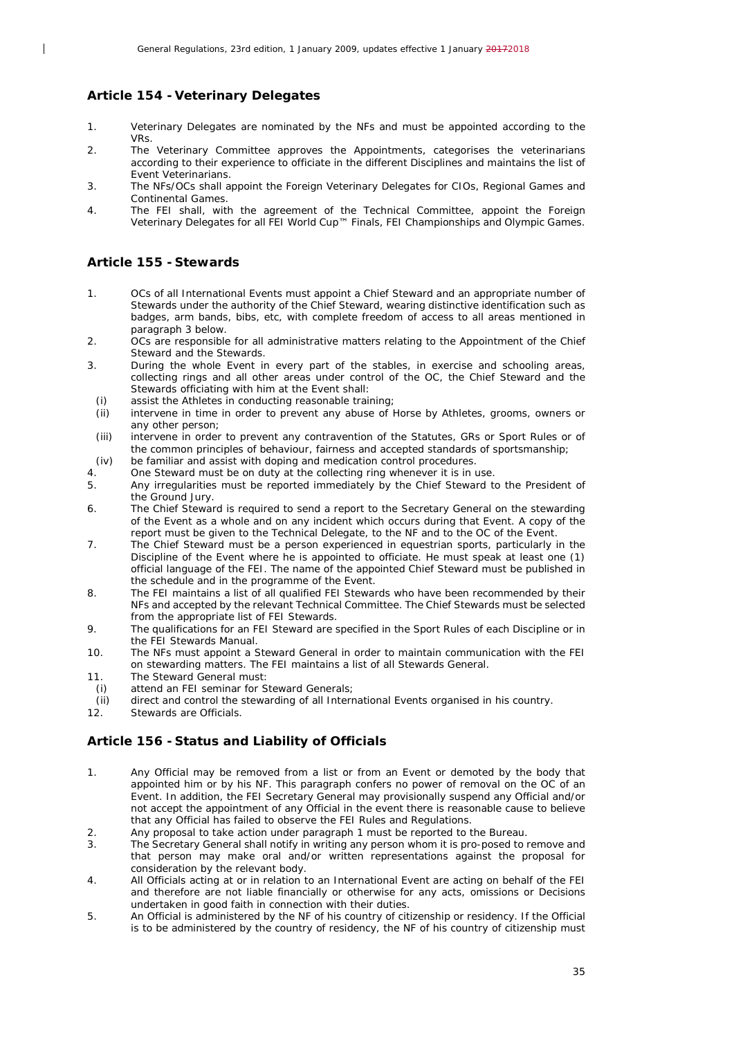#### <span id="page-34-0"></span>**Article 154 -Veterinary Delegates**

- 1. Veterinary Delegates are nominated by the NFs and must be appointed according to the VRs.
- 2. The Veterinary Committee approves the Appointments, categorises the veterinarians according to their experience to officiate in the different Disciplines and maintains the list of Event Veterinarians.
- 3. The NFs/OCs shall appoint the Foreign Veterinary Delegates for CIOs, Regional Games and Continental Games.
- 4. The FEI shall, with the agreement of the Technical Committee, appoint the Foreign Veterinary Delegates for all FEI World Cup™ Finals, FEI Championships and Olympic Games.

#### <span id="page-34-1"></span>**Article 155 - Stewards**

 $\overline{\phantom{a}}$ 

- 1. OCs of all International Events must appoint a Chief Steward and an appropriate number of Stewards under the authority of the Chief Steward, wearing distinctive identification such as badges, arm bands, bibs, etc, with complete freedom of access to all areas mentioned in paragraph 3 below.
- 2. OCs are responsible for all administrative matters relating to the Appointment of the Chief Steward and the Stewards.
- 3. During the whole Event in every part of the stables, in exercise and schooling areas, collecting rings and all other areas under control of the OC, the Chief Steward and the Stewards officiating with him at the Event shall:
	- *(i)* assist the Athletes in conducting reasonable training; *(ii)* intervene in time in order to prevent any abuse of I
- intervene in time in order to prevent any abuse of Horse by Athletes, grooms, owners or any other person;
- *(iii)* intervene in order to prevent any contravention of the Statutes, GRs or Sport Rules or of the common principles of behaviour, fairness and accepted standards of sportsmanship;
- *(iv)* be familiar and assist with doping and medication control procedures.
- 4. One Steward must be on duty at the collecting ring whenever it is in use.<br>5. Any irregularities must be reported immediately by the Chief Steward t
- 5. Any irregularities must be reported immediately by the Chief Steward to the President of the Ground Jury.
- 6. The Chief Steward is required to send a report to the Secretary General on the stewarding of the Event as a whole and on any incident which occurs during that Event. A copy of the report must be given to the Technical Delegate, to the NF and to the OC of the Event.
- 7. The Chief Steward must be a person experienced in equestrian sports, particularly in the Discipline of the Event where he is appointed to officiate. He must speak at least one (1) official language of the FEI. The name of the appointed Chief Steward must be published in the schedule and in the programme of the Event.
- 8. The FEI maintains a list of all qualified FEI Stewards who have been recommended by their NFs and accepted by the relevant Technical Committee. The Chief Stewards must be selected from the appropriate list of FFI Stewards.
- 9. The qualifications for an FEI Steward are specified in the Sport Rules of each Discipline or in the FEI Stewards Manual.
- 10. The NFs must appoint a Steward General in order to maintain communication with the FEI on stewarding matters. The FEI maintains a list of all Stewards General.
- 11. The Steward General must:
- *(i)* attend an FEI seminar for Steward Generals;
- *(ii)* direct and control the stewarding of all International Events organised in his country.<br>12. Stewards are Officials.
- <span id="page-34-2"></span>Stewards are Officials.

## **Article 156 - Status and Liability of Officials**

- 1. Any Official may be removed from a list or from an Event or demoted by the body that appointed him or by his NF. This paragraph confers no power of removal on the OC of an Event. In addition, the FEI Secretary General may provisionally suspend any Official and/or not accept the appointment of any Official in the event there is reasonable cause to believe that any Official has failed to observe the FEI Rules and Regulations.
- 2. Any proposal to take action under paragraph 1 must be reported to the Bureau.<br>2. The Secretary General shall potify in writing any person whom it is pro-posed to i
- The Secretary General shall notify in writing any person whom it is pro-posed to remove and that person may make oral and/or written representations against the proposal for consideration by the relevant body.
- 4. All Officials acting at or in relation to an International Event are acting on behalf of the FEI and therefore are not liable financially or otherwise for any acts, omissions or Decisions undertaken in good faith in connection with their duties.
- 5. An Official is administered by the NF of his country of citizenship or residency. If the Official is to be administered by the country of residency, the NF of his country of citizenship must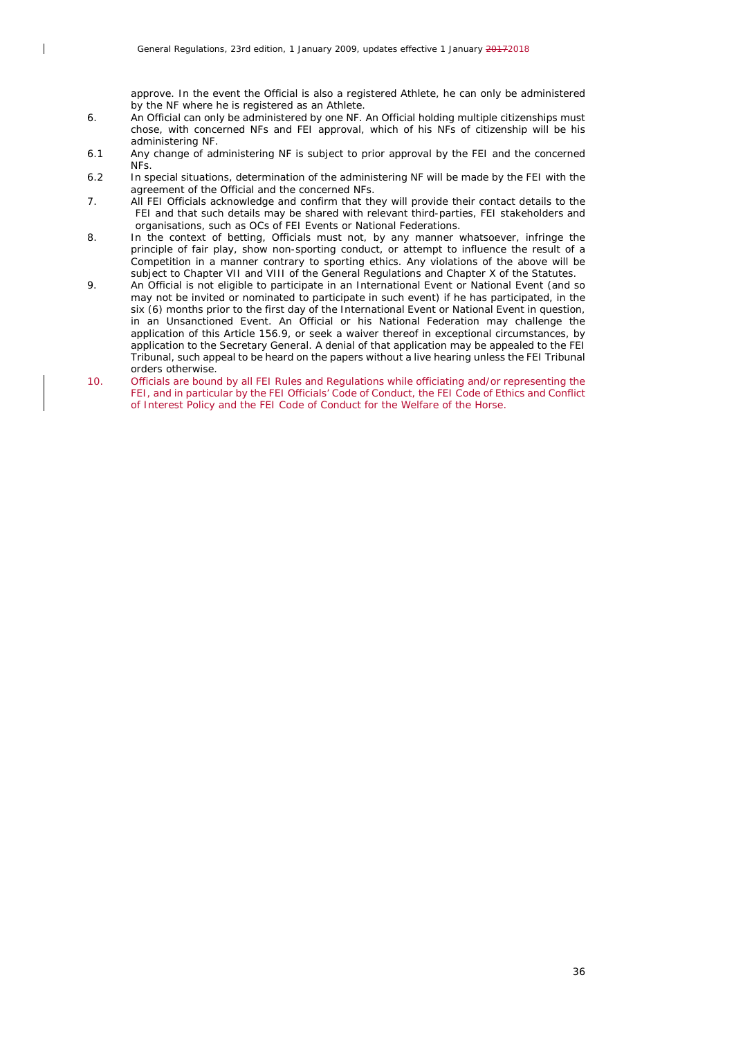$\overline{\phantom{a}}$ 

approve. In the event the Official is also a registered Athlete, he can only be administered by the NF where he is registered as an Athlete.

- 6. An Official can only be administered by one NF. An Official holding multiple citizenships must chose, with concerned NFs and FEI approval, which of his NFs of citizenship will be his administering NF.
- 6.1 Any change of administering NF is subject to prior approval by the FEI and the concerned NFs.
- 6.2 In special situations, determination of the administering NF will be made by the FEI with the agreement of the Official and the concerned NFs.
- 7. All FEI Officials acknowledge and confirm that they will provide their contact details to the FEI and that such details may be shared with relevant third-parties, FEI stakeholders and organisations, such as OCs of FEI Events or National Federations.
- 8. In the context of betting, Officials must not, by any manner whatsoever, infringe the principle of fair play, show non-sporting conduct, or attempt to influence the result of a Competition in a manner contrary to sporting ethics. Any violations of the above will be subject to Chapter VII and VIII of the General Regulations and Chapter X of the Statutes.
- 9. An Official is not eligible to participate in an International Event or National Event (and so may not be invited or nominated to participate in such event) if he has participated, in the six (6) months prior to the first day of the International Event or National Event in question, in an Unsanctioned Event. An Official or his National Federation may challenge the application of this Article 156.9, or seek a waiver thereof in exceptional circumstances, by application to the Secretary General. A denial of that application may be appealed to the FEI Tribunal, such appeal to be heard on the papers without a live hearing unless the FEI Tribunal orders otherwise.
- 10. Officials are bound by all FEI Rules and Regulations while officiating and/or representing the FEI, and in particular by the FEI Officials' Code of Conduct, the FEI Code of Ethics and Conflict of Interest Policy and the FEI Code of Conduct for the Welfare of the Horse.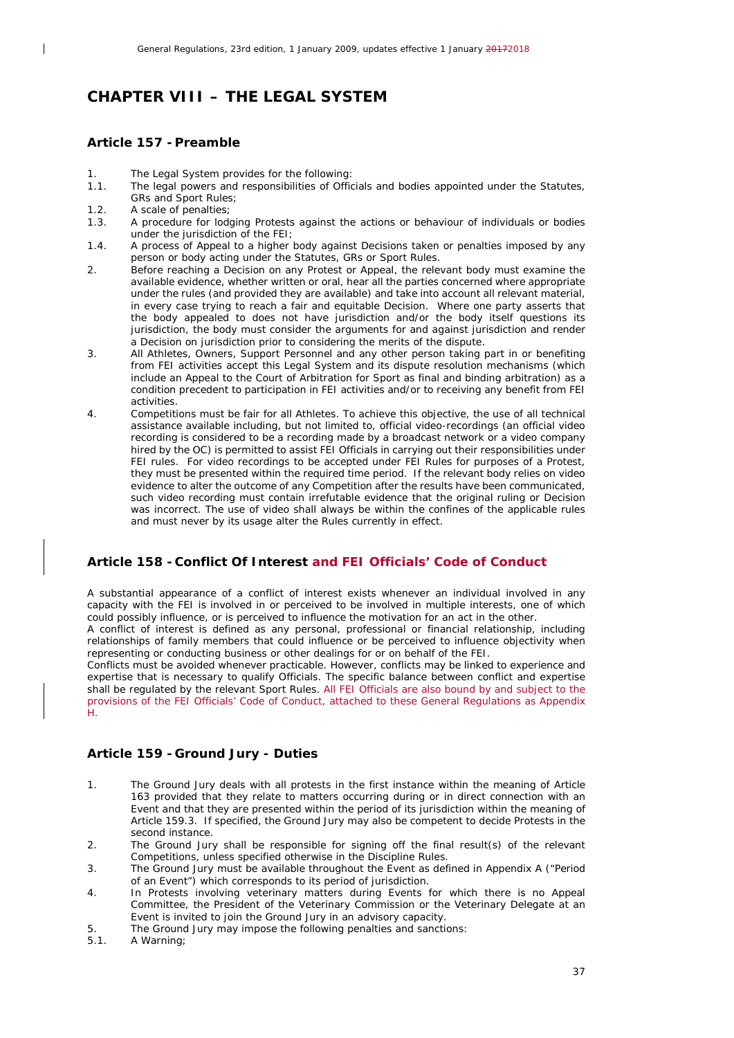## <span id="page-36-0"></span>*CHAPTER VIII – THE LEGAL SYSTEM*

#### <span id="page-36-1"></span>**Article 157 - Preamble**

 $\overline{\phantom{a}}$ 

- 1. The Legal System provides for the following:<br>1.1. The legal powers and responsibilities of Offic
- The legal powers and responsibilities of Officials and bodies appointed under the Statutes, GRs and Sport Rules;
- 1.2. A scale of penalties;<br>1.3. A procedure for lode
- A procedure for lodging Protests against the actions or behaviour of individuals or bodies under the jurisdiction of the FEI;
- 1.4. A process of Appeal to a higher body against Decisions taken or penalties imposed by any person or body acting under the Statutes, GRs or Sport Rules.
- 2. Before reaching a Decision on any Protest or Appeal, the relevant body must examine the available evidence, whether written or oral, hear all the parties concerned where appropriate under the rules (and provided they are available) and take into account all relevant material, in every case trying to reach a fair and equitable Decision. Where one party asserts that the body appealed to does not have jurisdiction and/or the body itself questions its jurisdiction, the body must consider the arguments for and against jurisdiction and render a Decision on jurisdiction prior to considering the merits of the dispute.
- 3. All Athletes, Owners, Support Personnel and any other person taking part in or benefiting from FEI activities accept this Legal System and its dispute resolution mechanisms (which include an Appeal to the Court of Arbitration for Sport as final and binding arbitration) as a condition precedent to participation in FEI activities and/or to receiving any benefit from FEI activities.
- 4. Competitions must be fair for all Athletes. To achieve this objective, the use of all technical assistance available including, but not limited to, official video-recordings (an official video recording is considered to be a recording made by a broadcast network or a video company hired by the OC) is permitted to assist FEI Officials in carrying out their responsibilities under FEI rules. For video recordings to be accepted under FEI Rules for purposes of a Protest, they must be presented within the required time period. If the relevant body relies on video evidence to alter the outcome of any Competition after the results have been communicated, such video recording must contain irrefutable evidence that the original ruling or Decision was incorrect. The use of video shall always be within the confines of the applicable rules and must never by its usage alter the Rules currently in effect.

## <span id="page-36-2"></span>**Article 158 - Conflict Of Interest and FEI Officials' Code of Conduct**

A substantial appearance of a conflict of interest exists whenever an individual involved in any capacity with the FEI is involved in or perceived to be involved in multiple interests, one of which could possibly influence, or is perceived to influence the motivation for an act in the other.

A conflict of interest is defined as any personal, professional or financial relationship, including relationships of family members that could influence or be perceived to influence objectivity when representing or conducting business or other dealings for or on behalf of the FEI.

Conflicts must be avoided whenever practicable. However, conflicts may be linked to experience and expertise that is necessary to qualify Officials. The specific balance between conflict and expertise shall be regulated by the relevant Sport Rules. All FEI Officials are also bound by and subject to the provisions of the FEI Officials' Code of Conduct, attached to these General Regulations as Appendix H.

## <span id="page-36-3"></span>**Article 159 - Ground Jury - Duties**

- 1. The Ground Jury deals with all protests in the first instance within the meaning of Article 163 provided that they relate to matters occurring during or in direct connection with an Event and that they are presented within the period of its jurisdiction within the meaning of Article 159.3. If specified, the Ground Jury may also be competent to decide Protests in the second instance.
- 2. The Ground Jury shall be responsible for signing off the final result(s) of the relevant Competitions, unless specified otherwise in the Discipline Rules.
- 3. The Ground Jury must be available throughout the Event as defined in Appendix A ("Period of an Event") which corresponds to its period of jurisdiction.
- 4. In Protests involving veterinary matters during Events for which there is no Appeal Committee, the President of the Veterinary Commission or the Veterinary Delegate at an Event is invited to join the Ground Jury in an advisory capacity.
- 5. The Ground Jury may impose the following penalties and sanctions:<br>5.1. A Warning:
- A Warning;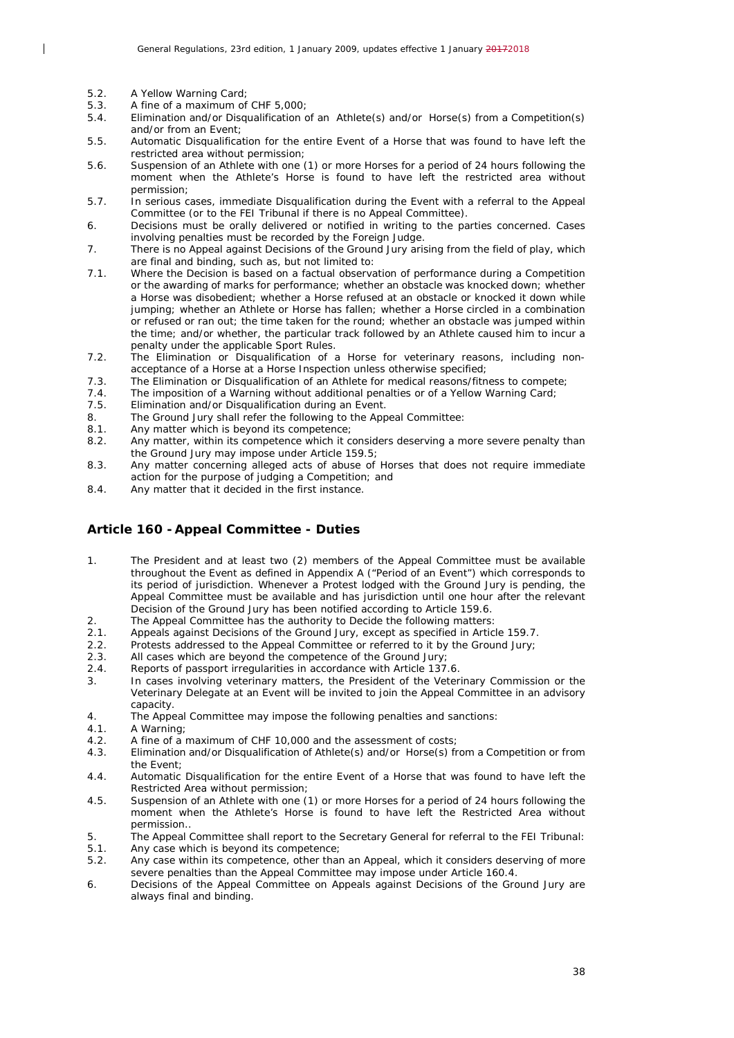5.2. A Yellow Warning Card;

 $\overline{\phantom{a}}$ 

- 5.3. A fine of a maximum of CHF 5,000;<br>5.4. Elimination and/or Disqualification of
- 5.4. Elimination and/or Disqualification of an Athlete(s) and/or Horse(s) from a Competition(s) and/or from an Event;
- 5.5. Automatic Disqualification for the entire Event of a Horse that was found to have left the restricted area without permission;
- 5.6. Suspension of an Athlete with one (1) or more Horses for a period of 24 hours following the moment when the Athlete's Horse is found to have left the restricted area without permission;
- 5.7. In serious cases, immediate Disqualification during the Event with a referral to the Appeal Committee (or to the FEI Tribunal if there is no Appeal Committee).
- 6. Decisions must be orally delivered or notified in writing to the parties concerned. Cases involving penalties must be recorded by the Foreign Judge.
- 7. There is no Appeal against Decisions of the Ground Jury arising from the field of play, which are final and binding, such as, but not limited to:
- 7.1. Where the Decision is based on a factual observation of performance during a Competition or the awarding of marks for performance; whether an obstacle was knocked down; whether a Horse was disobedient; whether a Horse refused at an obstacle or knocked it down while jumping; whether an Athlete or Horse has fallen; whether a Horse circled in a combination or refused or ran out; the time taken for the round; whether an obstacle was jumped within the time; and/or whether, the particular track followed by an Athlete caused him to incur a penalty under the applicable Sport Rules.
- 7.2. The Elimination or Disqualification of a Horse for veterinary reasons, including nonacceptance of a Horse at a Horse Inspection unless otherwise specified;
- 7.3. The Elimination or Disqualification of an Athlete for medical reasons/fitness to compete;
- 7.4. The imposition of a Warning without additional penalties or of a Yellow Warning Card;<br>7.5. Elimination and/or Disqualification during an Event.
- Elimination and/or Disqualification during an Event.
- 8. The Ground Jury shall refer the following to the Appeal Committee:<br>8.1. Any matter which is beyond its competence:
- Any matter which is beyond its competence:
- 8.2. Any matter, within its competence which it considers deserving a more severe penalty than the Ground Jury may impose under Article 159.5;
- 8.3. Any matter concerning alleged acts of abuse of Horses that does not require immediate action for the purpose of judging a Competition; and
- 8.4. Any matter that it decided in the first instance.

#### <span id="page-37-0"></span>**Article 160 -Appeal Committee - Duties**

- 1. The President and at least two (2) members of the Appeal Committee must be available throughout the Event as defined in Appendix A ("Period of an Event") which corresponds to its period of jurisdiction. Whenever a Protest lodged with the Ground Jury is pending, the Appeal Committee must be available and has jurisdiction until one hour after the relevant Decision of the Ground Jury has been notified according to Article 159.6.
- 2. The Appeal Committee has the authority to Decide the following matters:<br>2.1. Appeals against Decisions of the Ground Jury, except as specified in Artic
- Appeals against Decisions of the Ground Jury, except as specified in Article 159.7.
- 2.2. Protests addressed to the Appeal Committee or referred to it by the Ground Jury;
- 2.3. All cases which are beyond the competence of the Ground Jury;<br>2.4. Reports of passport irregularities in accordance with Article 137
- Reports of passport irregularities in accordance with Article 137.6.
- 3. In cases involving veterinary matters, the President of the Veterinary Commission or the Veterinary Delegate at an Event will be invited to join the Appeal Committee in an advisory capacity.
- 4. The Appeal Committee may impose the following penalties and sanctions:
- 4.1. A Warning;
- 4.2. A fine of a maximum of CHF 10,000 and the assessment of costs;
- 4.3. Elimination and/or Disqualification of Athlete(s) and/or Horse(s) from a Competition or from the Event;
- 4.4. Automatic Disqualification for the entire Event of a Horse that was found to have left the Restricted Area without permission;
- 4.5. Suspension of an Athlete with one (1) or more Horses for a period of 24 hours following the moment when the Athlete's Horse is found to have left the Restricted Area without permission..
- 5. The Appeal Committee shall report to the Secretary General for referral to the FEI Tribunal:<br>5.1. Any case which is bevond its competence:
- Any case which is beyond its competence;
- 5.2. Any case within its competence, other than an Appeal, which it considers deserving of more severe penalties than the Appeal Committee may impose under Article 160.4.
- 6. Decisions of the Appeal Committee on Appeals against Decisions of the Ground Jury are always final and binding.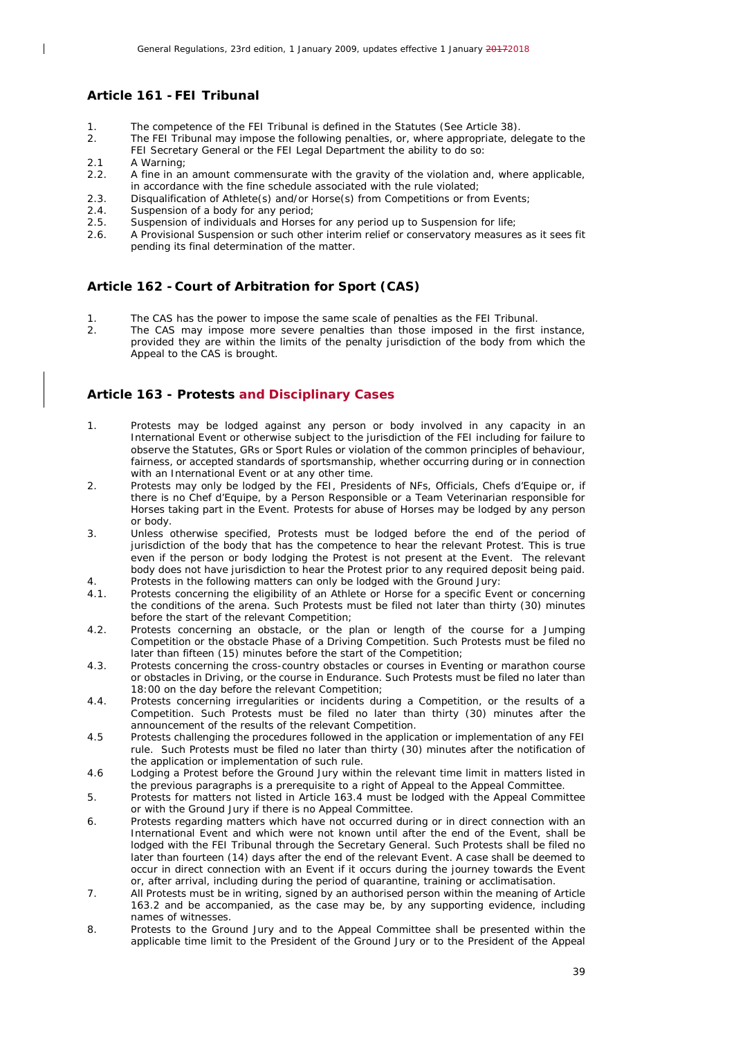## <span id="page-38-0"></span>**Article 161 -FEI Tribunal**

- 1. The competence of the FEI Tribunal is defined in the Statutes (See Article 38).
- 2. The FEI Tribunal may impose the following penalties, or, where appropriate, delegate to the FEI Secretary General or the FEI Legal Department the ability to do so:
- 2.1 A Warning;

 $\overline{\phantom{a}}$ 

- 2.2. A fine in an amount commensurate with the gravity of the violation and, where applicable, in accordance with the fine schedule associated with the rule violated;
- 2.3. Disqualification of Athlete(s) and/or Horse(s) from Competitions or from Events;<br>2.4. Suspension of a body for any period;
- 2.4. Suspension of a body for any period;<br>2.5. Suspension of individuals and Horses
- 2.5. Suspension of individuals and Horses for any period up to Suspension for life;<br>2.6. A Provisional Suspension or such other interim relief or conservatory measure
- 2.6. A Provisional Suspension or such other interim relief or conservatory measures as it sees fit pending its final determination of the matter.

#### <span id="page-38-1"></span>**Article 162 - Court of Arbitration for Sport (CAS)**

- 1. The CAS has the power to impose the same scale of penalties as the FEI Tribunal.<br>2. The CAS may impose more severe penalties than those imposed in the first
- The CAS may impose more severe penalties than those imposed in the first instance, provided they are within the limits of the penalty jurisdiction of the body from which the Appeal to the CAS is brought.

#### <span id="page-38-2"></span>**Article 163 - Protests and Disciplinary Cases**

- 1. Protests may be lodged against any person or body involved in any capacity in an International Event or otherwise subject to the jurisdiction of the FEI including for failure to observe the Statutes, GRs or Sport Rules or violation of the common principles of behaviour, fairness, or accepted standards of sportsmanship, whether occurring during or in connection with an International Event or at any other time.
- 2. Protests may only be lodged by the FEI, Presidents of NFs, Officials, Chefs d'Equipe or, if there is no Chef d'Equipe, by a Person Responsible or a Team Veterinarian responsible for Horses taking part in the Event. Protests for abuse of Horses may be lodged by any person or body.
- 3. Unless otherwise specified, Protests must be lodged before the end of the period of jurisdiction of the body that has the competence to hear the relevant Protest. This is true even if the person or body lodging the Protest is not present at the Event. The relevant body does not have jurisdiction to hear the Protest prior to any required deposit being paid.
- 4. Protests in the following matters can only be lodged with the Ground Jury:<br>4.1 Protests concerning the eligibility of an Athlete or Horse for a specific Eve Protests concerning the eligibility of an Athlete or Horse for a specific Event or concerning the conditions of the arena. Such Protests must be filed not later than thirty (30) minutes before the start of the relevant Competition;
- 4.2. Protests concerning an obstacle, or the plan or length of the course for a Jumping Competition or the obstacle Phase of a Driving Competition. Such Protests must be filed no later than fifteen (15) minutes before the start of the Competition;
- 4.3. Protests concerning the cross-country obstacles or courses in Eventing or marathon course or obstacles in Driving, or the course in Endurance. Such Protests must be filed no later than 18:00 on the day before the relevant Competition;
- 4.4. Protests concerning irregularities or incidents during a Competition, or the results of a Competition. Such Protests must be filed no later than thirty (30) minutes after the announcement of the results of the relevant Competition.
- 4.5 Protests challenging the procedures followed in the application or implementation of any FEI rule. Such Protests must be filed no later than thirty (30) minutes after the notification of the application or implementation of such rule.
- 4.6 Lodging a Protest before the Ground Jury within the relevant time limit in matters listed in the previous paragraphs is a prerequisite to a right of Appeal to the Appeal Committee.
- 5. Protests for matters not listed in Article 163.4 must be lodged with the Appeal Committee or with the Ground Jury if there is no Appeal Committee.
- 6. Protests regarding matters which have not occurred during or in direct connection with an International Event and which were not known until after the end of the Event, shall be lodged with the FEI Tribunal through the Secretary General. Such Protests shall be filed no later than fourteen (14) days after the end of the relevant Event. A case shall be deemed to occur in direct connection with an Event if it occurs during the journey towards the Event or, after arrival, including during the period of quarantine, training or acclimatisation.
- 7. All Protests must be in writing, signed by an authorised person within the meaning of Article 163.2 and be accompanied, as the case may be, by any supporting evidence, including names of witnesses.
- 8. Protests to the Ground Jury and to the Appeal Committee shall be presented within the applicable time limit to the President of the Ground Jury or to the President of the Appeal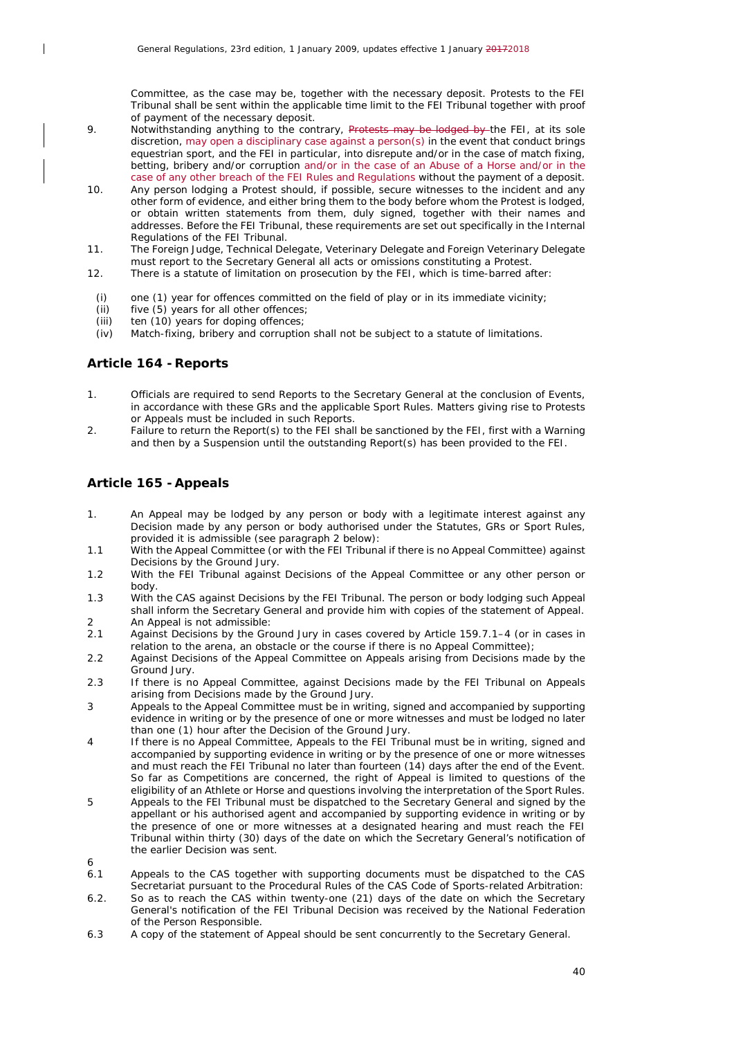Committee, as the case may be, together with the necessary deposit. Protests to the FEI Tribunal shall be sent within the applicable time limit to the FEI Tribunal together with proof of payment of the necessary deposit.

- 9. Notwithstanding anything to the contrary, Protests may be lodged by the FEI, at its sole discretion, may open a disciplinary case against a person(s) in the event that conduct brings equestrian sport, and the FEI in particular, into disrepute and/or in the case of match fixing, betting, bribery and/or corruption and/or in the case of an Abuse of a Horse and/or in the case of any other breach of the FEI Rules and Regulations without the payment of a deposit.
- 10. Any person lodging a Protest should, if possible, secure witnesses to the incident and any other form of evidence, and either bring them to the body before whom the Protest is lodged, or obtain written statements from them, duly signed, together with their names and addresses. Before the FEI Tribunal, these requirements are set out specifically in the Internal Regulations of the FEI Tribunal.
- 11. The Foreign Judge, Technical Delegate, Veterinary Delegate and Foreign Veterinary Delegate must report to the Secretary General all acts or omissions constituting a Protest.
- 12. There is a statute of limitation on prosecution by the FEI, which is time-barred after:
- *(i)* one (1) year for offences committed on the field of play or in its immediate vicinity;
- *(ii)* five (5) years for all other offences;<br>*(iii)* ten (10) years for doping offences:
- ten (10) years for doping offences;
- *(iv)* Match-fixing, bribery and corruption shall not be subject to a statute of limitations.

#### <span id="page-39-0"></span>**Article 164 -Reports**

 $\overline{\phantom{a}}$ 

- 1. Officials are required to send Reports to the Secretary General at the conclusion of Events, in accordance with these GRs and the applicable Sport Rules. Matters giving rise to Protests or Appeals must be included in such Reports.
- 2. Failure to return the Report(s) to the FEI shall be sanctioned by the FEI, first with a Warning and then by a Suspension until the outstanding Report(s) has been provided to the FEI.

#### <span id="page-39-1"></span>**Article 165 -Appeals**

6

- 1. An Appeal may be lodged by any person or body with a legitimate interest against any Decision made by any person or body authorised under the Statutes, GRs or Sport Rules, provided it is admissible (see paragraph 2 below):
- 1.1 With the Appeal Committee (or with the FEI Tribunal if there is no Appeal Committee) against Decisions by the Ground Jury.
- 1.2 With the FEI Tribunal against Decisions of the Appeal Committee or any other person or body.
- 1.3 With the CAS against Decisions by the FEI Tribunal. The person or body lodging such Appeal shall inform the Secretary General and provide him with copies of the statement of Appeal.
- 2 An Appeal is not admissible:<br>2.1 Against Decisions by the Group 2.1 Against Decisions by the Ground Jury in cases covered by Article 159.7.1–4 (or in cases in relation to the arena, an obstacle or the course if there is no Appeal Committee);
- 2.2 Against Decisions of the Appeal Committee on Appeals arising from Decisions made by the Ground Jury.
- 2.3 If there is no Appeal Committee, against Decisions made by the FEI Tribunal on Appeals arising from Decisions made by the Ground Jury.
- 3 Appeals to the Appeal Committee must be in writing, signed and accompanied by supporting evidence in writing or by the presence of one or more witnesses and must be lodged no later than one (1) hour after the Decision of the Ground Jury.
- 4 If there is no Appeal Committee, Appeals to the FEI Tribunal must be in writing, signed and accompanied by supporting evidence in writing or by the presence of one or more witnesses and must reach the FEI Tribunal no later than fourteen (14) days after the end of the Event. So far as Competitions are concerned, the right of Appeal is limited to questions of the eligibility of an Athlete or Horse and questions involving the interpretation of the Sport Rules.
- 5 Appeals to the FEI Tribunal must be dispatched to the Secretary General and signed by the appellant or his authorised agent and accompanied by supporting evidence in writing or by the presence of one or more witnesses at a designated hearing and must reach the FEI Tribunal within thirty (30) days of the date on which the Secretary General's notification of the earlier Decision was sent.
- 6.1 Appeals to the CAS together with supporting documents must be dispatched to the CAS Secretariat pursuant to the Procedural Rules of the CAS Code of Sports-related Arbitration:
- 6.2. So as to reach the CAS within twenty-one (21) days of the date on which the Secretary General's notification of the FEI Tribunal Decision was received by the National Federation of the Person Responsible.
- 6.3 A copy of the statement of Appeal should be sent concurrently to the Secretary General.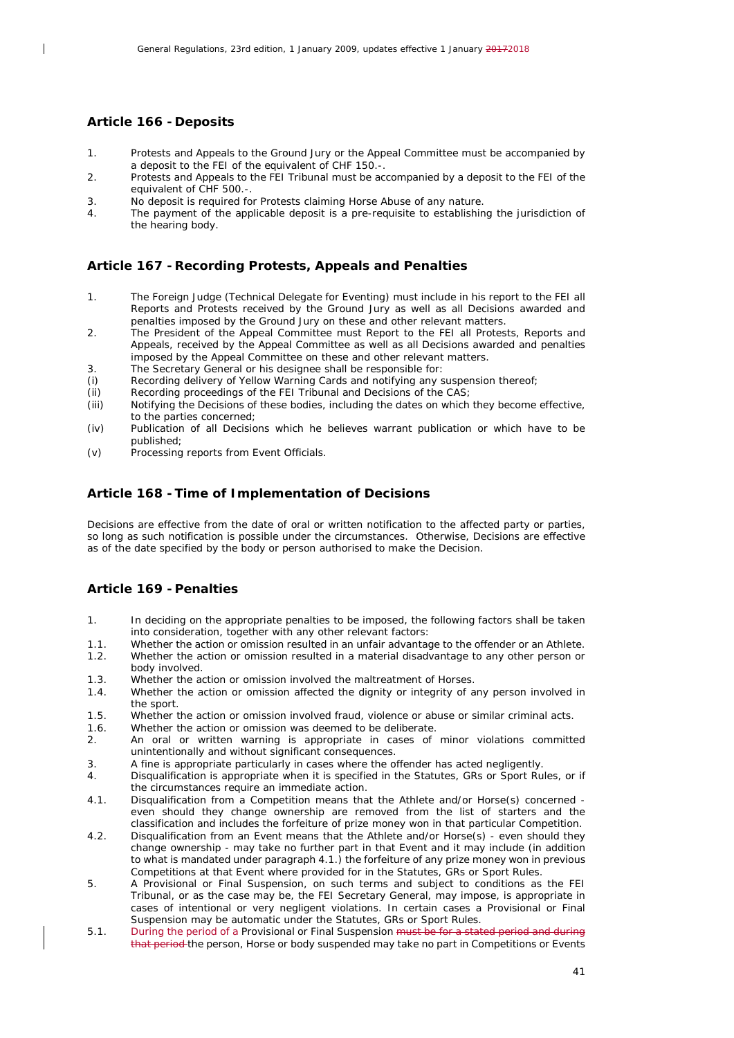#### <span id="page-40-0"></span>**Article 166 - Deposits**

 $\overline{\phantom{a}}$ 

- 1. Protests and Appeals to the Ground Jury or the Appeal Committee must be accompanied by a deposit to the FEI of the equivalent of CHF 150.-.
- 2. Protests and Appeals to the FEI Tribunal must be accompanied by a deposit to the FEI of the equivalent of CHF 500.-.
- 3. No deposit is required for Protests claiming Horse Abuse of any nature.
- 4. The payment of the applicable deposit is a pre-requisite to establishing the jurisdiction of the hearing body.

#### <span id="page-40-1"></span>**Article 167 -Recording Protests, Appeals and Penalties**

- 1. The Foreign Judge (Technical Delegate for Eventing) must include in his report to the FEI all Reports and Protests received by the Ground Jury as well as all Decisions awarded and penalties imposed by the Ground Jury on these and other relevant matters.
- 2. The President of the Appeal Committee must Report to the FEI all Protests, Reports and Appeals, received by the Appeal Committee as well as all Decisions awarded and penalties imposed by the Appeal Committee on these and other relevant matters.
- 3. The Secretary General or his designee shall be responsible for:
- *(i)* Recording delivery of Yellow Warning Cards and notifying any suspension thereof;
- *(ii)* Recording proceedings of the FEI Tribunal and Decisions of the CAS;<br>*(iii)* Notifying the Decisions of these bodies, including the dates on which
- Notifying the Decisions of these bodies, including the dates on which they become effective, to the parties concerned;
- *(iv)* Publication of all Decisions which he believes warrant publication or which have to be published;
- *(v)* Processing reports from Event Officials.

#### <span id="page-40-2"></span>**Article 168 -Time of Implementation of Decisions**

Decisions are effective from the date of oral or written notification to the affected party or parties, so long as such notification is possible under the circumstances. Otherwise, Decisions are effective as of the date specified by the body or person authorised to make the Decision.

## <span id="page-40-3"></span>**Article 169 - Penalties**

- 1. In deciding on the appropriate penalties to be imposed, the following factors shall be taken into consideration, together with any other relevant factors:
- 1.1. Whether the action or omission resulted in an unfair advantage to the offender or an Athlete.
- 1.2. Whether the action or omission resulted in a material disadvantage to any other person or body involved.
- 1.3. Whether the action or omission involved the maltreatment of Horses.<br>1.4. Whether the action or omission affected the dignity or integrity of a
- Whether the action or omission affected the dignity or integrity of any person involved in the sport.
- 1.5. Whether the action or omission involved fraud, violence or abuse or similar criminal acts.
- 1.6. Whether the action or omission was deemed to be deliberate. 2. An oral or written warning is appropriate in cases of minor violations committed unintentionally and without significant consequences.
- 3. A fine is appropriate particularly in cases where the offender has acted negligently.
- 4. Disqualification is appropriate when it is specified in the Statutes, GRs or Sport Rules, or if the circumstances require an immediate action.
- 4.1. Disqualification from a Competition means that the Athlete and/or Horse(s) concerned even should they change ownership are removed from the list of starters and the classification and includes the forfeiture of prize money won in that particular Competition.
- 4.2. Disqualification from an Event means that the Athlete and/or Horse(s) even should they change ownership - may take no further part in that Event and it may include (in addition to what is mandated under paragraph 4.1.) the forfeiture of any prize money won in previous Competitions at that Event where provided for in the Statutes, GRs or Sport Rules.
- 5. A Provisional or Final Suspension, on such terms and subject to conditions as the FEI Tribunal, or as the case may be, the FEI Secretary General, may impose, is appropriate in cases of intentional or very negligent violations. In certain cases a Provisional or Final Suspension may be automatic under the Statutes, GRs or Sport Rules.
- 5.1. During the period of a Provisional or Final Suspension must be for a stated period and during that period the person, Horse or body suspended may take no part in Competitions or Events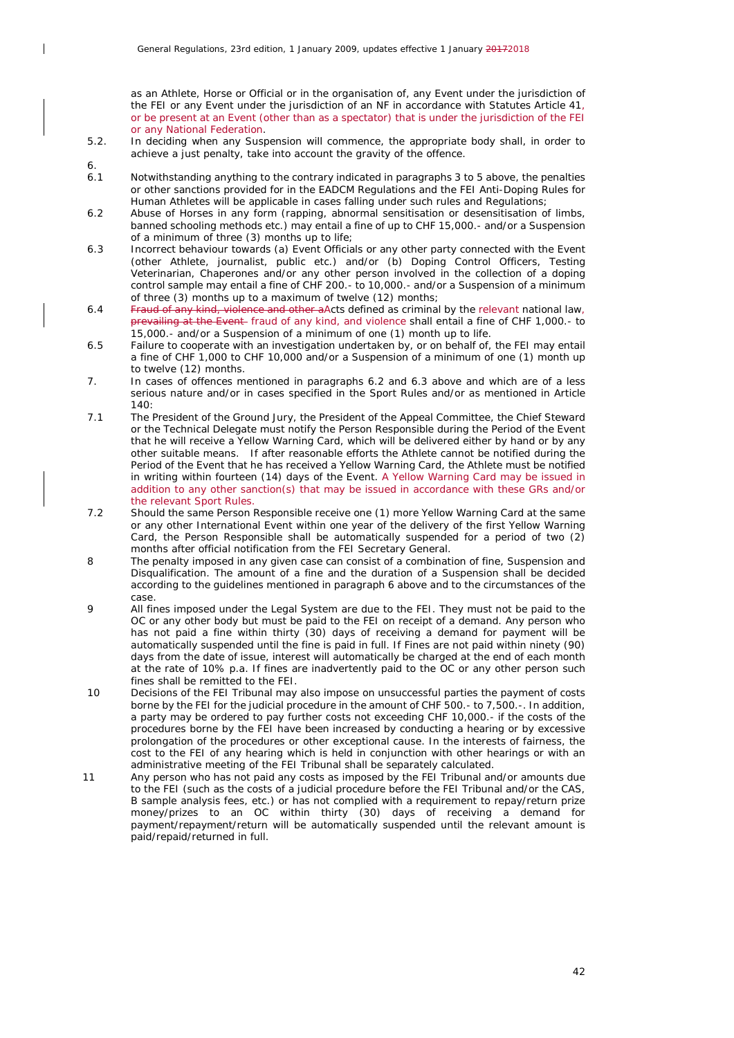as an Athlete, Horse or Official or in the organisation of, any Event under the jurisdiction of the FEI or any Event under the jurisdiction of an NF in accordance with Statutes Article 41, or be present at an Event (other than as a spectator) that is under the jurisdiction of the FEI or any National Federation.

- 5.2. In deciding when any Suspension will commence, the appropriate body shall, in order to achieve a just penalty, take into account the gravity of the offence.
- $6.1$ 
	- Notwithstanding anything to the contrary indicated in paragraphs 3 to 5 above, the penalties or other sanctions provided for in the EADCM Regulations and the FEI Anti-Doping Rules for Human Athletes will be applicable in cases falling under such rules and Regulations;
- 6.2 Abuse of Horses in any form (rapping, abnormal sensitisation or desensitisation of limbs, banned schooling methods etc.) may entail a fine of up to CHF 15,000.- and/or a Suspension of a minimum of three (3) months up to life;
- 6.3 Incorrect behaviour towards (a) Event Officials or any other party connected with the Event (other Athlete, journalist, public etc.) and/or (b) Doping Control Officers, Testing Veterinarian, Chaperones and/or any other person involved in the collection of a doping control sample may entail a fine of CHF 200.- to 10,000.- and/or a Suspension of a minimum of three (3) months up to a maximum of twelve (12) months;
- 6.4 Fraud of any kind, violence and other aActs defined as criminal by the relevant national law, prevailing at the Event- fraud of any kind, and violence shall entail a fine of CHF 1,000.- to 15,000.- and/or a Suspension of a minimum of one (1) month up to life.
- 6.5 Failure to cooperate with an investigation undertaken by, or on behalf of, the FEI may entail a fine of CHF 1,000 to CHF 10,000 and/or a Suspension of a minimum of one (1) month up to twelve (12) months.
- 7. In cases of offences mentioned in paragraphs 6.2 and 6.3 above and which are of a less serious nature and/or in cases specified in the Sport Rules and/or as mentioned in Article  $140$
- 7.1 The President of the Ground Jury, the President of the Appeal Committee, the Chief Steward or the Technical Delegate must notify the Person Responsible during the Period of the Event that he will receive a Yellow Warning Card, which will be delivered either by hand or by any other suitable means. If after reasonable efforts the Athlete cannot be notified during the Period of the Event that he has received a Yellow Warning Card, the Athlete must be notified in writing within fourteen (14) days of the Event. A Yellow Warning Card may be issued in addition to any other sanction(s) that may be issued in accordance with these GRs and/or the relevant Sport Rules.
- 7.2 Should the same Person Responsible receive one (1) more Yellow Warning Card at the same or any other International Event within one year of the delivery of the first Yellow Warning Card, the Person Responsible shall be automatically suspended for a period of two (2) months after official notification from the FEI Secretary General.
- 8 The penalty imposed in any given case can consist of a combination of fine, Suspension and Disqualification. The amount of a fine and the duration of a Suspension shall be decided according to the guidelines mentioned in paragraph 6 above and to the circumstances of the case.
- 9 All fines imposed under the Legal System are due to the FEI. They must not be paid to the OC or any other body but must be paid to the FEI on receipt of a demand. Any person who has not paid a fine within thirty (30) days of receiving a demand for payment will be automatically suspended until the fine is paid in full. If Fines are not paid within ninety (90) days from the date of issue, interest will automatically be charged at the end of each month at the rate of 10% p.a. If fines are inadvertently paid to the OC or any other person such fines shall be remitted to the FEI.
- 10 Decisions of the FEI Tribunal may also impose on unsuccessful parties the payment of costs borne by the FEI for the judicial procedure in the amount of CHF 500.- to 7,500.-. In addition, a party may be ordered to pay further costs not exceeding CHF 10,000.- if the costs of the procedures borne by the FEI have been increased by conducting a hearing or by excessive prolongation of the procedures or other exceptional cause. In the interests of fairness, the cost to the FEI of any hearing which is held in conjunction with other hearings or with an administrative meeting of the FEI Tribunal shall be separately calculated.
- 11 Any person who has not paid any costs as imposed by the FEI Tribunal and/or amounts due to the FEI (such as the costs of a judicial procedure before the FEI Tribunal and/or the CAS, B sample analysis fees, etc.) or has not complied with a requirement to repay/return prize money/prizes to an OC within thirty (30) days of receiving a demand for payment/repayment/return will be automatically suspended until the relevant amount is paid/repaid/returned in full.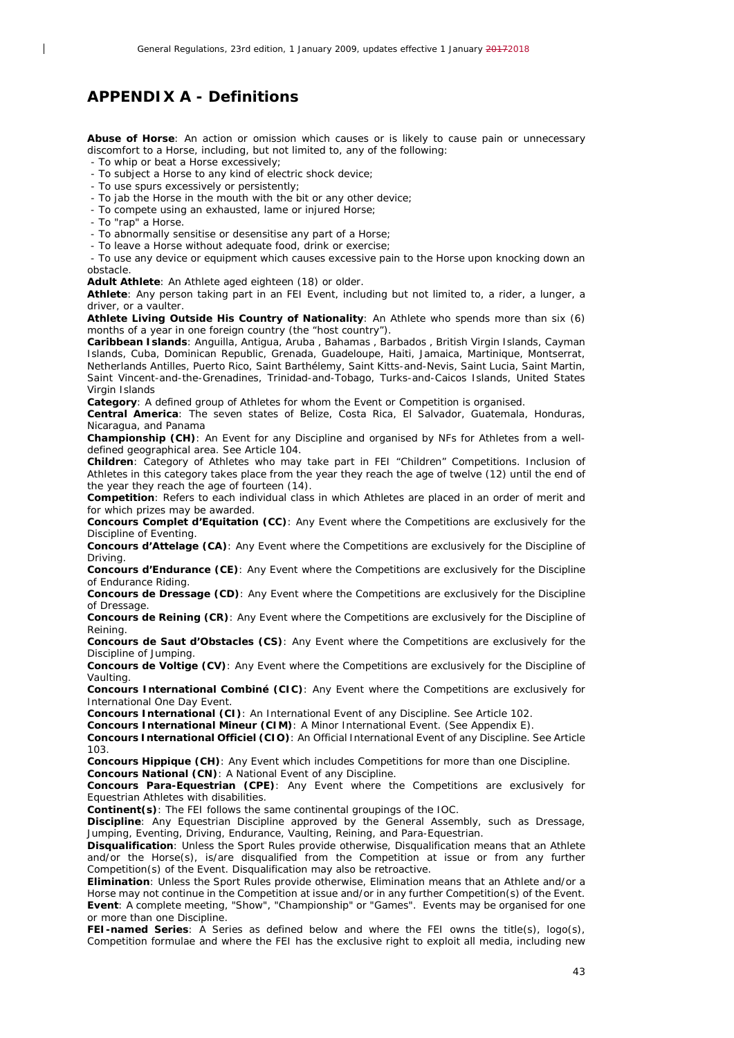## <span id="page-42-0"></span>*APPENDIX A - Definitions*

**Abuse of Horse**: An action or omission which causes or is likely to cause pain or unnecessary discomfort to a Horse, including, but not limited to, any of the following:

- To whip or beat a Horse excessively;

- To subject a Horse to any kind of electric shock device;
- To use spurs excessively or persistently;
- To jab the Horse in the mouth with the bit or any other device;
- To compete using an exhausted, lame or injured Horse;
- To "rap" a Horse.

 $\overline{\phantom{a}}$ 

- To abnormally sensitise or desensitise any part of a Horse;
- To leave a Horse without adequate food, drink or exercise;

- To use any device or equipment which causes excessive pain to the Horse upon knocking down an obstacle.

**Adult Athlete**: An Athlete aged eighteen (18) or older.

**Athlete**: Any person taking part in an FEI Event, including but not limited to, a rider, a lunger, a driver, or a vaulter.

**Athlete Living Outside His Country of Nationality**: An Athlete who spends more than six (6) months of a year in one foreign country (the "host country").

**Caribbean Islands**: Anguilla, Antigua, Aruba , Bahamas , Barbados , British Virgin Islands, Cayman Islands, Cuba, Dominican Republic, Grenada, Guadeloupe, Haiti, Jamaica, Martinique, Montserrat, Netherlands Antilles, Puerto Rico, Saint Barthélemy, Saint Kitts-and-Nevis, Saint Lucia, Saint Martin, Saint Vincent-and-the-Grenadines, Trinidad-and-Tobago, Turks-and-Caicos Islands, United States Virgin Islands

**Category**: A defined group of Athletes for whom the Event or Competition is organised.

**Central America**: The seven states of Belize, Costa Rica, El Salvador, Guatemala, Honduras, Nicaragua, and Panama

**Championship (CH)**: An Event for any Discipline and organised by NFs for Athletes from a welldefined geographical area. See Article 104.

**Children**: Category of Athletes who may take part in FEI "Children" Competitions. Inclusion of Athletes in this category takes place from the year they reach the age of twelve (12) until the end of the year they reach the age of fourteen (14).

**Competition**: Refers to each individual class in which Athletes are placed in an order of merit and for which prizes may be awarded.

**Concours Complet d'Equitation (CC)**: Any Event where the Competitions are exclusively for the Discipline of Eventing.

**Concours d'Attelage (CA)**: Any Event where the Competitions are exclusively for the Discipline of Driving.

**Concours d'Endurance (CE)**: Any Event where the Competitions are exclusively for the Discipline of Endurance Riding.

**Concours de Dressage (CD)**: Any Event where the Competitions are exclusively for the Discipline of Dressage.

**Concours de Reining (CR)**: Any Event where the Competitions are exclusively for the Discipline of Reining.

**Concours de Saut d'Obstacles (CS)**: Any Event where the Competitions are exclusively for the Discipline of Jumping.

**Concours de Voltige (CV)**: Any Event where the Competitions are exclusively for the Discipline of Vaulting.

**Concours International Combiné (CIC)**: Any Event where the Competitions are exclusively for International One Day Event.

**Concours International (CI)**: An International Event of any Discipline. See Article 102.

**Concours International Mineur (CIM)**: A Minor International Event. (See Appendix E).

**Concours International Officiel (CIO)**: An Official International Event of any Discipline. See Article 103.

**Concours Hippique (CH)**: Any Event which includes Competitions for more than one Discipline.

**Concours National (CN)**: A National Event of any Discipline.

**Concours Para-Equestrian (CPE)**: Any Event where the Competitions are exclusively for Equestrian Athletes with disabilities.

**Continent(s)**: The FEI follows the same continental groupings of the IOC.

**Discipline**: Any Equestrian Discipline approved by the General Assembly, such as Dressage, Jumping, Eventing, Driving, Endurance, Vaulting, Reining, and Para-Equestrian.

**Disqualification**: Unless the Sport Rules provide otherwise, Disqualification means that an Athlete and/or the Horse(s), is/are disqualified from the Competition at issue or from any further Competition(s) of the Event. Disqualification may also be retroactive.

**Elimination**: Unless the Sport Rules provide otherwise, Elimination means that an Athlete and/or a Horse may not continue in the Competition at issue and/or in any further Competition(s) of the Event. **Event**: A complete meeting, "Show", "Championship" or "Games". Events may be organised for one or more than one Discipline.

**FEI-named Series**: A Series as defined below and where the FEI owns the title(s), logo(s), Competition formulae and where the FEI has the exclusive right to exploit all media, including new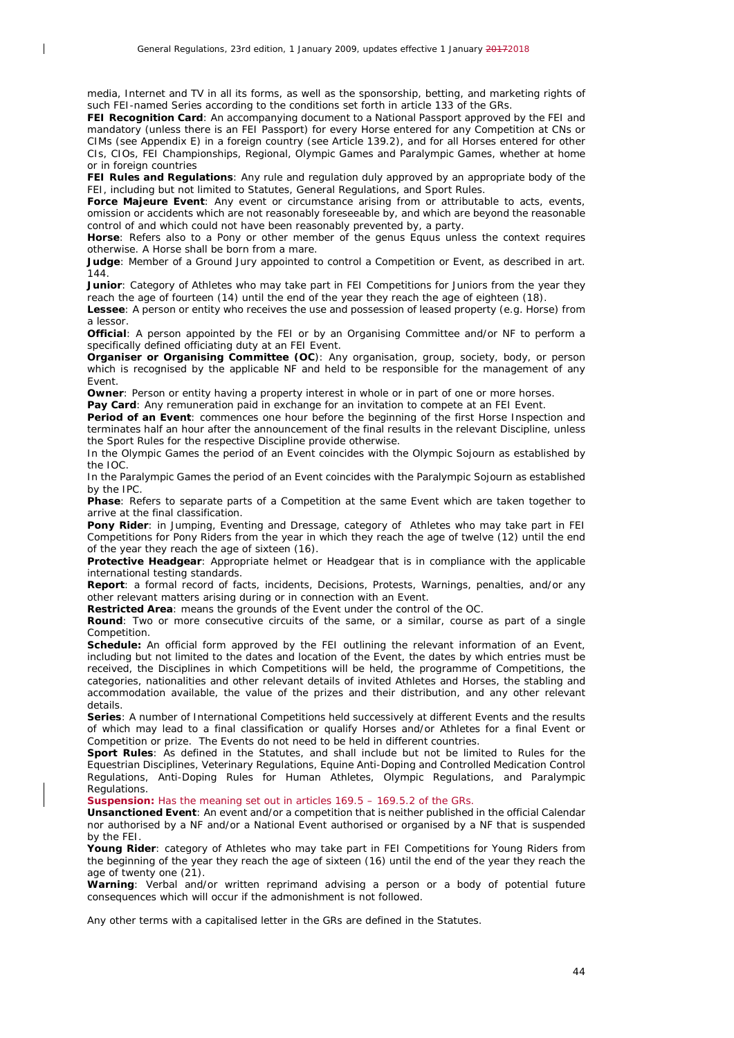$\overline{\phantom{a}}$ 

media, Internet and TV in all its forms, as well as the sponsorship, betting, and marketing rights of such FEI-named Series according to the conditions set forth in article 133 of the GRs.

**FEI Recognition Card**: An accompanying document to a National Passport approved by the FEI and mandatory (unless there is an FEI Passport) for every Horse entered for any Competition at CNs or CIMs (see Appendix E) in a foreign country (see Article 139.2), and for all Horses entered for other CIs, CIOs, FEI Championships, Regional, Olympic Games and Paralympic Games, whether at home or in foreign countries

**FEI Rules and Regulations**: Any rule and regulation duly approved by an appropriate body of the FEI, including but not limited to Statutes, General Regulations, and Sport Rules.

**Force Majeure Event**: Any event or circumstance arising from or attributable to acts, events, omission or accidents which are not reasonably foreseeable by, and which are beyond the reasonable control of and which could not have been reasonably prevented by, a party.

**Horse**: Refers also to a Pony or other member of the genus Equus unless the context requires otherwise. A Horse shall be born from a mare.

**Judge**: Member of a Ground Jury appointed to control a Competition or Event, as described in art. 144.

**Junior**: Category of Athletes who may take part in FEI Competitions for Juniors from the year they reach the age of fourteen (14) until the end of the year they reach the age of eighteen (18).

**Lessee**: A person or entity who receives the use and possession of leased property (e.g. Horse) from a lessor.

**Official**: A person appointed by the FEI or by an Organising Committee and/or NF to perform a specifically defined officiating duty at an FEI Event.

**Organiser or Organising Committee (OC**): Any organisation, group, society, body, or person which is recognised by the applicable NF and held to be responsible for the management of any Event.

**Owner:** Person or entity having a property interest in whole or in part of one or more horses.

**Pay Card**: Any remuneration paid in exchange for an invitation to compete at an FEI Event.

**Period of an Event**: commences one hour before the beginning of the first Horse Inspection and terminates half an hour after the announcement of the final results in the relevant Discipline, unless the Sport Rules for the respective Discipline provide otherwise.

In the Olympic Games the period of an Event coincides with the Olympic Sojourn as established by the IOC.

In the Paralympic Games the period of an Event coincides with the Paralympic Sojourn as established by the IPC.

**Phase**: Refers to separate parts of a Competition at the same Event which are taken together to arrive at the final classification.

Pony Rider: in Jumping, Eventing and Dressage, category of Athletes who may take part in FEI Competitions for Pony Riders from the year in which they reach the age of twelve (12) until the end of the year they reach the age of sixteen (16).

Protective Headgear: Appropriate helmet or Headgear that is in compliance with the applicable international testing standards.

**Report**: a formal record of facts, incidents, Decisions, Protests, Warnings, penalties, and/or any other relevant matters arising during or in connection with an Event.

**Restricted Area**: means the grounds of the Event under the control of the OC.

**Round**: Two or more consecutive circuits of the same, or a similar, course as part of a single Competition.

**Schedule:** An official form approved by the FEI outlining the relevant information of an Event, including but not limited to the dates and location of the Event, the dates by which entries must be received, the Disciplines in which Competitions will be held, the programme of Competitions, the categories, nationalities and other relevant details of invited Athletes and Horses, the stabling and accommodation available, the value of the prizes and their distribution, and any other relevant details.

**Series**: A number of International Competitions held successively at different Events and the results of which may lead to a final classification or qualify Horses and/or Athletes for a final Event or Competition or prize. The Events do not need to be held in different countries.

**Sport Rules**: As defined in the Statutes, and shall include but not be limited to Rules for the Equestrian Disciplines, Veterinary Regulations, Equine Anti-Doping and Controlled Medication Control Regulations, Anti-Doping Rules for Human Athletes, Olympic Regulations, and Paralympic Regulations.

**Suspension:** Has the meaning set out in articles 169.5 – 169.5.2 of the GRs.

**Unsanctioned Event**: An event and/or a competition that is neither published in the official Calendar nor authorised by a NF and/or a National Event authorised or organised by a NF that is suspended by the FEI.

**Young Rider**: category of Athletes who may take part in FEI Competitions for Young Riders from the beginning of the year they reach the age of sixteen (16) until the end of the year they reach the age of twenty one (21).

**Warning**: Verbal and/or written reprimand advising a person or a body of potential future consequences which will occur if the admonishment is not followed.

Any other terms with a capitalised letter in the GRs are defined in the Statutes.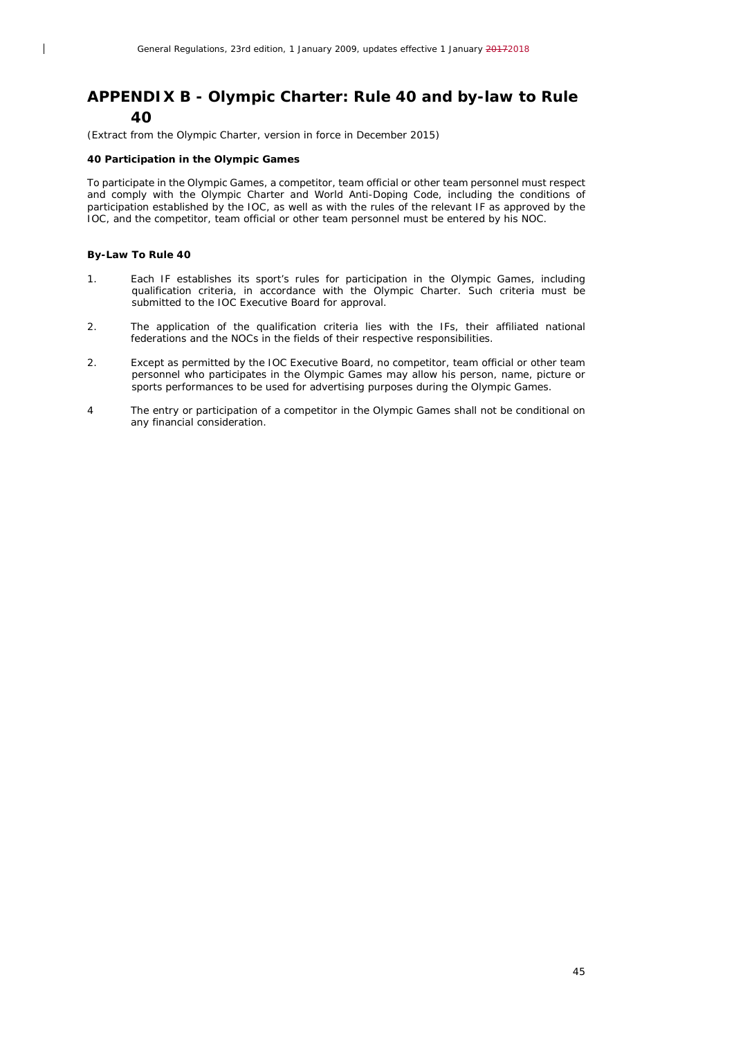## <span id="page-44-0"></span>*APPENDIX B - Olympic Charter: Rule 40 and by-law to Rule 40*

*(Extract from the Olympic Charter, version in force in December 2015)*

#### **40 Participation in the Olympic Games**

To participate in the Olympic Games, a competitor, team official or other team personnel must respect and comply with the Olympic Charter and World Anti-Doping Code, including the conditions of participation established by the IOC, as well as with the rules of the relevant IF as approved by the IOC, and the competitor, team official or other team personnel must be entered by his NOC.

#### **By-Law To Rule 40**

 $\overline{\phantom{a}}$ 

- 1. Each IF establishes its sport's rules for participation in the Olympic Games, including qualification criteria, in accordance with the Olympic Charter. Such criteria must be submitted to the IOC Executive Board for approval.
- 2. The application of the qualification criteria lies with the IFs, their affiliated national federations and the NOCs in the fields of their respective responsibilities.
- 2. Except as permitted by the IOC Executive Board, no competitor, team official or other team personnel who participates in the Olympic Games may allow his person, name, picture or sports performances to be used for advertising purposes during the Olympic Games.
- 4 The entry or participation of a competitor in the Olympic Games shall not be conditional on any financial consideration.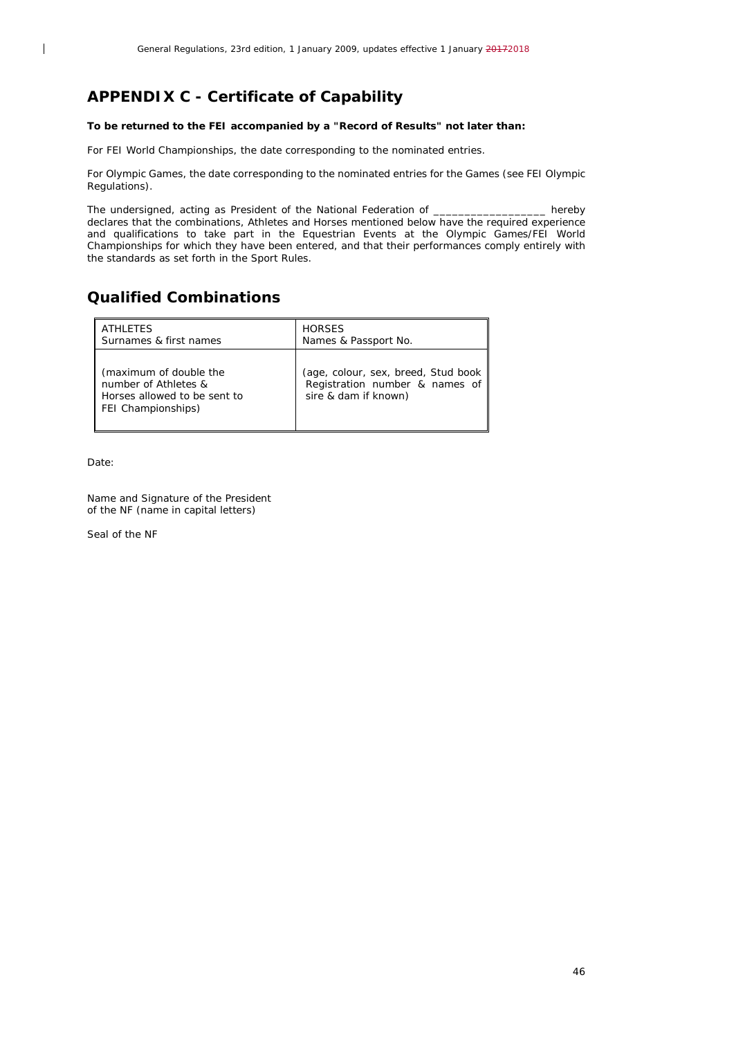## <span id="page-45-0"></span>*APPENDIX C - Certificate of Capability*

#### **To be returned to the FEI accompanied by a "Record of Results" not later than:**

For FEI World Championships, the date corresponding to the nominated entries.

For Olympic Games, the date corresponding to the nominated entries for the Games (see FEI Olympic Regulations).

The undersigned, acting as President of the National Federation of \_\_\_\_\_\_\_\_\_\_\_\_\_\_\_\_\_\_ hereby declares that the combinations, Athletes and Horses mentioned below have the required experience and qualifications to take part in the Equestrian Events at the Olympic Games/FEI World Championships for which they have been entered, and that their performances comply entirely with the standards as set forth in the Sport Rules.

## **Qualified Combinations**

| <b>ATHLETES</b>                                                                                      | <b>HORSES</b>                                                                                 |
|------------------------------------------------------------------------------------------------------|-----------------------------------------------------------------------------------------------|
| Surnames & first names                                                                               | Names & Passport No.                                                                          |
| (maximum of double the<br>number of Athletes &<br>Horses allowed to be sent to<br>FEI Championships) | (age, colour, sex, breed, Stud book<br>Registration number & names of<br>sire & dam if known) |

Date:

 $\overline{\phantom{a}}$ 

Name and Signature of the President of the NF (name in capital letters)

Seal of the NF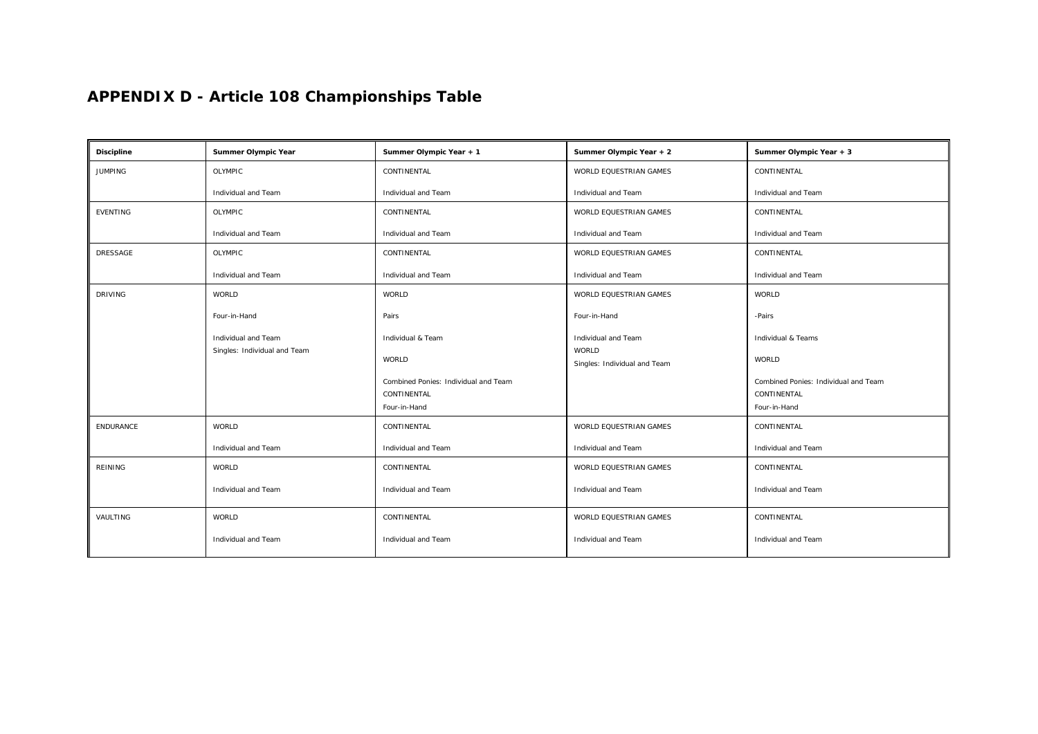# *APPENDIX D - Article 108 Championships Table*

<span id="page-46-0"></span>

| <b>Discipline</b> | Summer Olympic Year          | Summer Olympic Year + 1              | Summer Olympic Year + 2                      | Summer Olympic Year + 3              |
|-------------------|------------------------------|--------------------------------------|----------------------------------------------|--------------------------------------|
| <b>JUMPING</b>    | OLYMPIC                      | CONTINENTAL                          | WORLD EQUESTRIAN GAMES                       | CONTINENTAL                          |
|                   | Individual and Team          | Individual and Team                  | Individual and Team                          | Individual and Team                  |
| <b>EVENTING</b>   | OLYMPIC                      | CONTINENTAL                          | WORLD EQUESTRIAN GAMES                       | CONTINENTAL                          |
|                   | Individual and Team          | Individual and Team                  | Individual and Team                          | Individual and Team                  |
| <b>DRESSAGE</b>   | OLYMPIC                      | CONTINENTAL                          | WORLD EQUESTRIAN GAMES                       | CONTINENTAL                          |
|                   | Individual and Team          | Individual and Team                  | Individual and Team                          | Individual and Team                  |
| <b>DRIVING</b>    | WORLD                        | WORLD                                | WORLD EQUESTRIAN GAMES                       | <b>WORLD</b>                         |
|                   | Four-in-Hand                 | Pairs                                | Four-in-Hand                                 | -Pairs                               |
|                   | Individual and Team          | Individual & Team                    | Individual and Team                          | Individual & Teams                   |
|                   | Singles: Individual and Team | WORLD                                | <b>WORLD</b><br>Singles: Individual and Team | <b>WORLD</b>                         |
|                   |                              | Combined Ponies: Individual and Team |                                              | Combined Ponies: Individual and Team |
|                   |                              | CONTINENTAL                          |                                              | CONTINENTAL                          |
|                   |                              | Four-in-Hand                         |                                              | Four-in-Hand                         |
| <b>ENDURANCE</b>  | WORLD                        | CONTINENTAL                          | WORLD EQUESTRIAN GAMES                       | CONTINENTAL                          |
|                   | Individual and Team          | Individual and Team                  | Individual and Team                          | Individual and Team                  |
| <b>REINING</b>    | WORLD                        | CONTINENTAL                          | WORLD EQUESTRIAN GAMES                       | CONTINENTAL                          |
|                   | Individual and Team          | Individual and Team                  | Individual and Team                          | Individual and Team                  |
| VAULTING          | WORLD                        | CONTINENTAL                          | <b>WORLD EQUESTRIAN GAMES</b>                | CONTINENTAL                          |
|                   | Individual and Team          | Individual and Team                  | Individual and Team                          | Individual and Team                  |
|                   |                              |                                      |                                              |                                      |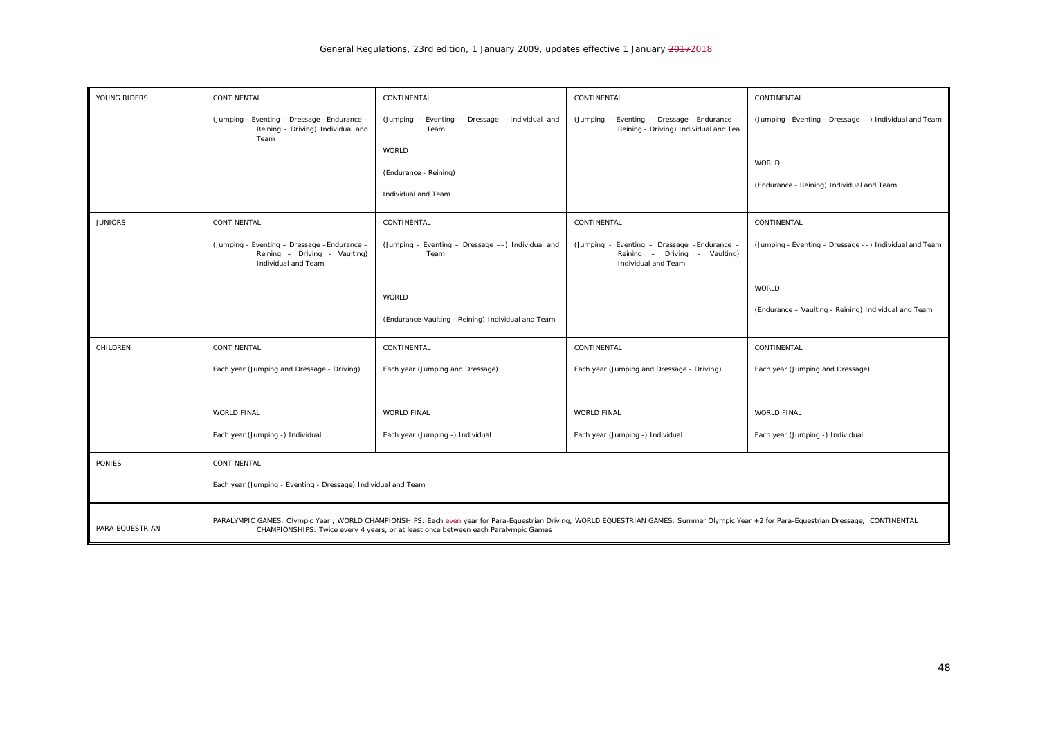| YOUNG RIDERS    | CONTINENTAL                                                                                                                                                                                                                                                                      | CONTINENTAL                                              | CONTINENTAL                                                                                          | CONTINENTAL                                             |
|-----------------|----------------------------------------------------------------------------------------------------------------------------------------------------------------------------------------------------------------------------------------------------------------------------------|----------------------------------------------------------|------------------------------------------------------------------------------------------------------|---------------------------------------------------------|
|                 | (Jumping - Eventing - Dressage - Endurance -<br>Reining - Driving) Individual and<br>Team                                                                                                                                                                                        | (Jumping - Eventing - Dressage --Individual and<br>Team  | (Jumping - Eventing - Dressage - Endurance -<br>Reining - Driving) Individual and Tea                | (Jumping - Eventing - Dressage ---) Individual and Team |
|                 |                                                                                                                                                                                                                                                                                  | <b>WORLD</b>                                             |                                                                                                      | <b>WORLD</b>                                            |
|                 |                                                                                                                                                                                                                                                                                  | (Endurance - Reining)<br>Individual and Team             |                                                                                                      | (Endurance - Reining) Individual and Team               |
| <b>JUNIORS</b>  | CONTINENTAL                                                                                                                                                                                                                                                                      | CONTINENTAL                                              | CONTINENTAL                                                                                          | CONTINENTAL                                             |
|                 | (Jumping - Eventing - Dressage - Endurance -<br>Reining - Driving - Vaulting)<br>Individual and Team                                                                                                                                                                             | (Jumping - Eventing - Dressage -) Individual and<br>Team | (Jumping - Eventing - Dressage - Endurance -<br>Reining - Driving - Vaulting)<br>Individual and Team | (Jumping - Eventing - Dressage --) Individual and Team  |
|                 |                                                                                                                                                                                                                                                                                  | <b>WORLD</b>                                             |                                                                                                      | <b>WORLD</b>                                            |
|                 |                                                                                                                                                                                                                                                                                  | (Endurance-Vaulting - Reining) Individual and Team       |                                                                                                      | (Endurance - Vaulting - Reining) Individual and Team    |
| CHILDREN        | CONTINENTAL                                                                                                                                                                                                                                                                      | CONTINENTAL                                              | CONTINENTAL                                                                                          | CONTINENTAL                                             |
|                 | Each year (Jumping and Dressage - Driving)                                                                                                                                                                                                                                       | Each year (Jumping and Dressage)                         | Each year (Jumping and Dressage - Driving)                                                           | Each year (Jumping and Dressage)                        |
|                 |                                                                                                                                                                                                                                                                                  |                                                          |                                                                                                      |                                                         |
|                 | WORLD FINAL                                                                                                                                                                                                                                                                      | <b>WORLD FINAL</b>                                       | <b>WORLD FINAL</b>                                                                                   | <b>WORLD FINAL</b>                                      |
|                 | Each year (Jumping -) Individual                                                                                                                                                                                                                                                 | Each year (Jumping -) Individual                         | Each year (Jumping -) Individual                                                                     | Each year (Jumping -) Individual                        |
| <b>PONIES</b>   | CONTINENTAL                                                                                                                                                                                                                                                                      |                                                          |                                                                                                      |                                                         |
|                 | Each year (Jumping - Eventing - Dressage) Individual and Team                                                                                                                                                                                                                    |                                                          |                                                                                                      |                                                         |
| PARA-EQUESTRIAN | PARALYMPIC GAMES: Olympic Year ; WORLD CHAMPIONSHIPS: Each even year for Para-Equestrian Driving; WORLD EQUESTRIAN GAMES: Summer Olympic Year +2 for Para-Equestrian Dressage; CONTINENTAL<br>CHAMPIONSHIPS: Twice every 4 years, or at least once between each Paralympic Games |                                                          |                                                                                                      |                                                         |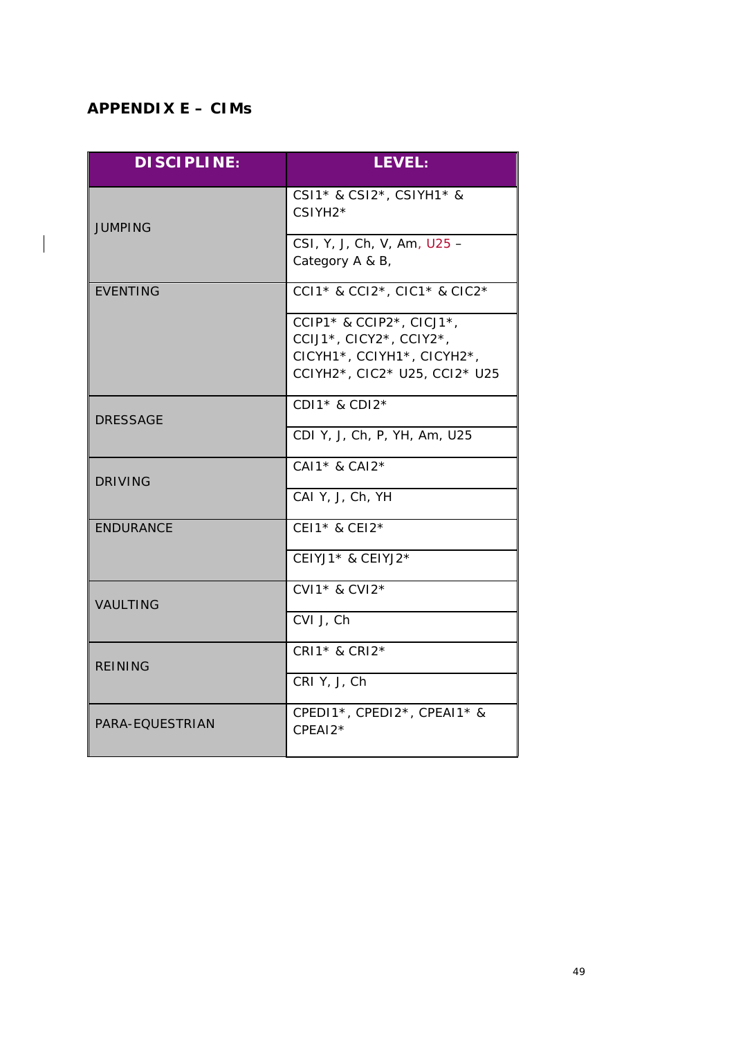## <span id="page-48-0"></span>*APPENDIX E – CIMs*

 $\begin{array}{c} \hline \end{array}$ 

| <b>DISCIPLINE:</b> | <b>LEVEL:</b>                                                                                                      |
|--------------------|--------------------------------------------------------------------------------------------------------------------|
| <b>JUMPING</b>     | CSI1* & CSI2*, CSIYH1* &<br>CSIYH2*                                                                                |
|                    | CSI, Y, J, Ch, V, Am, U25 -<br>Category A & B,                                                                     |
| <b>EVENTING</b>    | CCI1* & CCI2*, CIC1* & CIC2*                                                                                       |
|                    | CCIP1* & CCIP2*, CICJ1*,<br>CCIJ1*, CICY2*, CCIY2*,<br>CICYH1*, CCIYH1*, CICYH2*,<br>CCIYH2*, CIC2* U25, CCI2* U25 |
| <b>DRESSAGE</b>    | CDI1* & CDI2*                                                                                                      |
|                    | CDI Y, J, Ch, P, YH, Am, U25                                                                                       |
| <b>DRIVING</b>     | CAI1* & CAI2*                                                                                                      |
|                    | CAI Y, J, Ch, YH                                                                                                   |
| <b>ENDURANCE</b>   | CEI1* & CEI2*                                                                                                      |
|                    | CEIYJ1* & CEIYJ2*                                                                                                  |
| <b>VAULTING</b>    | CVI1* & CVI2*                                                                                                      |
|                    | CVI J, Ch                                                                                                          |
| <b>REINING</b>     | CRI1* & CRI2*                                                                                                      |
|                    | CRI Y, J, Ch                                                                                                       |
| PARA-EQUESTRIAN    | CPEDI1*, CPEDI2*, CPEAI1* &<br>CPEAI2*                                                                             |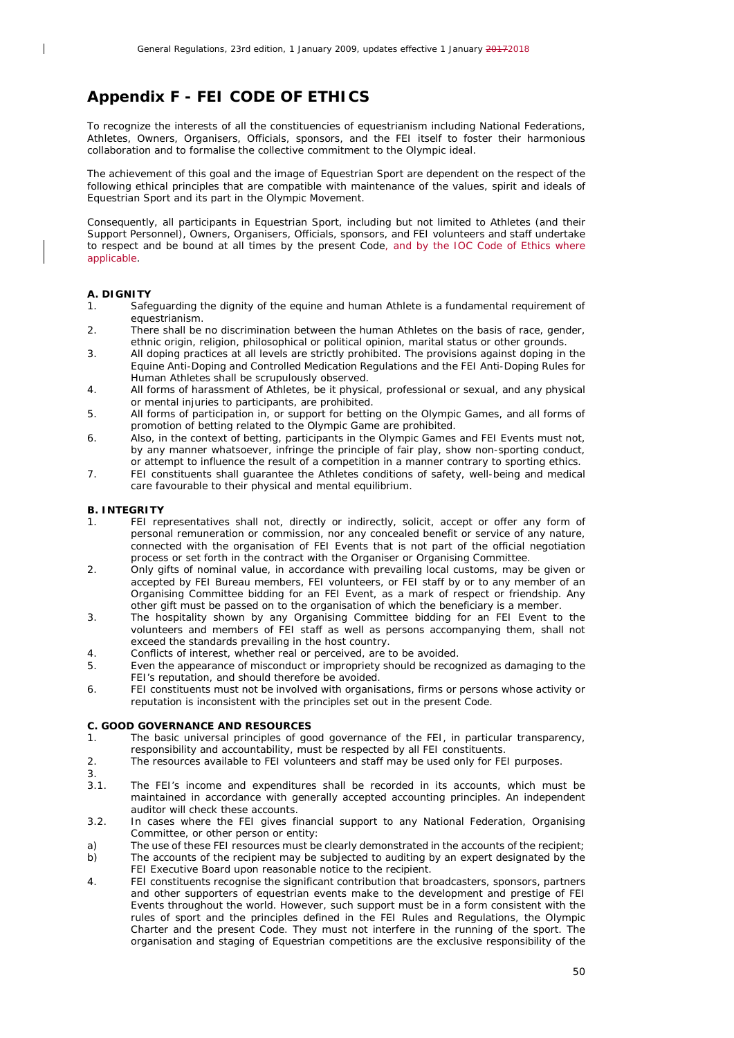## <span id="page-49-0"></span>*Appendix F - FEI CODE OF ETHICS*

To recognize the interests of all the constituencies of equestrianism including National Federations, Athletes, Owners, Organisers, Officials, sponsors, and the FEI itself to foster their harmonious collaboration and to formalise the collective commitment to the Olympic ideal.

The achievement of this goal and the image of Equestrian Sport are dependent on the respect of the following ethical principles that are compatible with maintenance of the values, spirit and ideals of Equestrian Sport and its part in the Olympic Movement.

Consequently, all participants in Equestrian Sport, including but not limited to Athletes (and their Support Personnel), Owners, Organisers, Officials, sponsors, and FEI volunteers and staff undertake to respect and be bound at all times by the present Code, and by the IOC Code of Ethics where applicable.

#### **A. DIGNITY**

 $\overline{\phantom{a}}$ 

- 1. Safeguarding the dignity of the equine and human Athlete is a fundamental requirement of equestrianism.
- 2. There shall be no discrimination between the human Athletes on the basis of race, gender, ethnic origin, religion, philosophical or political opinion, marital status or other grounds.
- 3. All doping practices at all levels are strictly prohibited. The provisions against doping in the Equine Anti-Doping and Controlled Medication Regulations and the FEI Anti-Doping Rules for Human Athletes shall be scrupulously observed.
- 4. All forms of harassment of Athletes, be it physical, professional or sexual, and any physical or mental injuries to participants, are prohibited.
- 5. All forms of participation in, or support for betting on the Olympic Games, and all forms of promotion of betting related to the Olympic Game are prohibited.
- 6. Also, in the context of betting, participants in the Olympic Games and FEI Events must not, by any manner whatsoever, infringe the principle of fair play, show non-sporting conduct, or attempt to influence the result of a competition in a manner contrary to sporting ethics.
- 7. FEI constituents shall guarantee the Athletes conditions of safety, well-being and medical care favourable to their physical and mental equilibrium.

#### **B. INTEGRITY**

- 1. FEI representatives shall not, directly or indirectly, solicit, accept or offer any form of personal remuneration or commission, nor any concealed benefit or service of any nature, connected with the organisation of FEI Events that is not part of the official negotiation process or set forth in the contract with the Organiser or Organising Committee.
- 2. Only gifts of nominal value, in accordance with prevailing local customs, may be given or accepted by FEI Bureau members, FEI volunteers, or FEI staff by or to any member of an Organising Committee bidding for an FEI Event, as a mark of respect or friendship. Any other gift must be passed on to the organisation of which the beneficiary is a member.
- 3. The hospitality shown by any Organising Committee bidding for an FEI Event to the volunteers and members of FEI staff as well as persons accompanying them, shall not exceed the standards prevailing in the host country.
- 4. Conflicts of interest, whether real or perceived, are to be avoided.
- 5. Even the appearance of misconduct or impropriety should be recognized as damaging to the FEI's reputation, and should therefore be avoided.
- 6. FEI constituents must not be involved with organisations, firms or persons whose activity or reputation is inconsistent with the principles set out in the present Code.

#### **C. GOOD GOVERNANCE AND RESOURCES**

- 1. The basic universal principles of good governance of the FEI, in particular transparency, responsibility and accountability, must be respected by all FEI constituents.
- 2. The resources available to FEI volunteers and staff may be used only for FEI purposes.
- 3.
- 3.1. The FEI's income and expenditures shall be recorded in its accounts, which must be maintained in accordance with generally accepted accounting principles. An independent auditor will check these accounts.
- 3.2. In cases where the FEI gives financial support to any National Federation, Organising Committee, or other person or entity:
- a) The use of these FEI resources must be clearly demonstrated in the accounts of the recipient;
- b) The accounts of the recipient may be subjected to auditing by an expert designated by the FEI Executive Board upon reasonable notice to the recipient.
- 4. FEI constituents recognise the significant contribution that broadcasters, sponsors, partners and other supporters of equestrian events make to the development and prestige of FEI Events throughout the world. However, such support must be in a form consistent with the rules of sport and the principles defined in the FEI Rules and Regulations, the Olympic Charter and the present Code. They must not interfere in the running of the sport. The organisation and staging of Equestrian competitions are the exclusive responsibility of the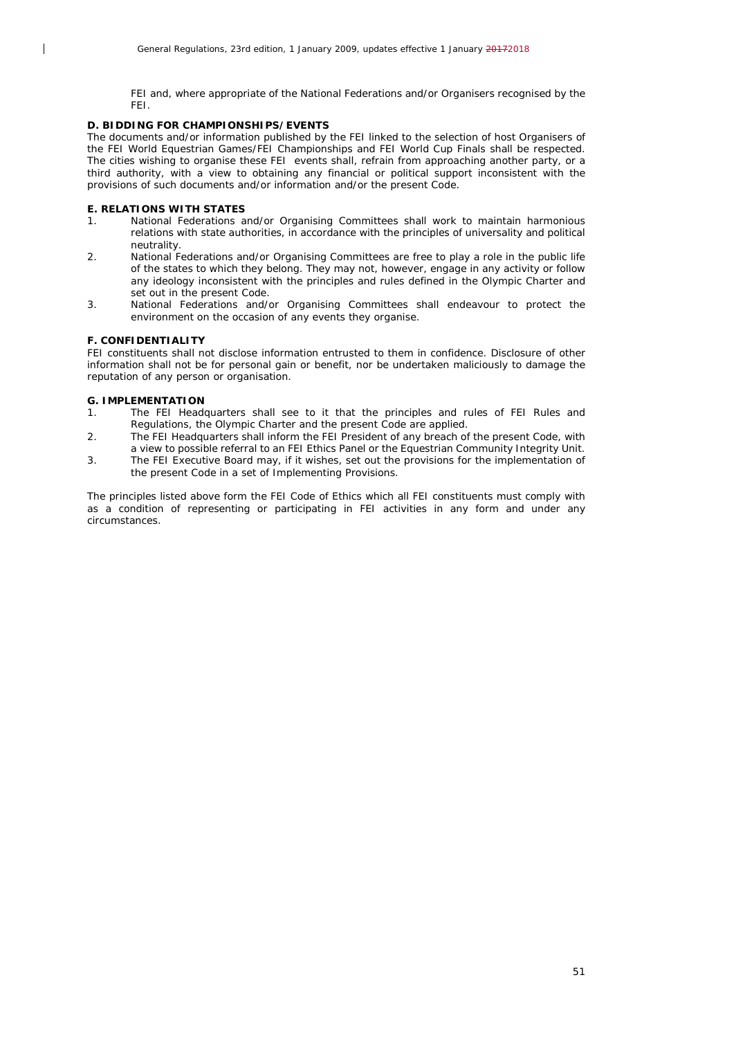FEI and, where appropriate of the National Federations and/or Organisers recognised by the FEI.

#### **D. BIDDING FOR CHAMPIONSHIPS/EVENTS**

The documents and/or information published by the FEI linked to the selection of host Organisers of the FEI World Equestrian Games/FEI Championships and FEI World Cup Finals shall be respected. The cities wishing to organise these FEI events shall, refrain from approaching another party, or a third authority, with a view to obtaining any financial or political support inconsistent with the provisions of such documents and/or information and/or the present Code.

#### **E. RELATIONS WITH STATES**

 $\overline{\phantom{a}}$ 

- 1. National Federations and/or Organising Committees shall work to maintain harmonious relations with state authorities, in accordance with the principles of universality and political neutrality.
- 2. National Federations and/or Organising Committees are free to play a role in the public life of the states to which they belong. They may not, however, engage in any activity or follow any ideology inconsistent with the principles and rules defined in the Olympic Charter and set out in the present Code.
- 3. National Federations and/or Organising Committees shall endeavour to protect the environment on the occasion of any events they organise.

#### **F. CONFIDENTIALITY**

FEI constituents shall not disclose information entrusted to them in confidence. Disclosure of other information shall not be for personal gain or benefit, nor be undertaken maliciously to damage the reputation of any person or organisation.

#### **G. IMPLEMENTATION**

- 1. The FEI Headquarters shall see to it that the principles and rules of FEI Rules and Regulations, the Olympic Charter and the present Code are applied.
- 2. The FEI Headquarters shall inform the FEI President of any breach of the present Code, with a view to possible referral to an FEI Ethics Panel or the Equestrian Community Integrity Unit.
- 3. The FEI Executive Board may, if it wishes, set out the provisions for the implementation of the present Code in a set of Implementing Provisions.

The principles listed above form the FEI Code of Ethics which all FEI constituents must comply with as a condition of representing or participating in FEI activities in any form and under any circumstances.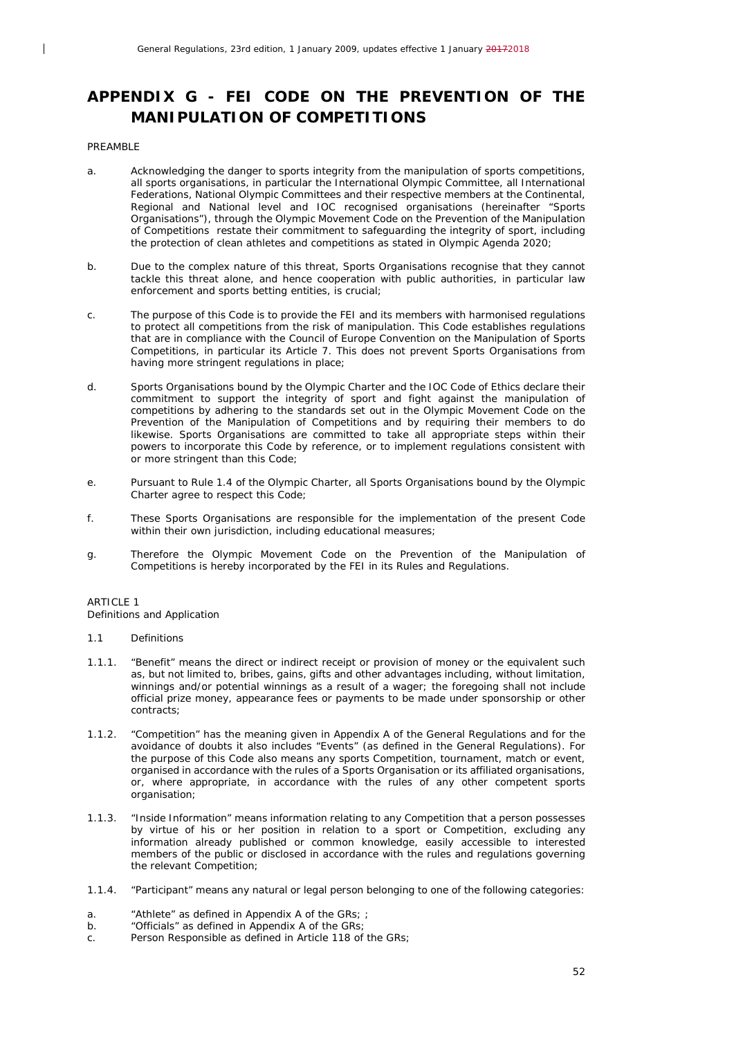## <span id="page-51-0"></span>*APPENDIX G - FEI CODE ON THE PREVENTION OF THE MANIPULATION OF COMPETITIONS*

#### PREAMRI<sub>F</sub>

 $\overline{\phantom{a}}$ 

- a. Acknowledging the danger to sports integrity from the manipulation of sports competitions, all sports organisations, in particular the International Olympic Committee, all International Federations, National Olympic Committees and their respective members at the Continental, Regional and National level and IOC recognised organisations (hereinafter "Sports Organisations"), through the Olympic Movement Code on the Prevention of the Manipulation of Competitions restate their commitment to safeguarding the integrity of sport, including the protection of clean athletes and competitions as stated in Olympic Agenda 2020;
- b. Due to the complex nature of this threat, Sports Organisations recognise that they cannot tackle this threat alone, and hence cooperation with public authorities, in particular law enforcement and sports betting entities, is crucial;
- c. The purpose of this Code is to provide the FEI and its members with harmonised regulations to protect all competitions from the risk of manipulation. This Code establishes regulations that are in compliance with the Council of Europe Convention on the Manipulation of Sports Competitions, in particular its Article 7. This does not prevent Sports Organisations from having more stringent regulations in place;
- d. Sports Organisations bound by the Olympic Charter and the IOC Code of Ethics declare their commitment to support the integrity of sport and fight against the manipulation of competitions by adhering to the standards set out in the Olympic Movement Code on the Prevention of the Manipulation of Competitions and by requiring their members to do likewise. Sports Organisations are committed to take all appropriate steps within their powers to incorporate this Code by reference, or to implement regulations consistent with or more stringent than this Code;
- e. Pursuant to Rule 1.4 of the Olympic Charter, all Sports Organisations bound by the Olympic Charter agree to respect this Code;
- f. These Sports Organisations are responsible for the implementation of the present Code within their own jurisdiction, including educational measures;
- g. Therefore the Olympic Movement Code on the Prevention of the Manipulation of Competitions is hereby incorporated by the FEI in its Rules and Regulations.

#### ARTICLE 1

Definitions and Application

- 1.1 Definitions
- 1.1.1. "Benefit" means the direct or indirect receipt or provision of money or the equivalent such as, but not limited to, bribes, gains, gifts and other advantages including, without limitation, winnings and/or potential winnings as a result of a wager; the foregoing shall not include official prize money, appearance fees or payments to be made under sponsorship or other contracts;
- 1.1.2. "Competition" has the meaning given in Appendix A of the General Regulations and for the avoidance of doubts it also includes "Events" (as defined in the General Regulations). For the purpose of this Code also means any sports Competition, tournament, match or event, organised in accordance with the rules of a Sports Organisation or its affiliated organisations, or, where appropriate, in accordance with the rules of any other competent sports organisation;
- 1.1.3. "Inside Information" means information relating to any Competition that a person possesses by virtue of his or her position in relation to a sport or Competition, excluding any information already published or common knowledge, easily accessible to interested members of the public or disclosed in accordance with the rules and regulations governing the relevant Competition;
- 1.1.4. "Participant" means any natural or legal person belonging to one of the following categories:
- a. "Athlete" as defined in Appendix A of the GRs; ;
- b. "Officials" as defined in Appendix A of the GRs;
- c. Person Responsible as defined in Article 118 of the GRs;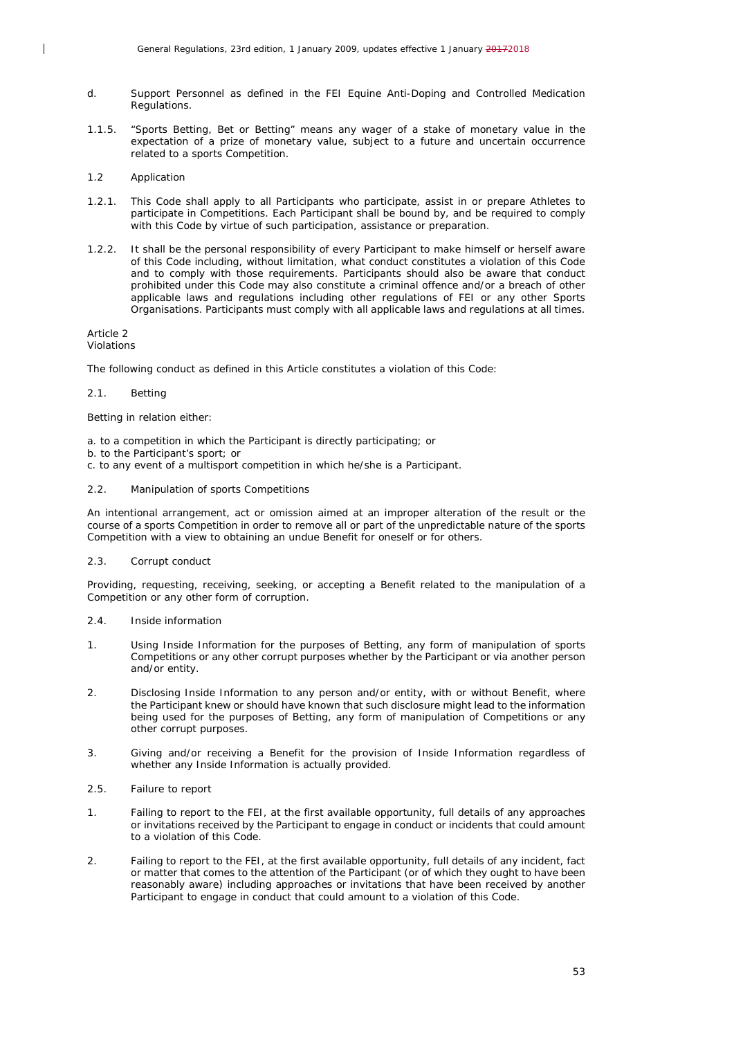- d. Support Personnel as defined in the FEI Equine Anti-Doping and Controlled Medication Regulations.
- 1.1.5. "Sports Betting, Bet or Betting" means any wager of a stake of monetary value in the expectation of a prize of monetary value, subject to a future and uncertain occurrence related to a sports Competition.
- 1.2 Application

 $\overline{\phantom{a}}$ 

- 1.2.1. This Code shall apply to all Participants who participate, assist in or prepare Athletes to participate in Competitions. Each Participant shall be bound by, and be required to comply with this Code by virtue of such participation, assistance or preparation.
- 1.2.2. It shall be the personal responsibility of every Participant to make himself or herself aware of this Code including, without limitation, what conduct constitutes a violation of this Code and to comply with those requirements. Participants should also be aware that conduct prohibited under this Code may also constitute a criminal offence and/or a breach of other applicable laws and regulations including other regulations of FEI or any other Sports Organisations. Participants must comply with all applicable laws and regulations at all times.

Article 2

Violations

The following conduct as defined in this Article constitutes a violation of this Code:

#### 2.1. Betting

Betting in relation either:

- a. to a competition in which the Participant is directly participating; or
- b. to the Participant's sport; or
- c. to any event of a multisport competition in which he/she is a Participant.
- 2.2. Manipulation of sports Competitions

An intentional arrangement, act or omission aimed at an improper alteration of the result or the course of a sports Competition in order to remove all or part of the unpredictable nature of the sports Competition with a view to obtaining an undue Benefit for oneself or for others.

2.3. Corrupt conduct

Providing, requesting, receiving, seeking, or accepting a Benefit related to the manipulation of a Competition or any other form of corruption.

- 2.4. Inside information
- 1. Using Inside Information for the purposes of Betting, any form of manipulation of sports Competitions or any other corrupt purposes whether by the Participant or via another person and/or entity.
- 2. Disclosing Inside Information to any person and/or entity, with or without Benefit, where the Participant knew or should have known that such disclosure might lead to the information being used for the purposes of Betting, any form of manipulation of Competitions or any other corrupt purposes.
- 3. Giving and/or receiving a Benefit for the provision of Inside Information regardless of whether any Inside Information is actually provided.
- 2.5. Failure to report
- 1. Failing to report to the FEI, at the first available opportunity, full details of any approaches or invitations received by the Participant to engage in conduct or incidents that could amount to a violation of this Code.
- 2. Failing to report to the FEI, at the first available opportunity, full details of any incident, fact or matter that comes to the attention of the Participant (or of which they ought to have been reasonably aware) including approaches or invitations that have been received by another Participant to engage in conduct that could amount to a violation of this Code.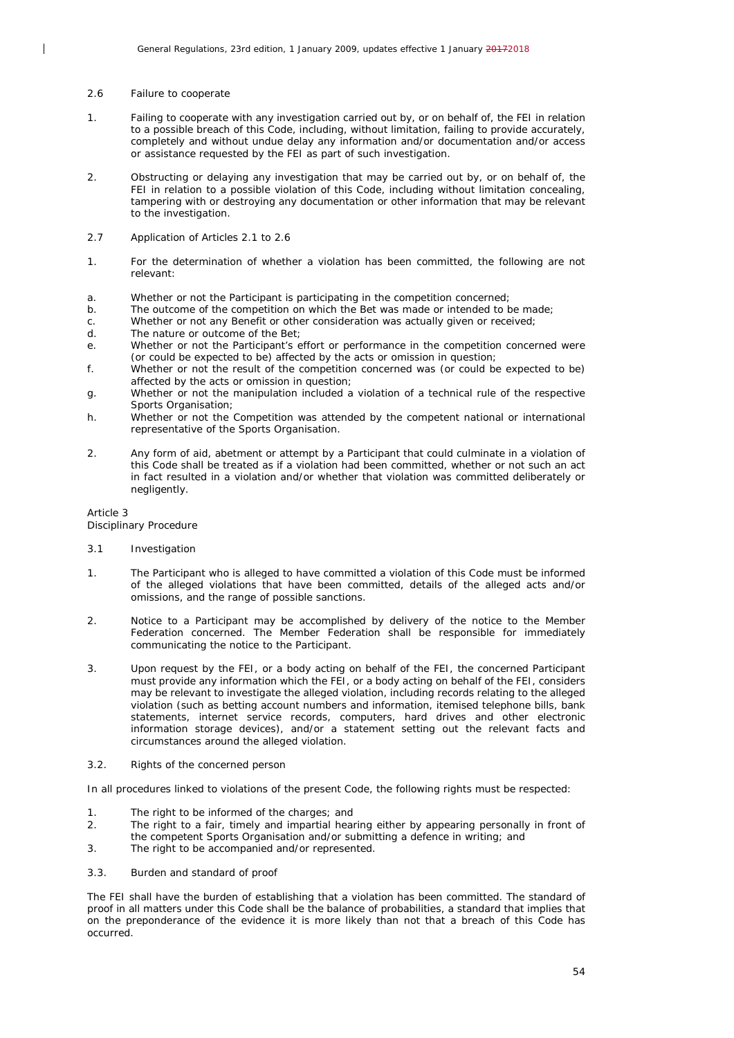#### 2.6 Failure to cooperate

 $\overline{\phantom{a}}$ 

- 1. Failing to cooperate with any investigation carried out by, or on behalf of, the FEI in relation to a possible breach of this Code, including, without limitation, failing to provide accurately, completely and without undue delay any information and/or documentation and/or access or assistance requested by the FEI as part of such investigation.
- 2. Obstructing or delaying any investigation that may be carried out by, or on behalf of, the FEI in relation to a possible violation of this Code, including without limitation concealing, tampering with or destroying any documentation or other information that may be relevant to the investigation.
- 2.7 Application of Articles 2.1 to 2.6
- 1. For the determination of whether a violation has been committed, the following are not relevant:
- a. Whether or not the Participant is participating in the competition concerned;
- b. The outcome of the competition on which the Bet was made or intended to be made;
- c. Whether or not any Benefit or other consideration was actually given or received;
- d. The nature or outcome of the Bet;
- e. Whether or not the Participant's effort or performance in the competition concerned were (or could be expected to be) affected by the acts or omission in question;
- f. Whether or not the result of the competition concerned was (or could be expected to be) affected by the acts or omission in question;
- g. Whether or not the manipulation included a violation of a technical rule of the respective Sports Organisation:
- h. Whether or not the Competition was attended by the competent national or international representative of the Sports Organisation.
- 2. Any form of aid, abetment or attempt by a Participant that could culminate in a violation of this Code shall be treated as if a violation had been committed, whether or not such an act in fact resulted in a violation and/or whether that violation was committed deliberately or negligently.

## Article 3

Disciplinary Procedure

#### 3.1 Investigation

- 1. The Participant who is alleged to have committed a violation of this Code must be informed of the alleged violations that have been committed, details of the alleged acts and/or omissions, and the range of possible sanctions.
- 2. Notice to a Participant may be accomplished by delivery of the notice to the Member Federation concerned. The Member Federation shall be responsible for immediately communicating the notice to the Participant.
- 3. Upon request by the FEI, or a body acting on behalf of the FEI, the concerned Participant must provide any information which the FEI, or a body acting on behalf of the FEI, considers may be relevant to investigate the alleged violation, including records relating to the alleged violation (such as betting account numbers and information, itemised telephone bills, bank statements, internet service records, computers, hard drives and other electronic information storage devices), and/or a statement setting out the relevant facts and circumstances around the alleged violation.
- 3.2. Rights of the concerned person

In all procedures linked to violations of the present Code, the following rights must be respected:

- 1. The right to be informed of the charges; and
- 2. The right to a fair, timely and impartial hearing either by appearing personally in front of the competent Sports Organisation and/or submitting a defence in writing; and
- 3. The right to be accompanied and/or represented.
- 3.3. Burden and standard of proof

The FEI shall have the burden of establishing that a violation has been committed. The standard of proof in all matters under this Code shall be the balance of probabilities, a standard that implies that on the preponderance of the evidence it is more likely than not that a breach of this Code has occurred.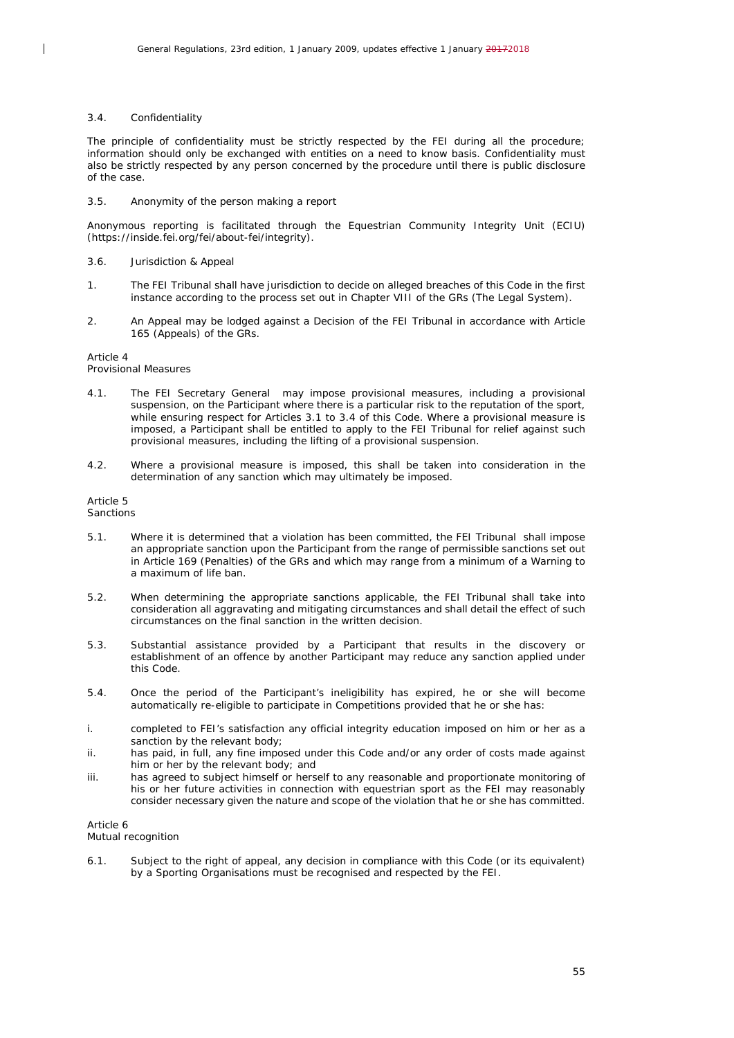#### 3.4. Confidentiality

 $\overline{\phantom{a}}$ 

The principle of confidentiality must be strictly respected by the FEI during all the procedure; information should only be exchanged with entities on a need to know basis. Confidentiality must also be strictly respected by any person concerned by the procedure until there is public disclosure of the case.

3.5. Anonymity of the person making a report

Anonymous reporting is facilitated through the Equestrian Community Integrity Unit (ECIU) (https://inside.fei.org/fei/about-fei/integrity).

#### 3.6. Jurisdiction & Appeal

- 1. The FEI Tribunal shall have jurisdiction to decide on alleged breaches of this Code in the first instance according to the process set out in Chapter VIII of the GRs (The Legal System).
- 2. An Appeal may be lodged against a Decision of the FEI Tribunal in accordance with Article 165 (Appeals) of the GRs.

## Article 4

#### Provisional Measures

- 4.1. The FEI Secretary General may impose provisional measures, including a provisional suspension, on the Participant where there is a particular risk to the reputation of the sport, while ensuring respect for Articles 3.1 to 3.4 of this Code. Where a provisional measure is imposed, a Participant shall be entitled to apply to the FEI Tribunal for relief against such provisional measures, including the lifting of a provisional suspension.
- 4.2. Where a provisional measure is imposed, this shall be taken into consideration in the determination of any sanction which may ultimately be imposed.

## Article 5

#### Sanctions

- 5.1. Where it is determined that a violation has been committed, the FEI Tribunal shall impose an appropriate sanction upon the Participant from the range of permissible sanctions set out in Article 169 (Penalties) of the GRs and which may range from a minimum of a Warning to a maximum of life ban.
- 5.2. When determining the appropriate sanctions applicable, the FEI Tribunal shall take into consideration all aggravating and mitigating circumstances and shall detail the effect of such circumstances on the final sanction in the written decision.
- 5.3. Substantial assistance provided by a Participant that results in the discovery or establishment of an offence by another Participant may reduce any sanction applied under this Code.
- 5.4. Once the period of the Participant's ineligibility has expired, he or she will become automatically re-eligible to participate in Competitions provided that he or she has:
- i. completed to FEI's satisfaction any official integrity education imposed on him or her as a sanction by the relevant body;
- ii. has paid, in full, any fine imposed under this Code and/or any order of costs made against him or her by the relevant body; and
- iii. has agreed to subject himself or herself to any reasonable and proportionate monitoring of his or her future activities in connection with equestrian sport as the FEI may reasonably consider necessary given the nature and scope of the violation that he or she has committed.

#### Article 6

#### Mutual recognition

6.1. Subject to the right of appeal, any decision in compliance with this Code (or its equivalent) by a Sporting Organisations must be recognised and respected by the FEI.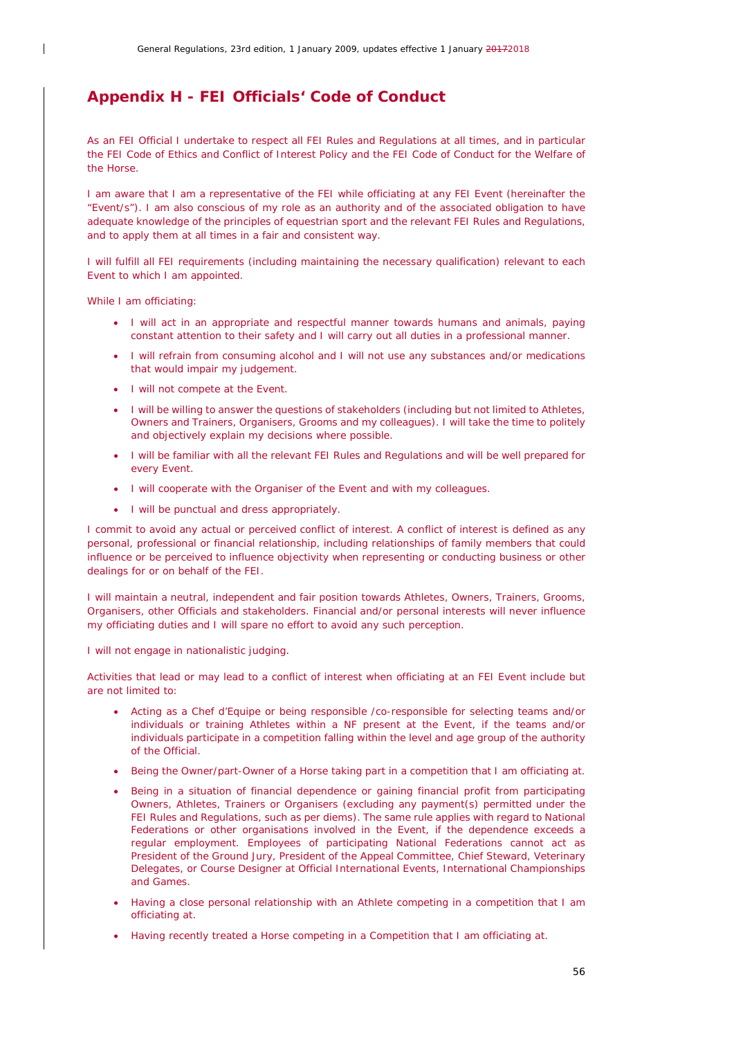## <span id="page-55-0"></span>*Appendix H - FEI Officials' Code of Conduct*

As an FEI Official I undertake to respect all FEI Rules and Regulations at all times, and in particular the FEI Code of Ethics and Conflict of Interest Policy and the FEI Code of Conduct for the Welfare of the Horse.

I am aware that I am a representative of the FEI while officiating at any FEI Event (hereinafter the "Event/s"). I am also conscious of my role as an authority and of the associated obligation to have adequate knowledge of the principles of equestrian sport and the relevant FEI Rules and Regulations, and to apply them at all times in a fair and consistent way.

I will fulfill all FEI requirements (including maintaining the necessary qualification) relevant to each Event to which I am appointed.

While I am officiating:

- I will act in an appropriate and respectful manner towards humans and animals, paying constant attention to their safety and I will carry out all duties in a professional manner.
- I will refrain from consuming alcohol and I will not use any substances and/or medications that would impair my judgement.
- I will not compete at the Event.
- I will be willing to answer the questions of stakeholders (including but not limited to Athletes, Owners and Trainers, Organisers, Grooms and my colleagues). I will take the time to politely and objectively explain my decisions where possible.
- I will be familiar with all the relevant FEI Rules and Regulations and will be well prepared for every Event.
- I will cooperate with the Organiser of the Event and with my colleagues.
- I will be punctual and dress appropriately.

I commit to avoid any actual or perceived conflict of interest. A conflict of interest is defined as any personal, professional or financial relationship, including relationships of family members that could influence or be perceived to influence objectivity when representing or conducting business or other dealings for or on behalf of the FEI.

I will maintain a neutral, independent and fair position towards Athletes, Owners, Trainers, Grooms, Organisers, other Officials and stakeholders. Financial and/or personal interests will never influence my officiating duties and I will spare no effort to avoid any such perception.

I will not engage in nationalistic judging.

Activities that lead or may lead to a conflict of interest when officiating at an FEI Event include but are not limited to:

- Acting as a Chef d'Equipe or being responsible /co-responsible for selecting teams and/or individuals or training Athletes within a NF present at the Event, if the teams and/or individuals participate in a competition falling within the level and age group of the authority of the Official.
- Being the Owner/part-Owner of a Horse taking part in a competition that I am officiating at.
- Being in a situation of financial dependence or gaining financial profit from participating Owners, Athletes, Trainers or Organisers (excluding any payment(s) permitted under the FEI Rules and Regulations, such as per diems). The same rule applies with regard to National Federations or other organisations involved in the Event, if the dependence exceeds a regular employment. Employees of participating National Federations cannot act as President of the Ground Jury, President of the Appeal Committee, Chief Steward, Veterinary Delegates, or Course Designer at Official International Events, International Championships and Games.
- Having a close personal relationship with an Athlete competing in a competition that I am officiating at.
- Having recently treated a Horse competing in a Competition that I am officiating at.